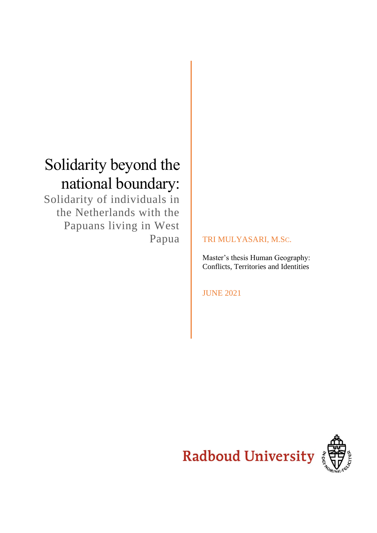# Solidarity beyond the national boundary:

Solidarity of individuals in the Netherlands with the Papuans living in West

# Papua **TRI MULYASARI, M.SC.**

Master's thesis Human Geography: Conflicts, Territories and Identities

JUNE 2021

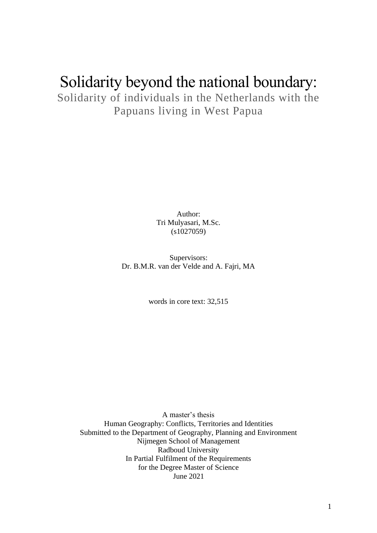# Solidarity beyond the national boundary:

Solidarity of individuals in the Netherlands with the Papuans living in West Papua

> Author: Tri Mulyasari, M.Sc. (s1027059)

Supervisors: Dr. B.M.R. van der Velde and A. Fajri, MA

words in core text: 32,515

A master's thesis Human Geography: Conflicts, Territories and Identities Submitted to the Department of Geography, Planning and Environment Nijmegen School of Management Radboud University In Partial Fulfilment of the Requirements for the Degree Master of Science June 2021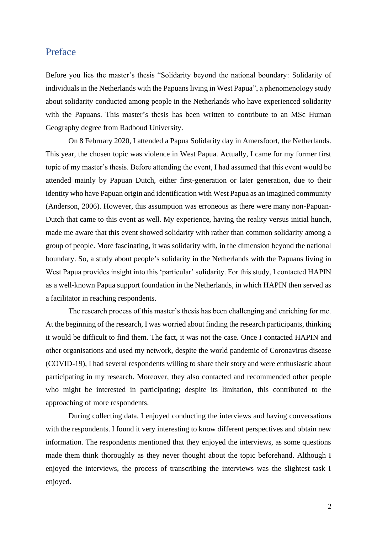### <span id="page-2-0"></span>Preface

Before you lies the master's thesis "Solidarity beyond the national boundary: Solidarity of individuals in the Netherlands with the Papuans living in West Papua", a phenomenology study about solidarity conducted among people in the Netherlands who have experienced solidarity with the Papuans. This master's thesis has been written to contribute to an MSc Human Geography degree from Radboud University.

On 8 February 2020, I attended a Papua Solidarity day in Amersfoort, the Netherlands. This year, the chosen topic was violence in West Papua. Actually, I came for my former first topic of my master's thesis. Before attending the event, I had assumed that this event would be attended mainly by Papuan Dutch, either first-generation or later generation, due to their identity who have Papuan origin and identification with West Papua as an imagined community (Anderson, 2006). However, this assumption was erroneous as there were many non-Papuan-Dutch that came to this event as well. My experience, having the reality versus initial hunch, made me aware that this event showed solidarity with rather than common solidarity among a group of people. More fascinating, it was solidarity with, in the dimension beyond the national boundary. So, a study about people's solidarity in the Netherlands with the Papuans living in West Papua provides insight into this 'particular' solidarity. For this study, I contacted HAPIN as a well-known Papua support foundation in the Netherlands, in which HAPIN then served as a facilitator in reaching respondents.

The research process of this master's thesis has been challenging and enriching for me. At the beginning of the research, I was worried about finding the research participants, thinking it would be difficult to find them. The fact, it was not the case. Once I contacted HAPIN and other organisations and used my network, despite the world pandemic of Coronavirus disease (COVID-19), I had several respondents willing to share their story and were enthusiastic about participating in my research. Moreover, they also contacted and recommended other people who might be interested in participating; despite its limitation, this contributed to the approaching of more respondents.

During collecting data, I enjoyed conducting the interviews and having conversations with the respondents. I found it very interesting to know different perspectives and obtain new information. The respondents mentioned that they enjoyed the interviews, as some questions made them think thoroughly as they never thought about the topic beforehand. Although I enjoyed the interviews, the process of transcribing the interviews was the slightest task I enjoyed.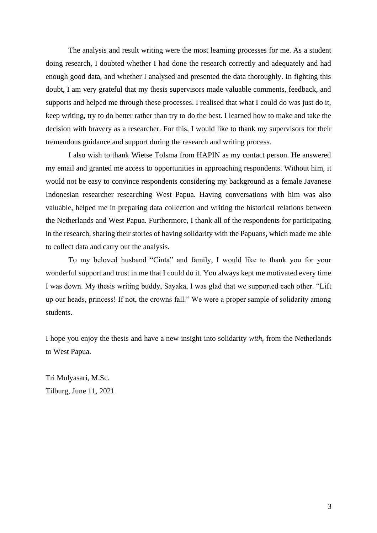The analysis and result writing were the most learning processes for me. As a student doing research, I doubted whether I had done the research correctly and adequately and had enough good data, and whether I analysed and presented the data thoroughly. In fighting this doubt, I am very grateful that my thesis supervisors made valuable comments, feedback, and supports and helped me through these processes. I realised that what I could do was just do it, keep writing, try to do better rather than try to do the best. I learned how to make and take the decision with bravery as a researcher. For this, I would like to thank my supervisors for their tremendous guidance and support during the research and writing process.

I also wish to thank Wietse Tolsma from HAPIN as my contact person. He answered my email and granted me access to opportunities in approaching respondents. Without him, it would not be easy to convince respondents considering my background as a female Javanese Indonesian researcher researching West Papua. Having conversations with him was also valuable, helped me in preparing data collection and writing the historical relations between the Netherlands and West Papua. Furthermore, I thank all of the respondents for participating in the research, sharing their stories of having solidarity with the Papuans, which made me able to collect data and carry out the analysis.

To my beloved husband "Cinta" and family, I would like to thank you for your wonderful support and trust in me that I could do it. You always kept me motivated every time I was down. My thesis writing buddy, Sayaka, I was glad that we supported each other. "Lift up our heads, princess! If not, the crowns fall." We were a proper sample of solidarity among students.

I hope you enjoy the thesis and have a new insight into solidarity *with*, from the Netherlands to West Papua.

Tri Mulyasari, M.Sc. Tilburg, June 11, 2021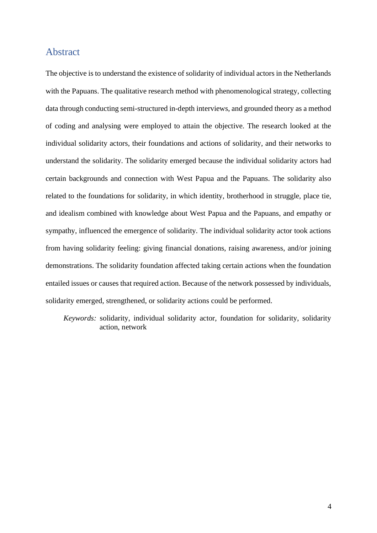### <span id="page-4-0"></span>Abstract

The objective is to understand the existence of solidarity of individual actors in the Netherlands with the Papuans. The qualitative research method with phenomenological strategy, collecting data through conducting semi-structured in-depth interviews, and grounded theory as a method of coding and analysing were employed to attain the objective. The research looked at the individual solidarity actors, their foundations and actions of solidarity, and their networks to understand the solidarity. The solidarity emerged because the individual solidarity actors had certain backgrounds and connection with West Papua and the Papuans. The solidarity also related to the foundations for solidarity, in which identity, brotherhood in struggle, place tie, and idealism combined with knowledge about West Papua and the Papuans, and empathy or sympathy, influenced the emergence of solidarity. The individual solidarity actor took actions from having solidarity feeling: giving financial donations, raising awareness, and/or joining demonstrations. The solidarity foundation affected taking certain actions when the foundation entailed issues or causes that required action. Because of the network possessed by individuals, solidarity emerged, strengthened, or solidarity actions could be performed.

*Keywords:* solidarity, individual solidarity actor, foundation for solidarity, solidarity action, network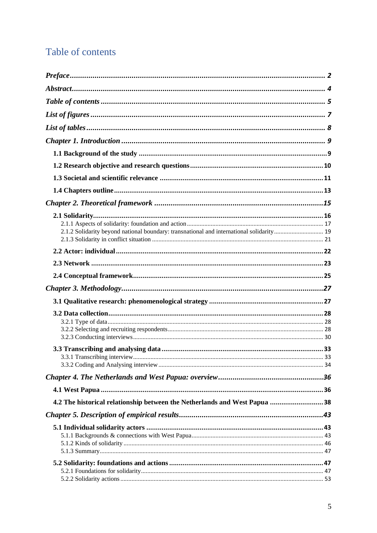# <span id="page-5-0"></span>Table of contents

| 2.1.2 Solidarity beyond national boundary: transnational and international solidarity 19 |  |
|------------------------------------------------------------------------------------------|--|
|                                                                                          |  |
|                                                                                          |  |
|                                                                                          |  |
|                                                                                          |  |
|                                                                                          |  |
|                                                                                          |  |
|                                                                                          |  |
|                                                                                          |  |
|                                                                                          |  |
|                                                                                          |  |
|                                                                                          |  |
|                                                                                          |  |
|                                                                                          |  |
| 4.2 The historical relationship between the Netherlands and West Papua  38               |  |
|                                                                                          |  |
|                                                                                          |  |
|                                                                                          |  |
|                                                                                          |  |
|                                                                                          |  |
|                                                                                          |  |
|                                                                                          |  |
|                                                                                          |  |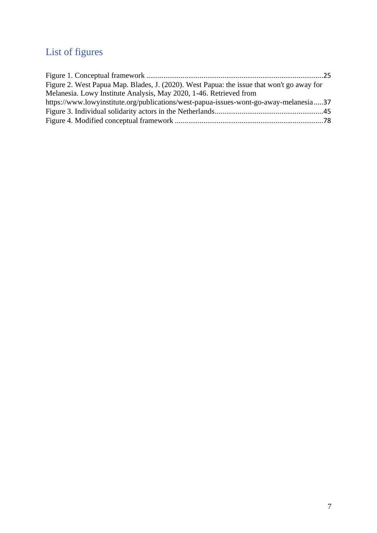# <span id="page-7-0"></span>List of figures

| Figure 2. West Papua Map. Blades, J. (2020). West Papua: the issue that won't go away for |
|-------------------------------------------------------------------------------------------|
| Melanesia. Lowy Institute Analysis, May 2020, 1-46. Retrieved from                        |
| https://www.lowyinstitute.org/publications/west-papua-issues-wont-go-away-melanesia37     |
|                                                                                           |
|                                                                                           |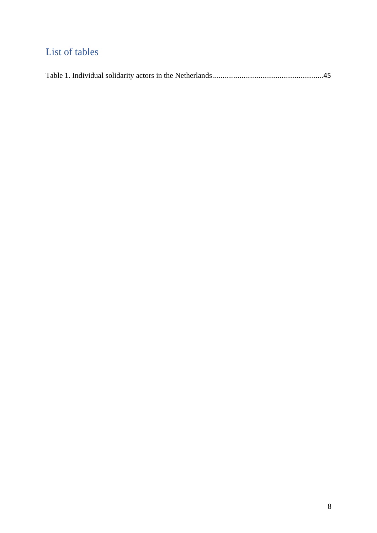# <span id="page-8-0"></span>List of tables

|--|--|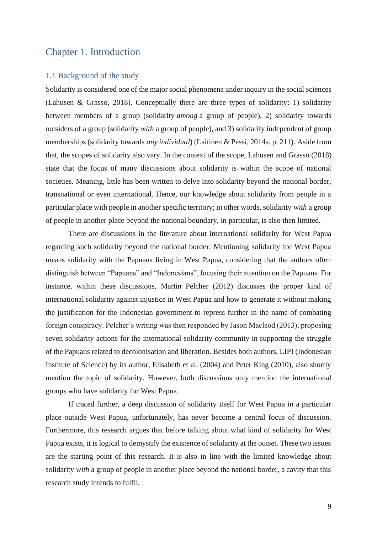## <span id="page-9-0"></span>Chapter 1. Introduction

#### <span id="page-9-1"></span>1.1 Background of the study

Solidarity is considered one of the major social phenomena under inquiry in the social sciences (Lahusen & Grasso, 2018). Conceptually there are three types of solidarity: 1) solidarity between members of a group (solidarity *among* a group of people), 2) solidarity towards outsiders of a group (solidarity *with* a group of people), and 3) solidarity independent of group memberships (solidarity towards *any individual*) (Laitinen & Pessi, 2014a, p. 211). Aside from that, the scopes of solidarity also vary. In the context of the scope, Lahusen and Grasso (2018) state that the focus of many discussions about solidarity is within the scope of national societies. Meaning, little has been written to delve into solidarity beyond the national border, transnational or even international. Hence, our knowledge about solidarity from people in a particular place with people in another specific territory; in other words, solidarity *with* a group of people in another place beyond the national boundary, in particular, is also then limited.

There are discussions in the literature about international solidarity for West Papua regarding such solidarity beyond the national border. Mentioning solidarity for West Papua means solidarity with the Papuans living in West Papua, considering that the authors often distinguish between "Papuans" and "Indonesians", focusing their attention on the Papuans. For instance, within these discussions, Martin Pelcher (2012) discusses the proper kind of international solidarity against injustice in West Papua and how to generate it without making the justification for the Indonesian government to repress further in the name of combating foreign conspiracy. Pelcher's writing was then responded by Jason Macleod (2013), proposing seven solidarity actions for the international solidarity community in supporting the struggle of the Papuans related to decolonisation and liberation. Besides both authors, LIPI (Indonesian Institute of Science) by its author, Elisabeth et al. (2004) and Peter King (2010), also shortly mention the topic of solidarity. However, both discussions only mention the international groups who have solidarity for West Papua.

If traced further, a deep discussion of solidarity itself for West Papua in a particular place outside West Papua, unfortunately, has never become a central focus of discussion. Furthermore, this research argues that before talking about what kind of solidarity for West Papua exists, it is logical to demystify the existence of solidarity at the outset. These two issues are the starting point of this research. It is also in line with the limited knowledge about solidarity *with* a group of people in another place beyond the national border, a cavity that this research study intends to fulfil.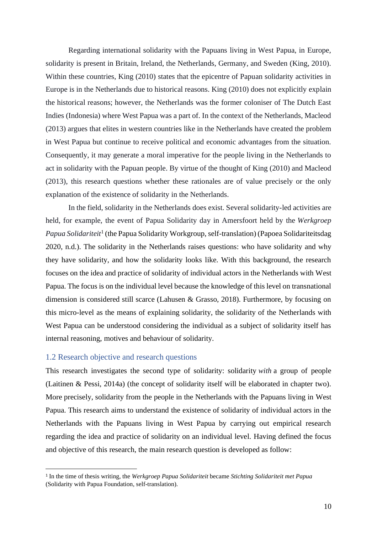Regarding international solidarity with the Papuans living in West Papua, in Europe, solidarity is present in Britain, Ireland, the Netherlands, Germany, and Sweden (King, 2010). Within these countries, King (2010) states that the epicentre of Papuan solidarity activities in Europe is in the Netherlands due to historical reasons. King (2010) does not explicitly explain the historical reasons; however, the Netherlands was the former coloniser of The Dutch East Indies (Indonesia) where West Papua was a part of. In the context of the Netherlands, Macleod (2013) argues that elites in western countries like in the Netherlands have created the problem in West Papua but continue to receive political and economic advantages from the situation. Consequently, it may generate a moral imperative for the people living in the Netherlands to act in solidarity with the Papuan people. By virtue of the thought of King (2010) and Macleod (2013), this research questions whether these rationales are of value precisely or the only explanation of the existence of solidarity in the Netherlands.

In the field, solidarity in the Netherlands does exist. Several solidarity-led activities are held, for example, the event of Papua Solidarity day in Amersfoort held by the *Werkgroep*  Papua Solidariteit<sup>1</sup> (the Papua Solidarity Workgroup, self-translation) (Papoea Solidariteitsdag 2020, n.d.). The solidarity in the Netherlands raises questions: who have solidarity and why they have solidarity, and how the solidarity looks like. With this background, the research focuses on the idea and practice of solidarity of individual actors in the Netherlands with West Papua. The focus is on the individual level because the knowledge of this level on transnational dimension is considered still scarce (Lahusen & Grasso, 2018). Furthermore, by focusing on this micro-level as the means of explaining solidarity, the solidarity of the Netherlands with West Papua can be understood considering the individual as a subject of solidarity itself has internal reasoning, motives and behaviour of solidarity.

#### <span id="page-10-0"></span>1.2 Research objective and research questions

This research investigates the second type of solidarity: solidarity *with* a group of people (Laitinen & Pessi, 2014a) (the concept of solidarity itself will be elaborated in chapter two). More precisely, solidarity from the people in the Netherlands with the Papuans living in West Papua. This research aims to understand the existence of solidarity of individual actors in the Netherlands with the Papuans living in West Papua by carrying out empirical research regarding the idea and practice of solidarity on an individual level. Having defined the focus and objective of this research, the main research question is developed as follow:

<sup>1</sup> In the time of thesis writing, the *Werkgroep Papua Solidariteit* became *Stichting Solidariteit met Papua* (Solidarity with Papua Foundation, self-translation).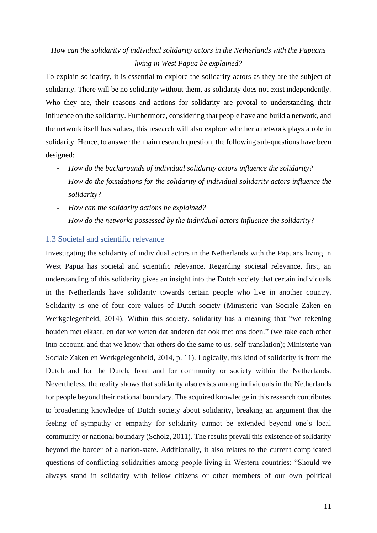## *How can the solidarity of individual solidarity actors in the Netherlands with the Papuans living in West Papua be explained?*

To explain solidarity, it is essential to explore the solidarity actors as they are the subject of solidarity. There will be no solidarity without them, as solidarity does not exist independently. Who they are, their reasons and actions for solidarity are pivotal to understanding their influence on the solidarity. Furthermore, considering that people have and build a network, and the network itself has values, this research will also explore whether a network plays a role in solidarity. Hence, to answer the main research question, the following sub-questions have been designed:

- *How do the backgrounds of individual solidarity actors influence the solidarity?*
- *How do the foundations for the solidarity of individual solidarity actors influence the solidarity?*
- *How can the solidarity actions be explained?*
- *How do the networks possessed by the individual actors influence the solidarity?*

#### <span id="page-11-0"></span>1.3 Societal and scientific relevance

Investigating the solidarity of individual actors in the Netherlands with the Papuans living in West Papua has societal and scientific relevance. Regarding societal relevance, first, an understanding of this solidarity gives an insight into the Dutch society that certain individuals in the Netherlands have solidarity towards certain people who live in another country. Solidarity is one of four core values of Dutch society (Ministerie van Sociale Zaken en Werkgelegenheid, 2014). Within this society, solidarity has a meaning that "we rekening houden met elkaar, en dat we weten dat anderen dat ook met ons doen." (we take each other into account, and that we know that others do the same to us, self-translation); Ministerie van Sociale Zaken en Werkgelegenheid, 2014, p. 11). Logically, this kind of solidarity is from the Dutch and for the Dutch, from and for community or society within the Netherlands. Nevertheless, the reality shows that solidarity also exists among individuals in the Netherlands for people beyond their national boundary. The acquired knowledge in this research contributes to broadening knowledge of Dutch society about solidarity, breaking an argument that the feeling of sympathy or empathy for solidarity cannot be extended beyond one's local community or national boundary (Scholz, 2011). The results prevail this existence of solidarity beyond the border of a nation-state. Additionally, it also relates to the current complicated questions of conflicting solidarities among people living in Western countries: "Should we always stand in solidarity with fellow citizens or other members of our own political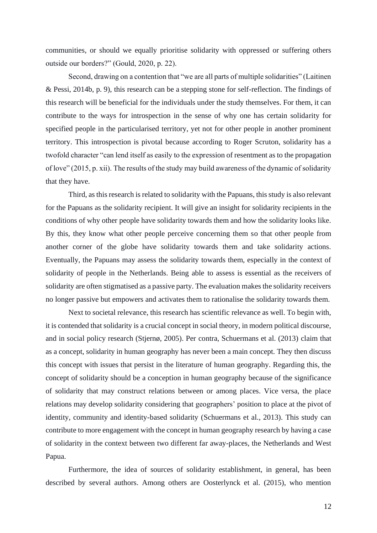communities, or should we equally prioritise solidarity with oppressed or suffering others outside our borders?" (Gould, 2020, p. 22).

Second, drawing on a contention that "we are all parts of multiple solidarities" (Laitinen & Pessi, 2014b, p. 9), this research can be a stepping stone for self-reflection. The findings of this research will be beneficial for the individuals under the study themselves. For them, it can contribute to the ways for introspection in the sense of why one has certain solidarity for specified people in the particularised territory, yet not for other people in another prominent territory. This introspection is pivotal because according to Roger Scruton, solidarity has a twofold character "can lend itself as easily to the expression of resentment as to the propagation of love" (2015, p. xii). The results of the study may build awareness of the dynamic of solidarity that they have.

Third, as this research is related to solidarity with the Papuans, this study is also relevant for the Papuans as the solidarity recipient. It will give an insight for solidarity recipients in the conditions of why other people have solidarity towards them and how the solidarity looks like. By this, they know what other people perceive concerning them so that other people from another corner of the globe have solidarity towards them and take solidarity actions. Eventually, the Papuans may assess the solidarity towards them, especially in the context of solidarity of people in the Netherlands. Being able to assess is essential as the receivers of solidarity are often stigmatised as a passive party. The evaluation makes the solidarity receivers no longer passive but empowers and activates them to rationalise the solidarity towards them.

Next to societal relevance, this research has scientific relevance as well. To begin with, it is contended that solidarity is a crucial concept in social theory, in modern political discourse, and in social policy research (Stjernø, 2005). Per contra, Schuermans et al. (2013) claim that as a concept, solidarity in human geography has never been a main concept. They then discuss this concept with issues that persist in the literature of human geography. Regarding this, the concept of solidarity should be a conception in human geography because of the significance of solidarity that may construct relations between or among places. Vice versa, the place relations may develop solidarity considering that geographers' position to place at the pivot of identity, community and identity-based solidarity (Schuermans et al., 2013). This study can contribute to more engagement with the concept in human geography research by having a case of solidarity in the context between two different far away-places, the Netherlands and West Papua.

Furthermore, the idea of sources of solidarity establishment, in general, has been described by several authors. Among others are Oosterlynck et al. (2015), who mention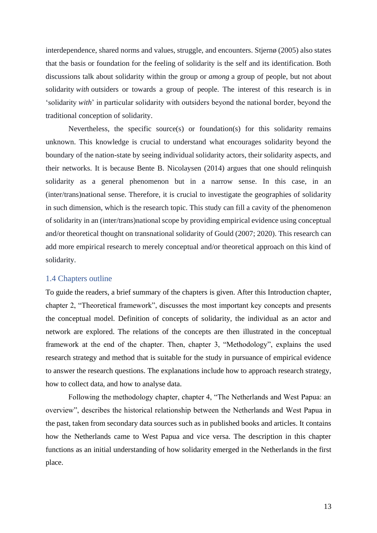interdependence, shared norms and values, struggle, and encounters. Stjernø (2005) also states that the basis or foundation for the feeling of solidarity is the self and its identification. Both discussions talk about solidarity within the group or *among* a group of people, but not about solidarity *with* outsiders or towards a group of people. The interest of this research is in 'solidarity *with*' in particular solidarity with outsiders beyond the national border, beyond the traditional conception of solidarity.

Nevertheless, the specific source(s) or foundation(s) for this solidarity remains unknown. This knowledge is crucial to understand what encourages solidarity beyond the boundary of the nation-state by seeing individual solidarity actors, their solidarity aspects, and their networks. It is because Bente B. Nicolaysen (2014) argues that one should relinquish solidarity as a general phenomenon but in a narrow sense. In this case, in an (inter/trans)national sense. Therefore, it is crucial to investigate the geographies of solidarity in such dimension, which is the research topic. This study can fill a cavity of the phenomenon of solidarity in an (inter/trans)national scope by providing empirical evidence using conceptual and/or theoretical thought on transnational solidarity of Gould (2007; 2020). This research can add more empirical research to merely conceptual and/or theoretical approach on this kind of solidarity.

#### <span id="page-13-0"></span>1.4 Chapters outline

To guide the readers, a brief summary of the chapters is given. After this Introduction chapter, chapter 2, "Theoretical framework", discusses the most important key concepts and presents the conceptual model. Definition of concepts of solidarity, the individual as an actor and network are explored. The relations of the concepts are then illustrated in the conceptual framework at the end of the chapter. Then, chapter 3, "Methodology", explains the used research strategy and method that is suitable for the study in pursuance of empirical evidence to answer the research questions. The explanations include how to approach research strategy, how to collect data, and how to analyse data.

Following the methodology chapter, chapter 4, "The Netherlands and West Papua: an overview", describes the historical relationship between the Netherlands and West Papua in the past, taken from secondary data sources such as in published books and articles. It contains how the Netherlands came to West Papua and vice versa. The description in this chapter functions as an initial understanding of how solidarity emerged in the Netherlands in the first place.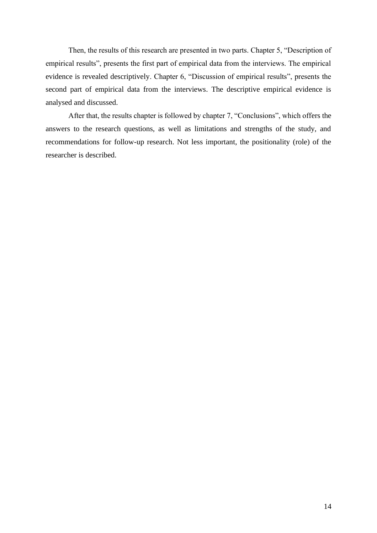Then, the results of this research are presented in two parts. Chapter 5, "Description of empirical results", presents the first part of empirical data from the interviews. The empirical evidence is revealed descriptively. Chapter 6, "Discussion of empirical results", presents the second part of empirical data from the interviews. The descriptive empirical evidence is analysed and discussed.

After that, the results chapter is followed by chapter 7, "Conclusions", which offers the answers to the research questions, as well as limitations and strengths of the study, and recommendations for follow-up research. Not less important, the positionality (role) of the researcher is described.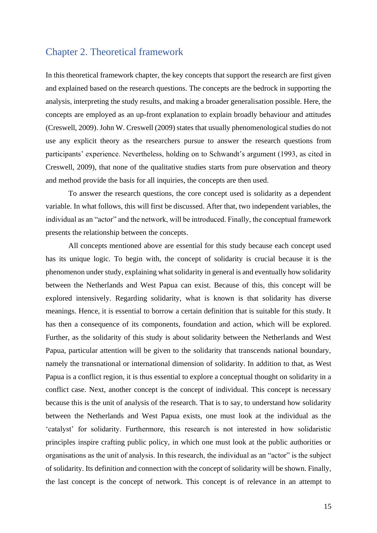### <span id="page-15-0"></span>Chapter 2. Theoretical framework

In this theoretical framework chapter, the key concepts that support the research are first given and explained based on the research questions. The concepts are the bedrock in supporting the analysis, interpreting the study results, and making a broader generalisation possible. Here, the concepts are employed as an up-front explanation to explain broadly behaviour and attitudes (Creswell, 2009). John W. Creswell (2009) states that usually phenomenological studies do not use any explicit theory as the researchers pursue to answer the research questions from participants' experience. Nevertheless, holding on to Schwandt's argument (1993, as cited in Creswell, 2009), that none of the qualitative studies starts from pure observation and theory and method provide the basis for all inquiries, the concepts are then used.

To answer the research questions, the core concept used is solidarity as a dependent variable. In what follows, this will first be discussed. After that, two independent variables, the individual as an "actor" and the network, will be introduced. Finally, the conceptual framework presents the relationship between the concepts.

All concepts mentioned above are essential for this study because each concept used has its unique logic. To begin with, the concept of solidarity is crucial because it is the phenomenon under study, explaining what solidarity in general is and eventually how solidarity between the Netherlands and West Papua can exist. Because of this, this concept will be explored intensively. Regarding solidarity, what is known is that solidarity has diverse meanings. Hence, it is essential to borrow a certain definition that is suitable for this study. It has then a consequence of its components, foundation and action, which will be explored. Further, as the solidarity of this study is about solidarity between the Netherlands and West Papua, particular attention will be given to the solidarity that transcends national boundary, namely the transnational or international dimension of solidarity. In addition to that, as West Papua is a conflict region, it is thus essential to explore a conceptual thought on solidarity in a conflict case. Next, another concept is the concept of individual. This concept is necessary because this is the unit of analysis of the research. That is to say, to understand how solidarity between the Netherlands and West Papua exists, one must look at the individual as the 'catalyst' for solidarity. Furthermore, this research is not interested in how solidaristic principles inspire crafting public policy, in which one must look at the public authorities or organisations as the unit of analysis. In this research, the individual as an "actor" is the subject of solidarity. Its definition and connection with the concept of solidarity will be shown. Finally, the last concept is the concept of network. This concept is of relevance in an attempt to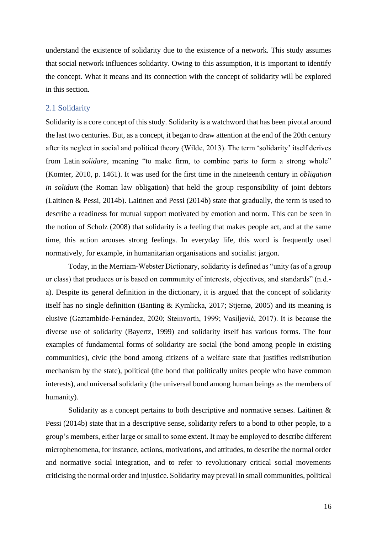understand the existence of solidarity due to the existence of a network. This study assumes that social network influences solidarity. Owing to this assumption, it is important to identify the concept. What it means and its connection with the concept of solidarity will be explored in this section.

#### <span id="page-16-0"></span>2.1 Solidarity

Solidarity is a core concept of this study. Solidarity is a watchword that has been pivotal around the last two centuries. But, as a concept, it began to draw attention at the end of the 20th century after its neglect in social and political theory (Wilde, 2013). The term 'solidarity' itself derives from Latin *solidare*, meaning "to make firm, to combine parts to form a strong whole" (Komter, 2010, p. 1461). It was used for the first time in the nineteenth century in *obligation in solidum* (the Roman law obligation) that held the group responsibility of joint debtors (Laitinen & Pessi, 2014b). Laitinen and Pessi (2014b) state that gradually, the term is used to describe a readiness for mutual support motivated by emotion and norm. This can be seen in the notion of Scholz (2008) that solidarity is a feeling that makes people act, and at the same time, this action arouses strong feelings. In everyday life, this word is frequently used normatively, for example, in humanitarian organisations and socialist jargon.

Today, in the Merriam-Webster Dictionary, solidarity is defined as "unity (as of a group or class) that produces or is based on community of interests, objectives, and standards" (n.d. a). Despite its general definition in the dictionary, it is argued that the concept of solidarity itself has no single definition (Banting & Kymlicka, 2017; Stjernø, 2005) and its meaning is elusive (Gaztambide-Fernández, 2020; Steinvorth, 1999; Vasiljević, 2017). It is because the diverse use of solidarity (Bayertz, 1999) and solidarity itself has various forms. The four examples of fundamental forms of solidarity are social (the bond among people in existing communities), civic (the bond among citizens of a welfare state that justifies redistribution mechanism by the state), political (the bond that politically unites people who have common interests), and universal solidarity (the universal bond among human beings as the members of humanity).

Solidarity as a concept pertains to both descriptive and normative senses. Laitinen & Pessi (2014b) state that in a descriptive sense, solidarity refers to a bond to other people, to a group's members, either large or small to some extent. It may be employed to describe different microphenomena, for instance, actions, motivations, and attitudes, to describe the normal order and normative social integration, and to refer to revolutionary critical social movements criticising the normal order and injustice. Solidarity may prevail in small communities, political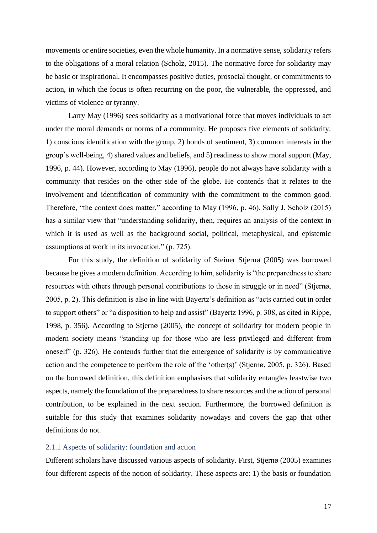movements or entire societies, even the whole humanity. In a normative sense, solidarity refers to the obligations of a moral relation (Scholz, 2015). The normative force for solidarity may be basic or inspirational. It encompasses positive duties, prosocial thought, or commitments to action, in which the focus is often recurring on the poor, the vulnerable, the oppressed, and victims of violence or tyranny.

Larry May (1996) sees solidarity as a motivational force that moves individuals to act under the moral demands or norms of a community. He proposes five elements of solidarity: 1) conscious identification with the group, 2) bonds of sentiment, 3) common interests in the group's well-being, 4) shared values and beliefs, and 5) readiness to show moral support (May, 1996, p. 44). However, according to May (1996), people do not always have solidarity with a community that resides on the other side of the globe. He contends that it relates to the involvement and identification of community with the commitment to the common good. Therefore, "the context does matter," according to May (1996, p. 46). Sally J. Scholz (2015) has a similar view that "understanding solidarity, then, requires an analysis of the context in which it is used as well as the background social, political, metaphysical, and epistemic assumptions at work in its invocation." (p. 725).

For this study, the definition of solidarity of Steiner Stjernø (2005) was borrowed because he gives a modern definition. According to him, solidarity is "the preparedness to share resources with others through personal contributions to those in struggle or in need" (Stjernø, 2005, p. 2). This definition is also in line with Bayertz's definition as "acts carried out in order to support others" or "a disposition to help and assist" (Bayertz 1996, p. 308, as cited in Rippe, 1998, p. 356). According to Stjernø (2005), the concept of solidarity for modern people in modern society means "standing up for those who are less privileged and different from oneself" (p. 326). He contends further that the emergence of solidarity is by communicative action and the competence to perform the role of the 'other(s)' (Stjernø, 2005, p. 326). Based on the borrowed definition, this definition emphasises that solidarity entangles leastwise two aspects, namely the foundation of the preparedness to share resources and the action of personal contribution, to be explained in the next section. Furthermore, the borrowed definition is suitable for this study that examines solidarity nowadays and covers the gap that other definitions do not.

#### <span id="page-17-0"></span>2.1.1 Aspects of solidarity: foundation and action

Different scholars have discussed various aspects of solidarity. First, Stjernø (2005) examines four different aspects of the notion of solidarity. These aspects are: 1) the basis or foundation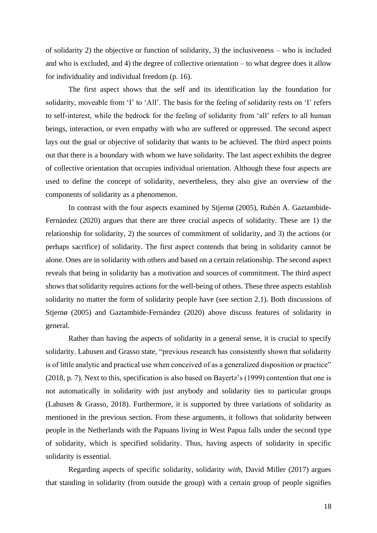of solidarity 2) the objective or function of solidarity, 3) the inclusiveness – who is included and who is excluded, and 4) the degree of collective orientation – to what degree does it allow for individuality and individual freedom (p. 16).

The first aspect shows that the self and its identification lay the foundation for solidarity, moveable from 'I' to 'All'. The basis for the feeling of solidarity rests on 'I' refers to self-interest, while the bedrock for the feeling of solidarity from 'all' refers to all human beings, interaction, or even empathy with who are suffered or oppressed. The second aspect lays out the goal or objective of solidarity that wants to be achieved. The third aspect points out that there is a boundary with whom we have solidarity. The last aspect exhibits the degree of collective orientation that occupies individual orientation. Although these four aspects are used to define the concept of solidarity, nevertheless, they also give an overview of the components of solidarity as a phenomenon.

In contrast with the four aspects examined by Stjernø (2005), Rubén A. Gaztambide-Fernández (2020) argues that there are three crucial aspects of solidarity. These are 1) the relationship for solidarity, 2) the sources of commitment of solidarity, and 3) the actions (or perhaps sacrifice) of solidarity. The first aspect contends that being in solidarity cannot be alone. Ones are in solidarity with others and based on a certain relationship. The second aspect reveals that being in solidarity has a motivation and sources of commitment. The third aspect shows that solidarity requires actions for the well-being of others. These three aspects establish solidarity no matter the form of solidarity people have (see section 2.1). Both discussions of Stjernø (2005) and Gaztambide-Fernández (2020) above discuss features of solidarity in general.

Rather than having the aspects of solidarity in a general sense, it is crucial to specify solidarity. Lahusen and Grasso state, "previous research has consistently shown that solidarity is of little analytic and practical use when conceived of as a generalized disposition or practice" (2018, p. 7). Next to this, specification is also based on Bayertz's (1999) contention that one is not automatically in solidarity with just anybody and solidarity ties to particular groups (Lahusen & Grasso, 2018). Furthermore, it is supported by three variations of solidarity as mentioned in the previous section. From these arguments, it follows that solidarity between people in the Netherlands with the Papuans living in West Papua falls under the second type of solidarity, which is specified solidarity. Thus, having aspects of solidarity in specific solidarity is essential.

Regarding aspects of specific solidarity, solidarity *with*, David Miller (2017) argues that standing in solidarity (from outside the group) with a certain group of people signifies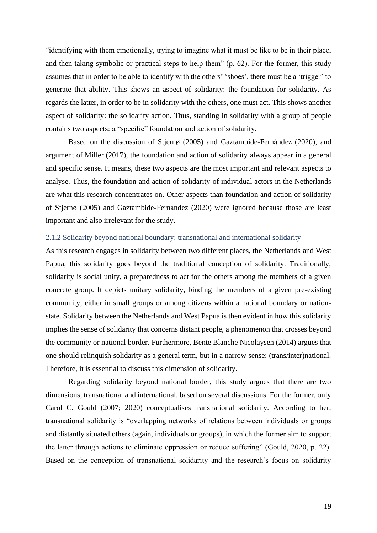"identifying with them emotionally, trying to imagine what it must be like to be in their place, and then taking symbolic or practical steps to help them" (p. 62). For the former, this study assumes that in order to be able to identify with the others' 'shoes', there must be a 'trigger' to generate that ability. This shows an aspect of solidarity: the foundation for solidarity. As regards the latter, in order to be in solidarity with the others, one must act. This shows another aspect of solidarity: the solidarity action. Thus, standing in solidarity with a group of people contains two aspects: a "specific" foundation and action of solidarity.

Based on the discussion of Stjernø (2005) and Gaztambide-Fernández (2020), and argument of Miller (2017), the foundation and action of solidarity always appear in a general and specific sense. It means, these two aspects are the most important and relevant aspects to analyse. Thus, the foundation and action of solidarity of individual actors in the Netherlands are what this research concentrates on. Other aspects than foundation and action of solidarity of Stjernø (2005) and Gaztambide-Fernández (2020) were ignored because those are least important and also irrelevant for the study.

#### <span id="page-19-0"></span>2.1.2 Solidarity beyond national boundary: transnational and international solidarity

As this research engages in solidarity between two different places, the Netherlands and West Papua, this solidarity goes beyond the traditional conception of solidarity. Traditionally, solidarity is social unity, a preparedness to act for the others among the members of a given concrete group. It depicts unitary solidarity, binding the members of a given pre-existing community, either in small groups or among citizens within a national boundary or nationstate. Solidarity between the Netherlands and West Papua is then evident in how this solidarity implies the sense of solidarity that concerns distant people, a phenomenon that crosses beyond the community or national border. Furthermore, Bente Blanche Nicolaysen (2014) argues that one should relinquish solidarity as a general term, but in a narrow sense: (trans/inter)national. Therefore, it is essential to discuss this dimension of solidarity.

Regarding solidarity beyond national border, this study argues that there are two dimensions, transnational and international, based on several discussions. For the former, only Carol C. Gould (2007; 2020) conceptualises transnational solidarity. According to her, transnational solidarity is "overlapping networks of relations between individuals or groups and distantly situated others (again, individuals or groups), in which the former aim to support the latter through actions to eliminate oppression or reduce suffering" (Gould, 2020, p. 22). Based on the conception of transnational solidarity and the research's focus on solidarity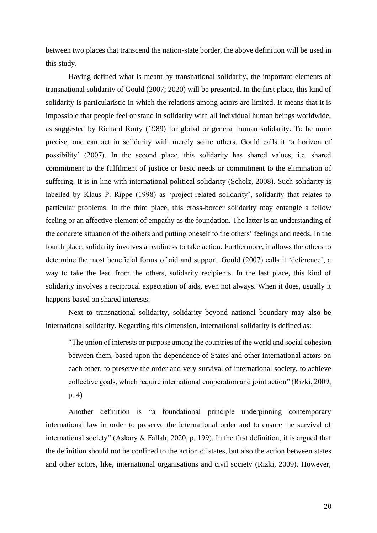between two places that transcend the nation-state border, the above definition will be used in this study.

Having defined what is meant by transnational solidarity, the important elements of transnational solidarity of Gould (2007; 2020) will be presented. In the first place, this kind of solidarity is particularistic in which the relations among actors are limited. It means that it is impossible that people feel or stand in solidarity with all individual human beings worldwide, as suggested by Richard Rorty (1989) for global or general human solidarity. To be more precise, one can act in solidarity with merely some others. Gould calls it 'a horizon of possibility' (2007). In the second place, this solidarity has shared values, i.e. shared commitment to the fulfilment of justice or basic needs or commitment to the elimination of suffering. It is in line with international political solidarity (Scholz, 2008). Such solidarity is labelled by Klaus P. Rippe (1998) as 'project-related solidarity', solidarity that relates to particular problems. In the third place, this cross-border solidarity may entangle a fellow feeling or an affective element of empathy as the foundation. The latter is an understanding of the concrete situation of the others and putting oneself to the others' feelings and needs. In the fourth place, solidarity involves a readiness to take action. Furthermore, it allows the others to determine the most beneficial forms of aid and support. Gould (2007) calls it 'deference', a way to take the lead from the others, solidarity recipients. In the last place, this kind of solidarity involves a reciprocal expectation of aids, even not always. When it does, usually it happens based on shared interests.

Next to transnational solidarity, solidarity beyond national boundary may also be international solidarity. Regarding this dimension, international solidarity is defined as:

"The union of interests or purpose among the countries of the world and social cohesion between them, based upon the dependence of States and other international actors on each other, to preserve the order and very survival of international society, to achieve collective goals, which require international cooperation and joint action" (Rizki, 2009, p. 4)

Another definition is "a foundational principle underpinning contemporary international law in order to preserve the international order and to ensure the survival of international society" (Askary & Fallah, 2020, p. 199). In the first definition, it is argued that the definition should not be confined to the action of states, but also the action between states and other actors, like, international organisations and civil society (Rizki, 2009). However,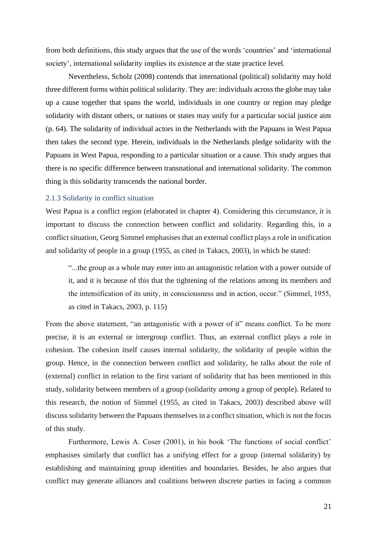from both definitions, this study argues that the use of the words 'countries' and 'international society', international solidarity implies its existence at the state practice level.

Nevertheless, Scholz (2008) contends that international (political) solidarity may hold three different forms within political solidarity. They are: individuals across the globe may take up a cause together that spans the world, individuals in one country or region may pledge solidarity with distant others, or nations or states may unify for a particular social justice aim (p. 64). The solidarity of individual actors in the Netherlands with the Papuans in West Papua then takes the second type. Herein, individuals in the Netherlands pledge solidarity with the Papuans in West Papua, responding to a particular situation or a cause. This study argues that there is no specific difference between transnational and international solidarity. The common thing is this solidarity transcends the national border.

#### <span id="page-21-0"></span>2.1.3 Solidarity in conflict situation

West Papua is a conflict region (elaborated in chapter 4). Considering this circumstance, it is important to discuss the connection between conflict and solidarity. Regarding this, in a conflict situation, Georg Simmel emphasises that an external conflict plays a role in unification and solidarity of people in a group (1955, as cited in Takacs, 2003), in which he stated:

"...the group as a whole may enter into an antagonistic relation with a power outside of it, and it is because of this that the tightening of the relations among its members and the intensification of its unity, in consciousness and in action, occur." (Simmel, 1955, as cited in Takacs, 2003, p. 115)

From the above statement, "an antagonistic with a power of it" means conflict. To be more precise, it is an external or intergroup conflict. Thus, an external conflict plays a role in cohesion. The cohesion itself causes internal solidarity, the solidarity of people within the group. Hence, in the connection between conflict and solidarity, he talks about the role of (external) conflict in relation to the first variant of solidarity that has been mentioned in this study, solidarity between members of a group (solidarity *among* a group of people). Related to this research, the notion of Simmel (1955, as cited in Takacs, 2003) described above will discuss solidarity between the Papuans themselves in a conflict situation, which is not the focus of this study.

Furthermore, Lewis A. Coser (2001), in his book 'The functions of social conflict' emphasises similarly that conflict has a unifying effect for a group (internal solidarity) by establishing and maintaining group identities and boundaries. Besides, he also argues that conflict may generate alliances and coalitions between discrete parties in facing a common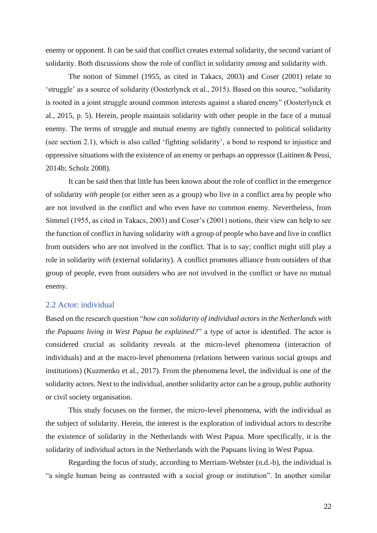enemy or opponent. It can be said that conflict creates external solidarity, the second variant of solidarity. Both discussions show the role of conflict in solidarity *among* and solidarity *with*.

The notion of Simmel (1955, as cited in Takacs, 2003) and Coser (2001) relate to 'struggle' as a source of solidarity (Oosterlynck et al., 2015). Based on this source, "solidarity is rooted in a joint struggle around common interests against a shared enemy" (Oosterlynck et al., 2015, p. 5). Herein, people maintain solidarity with other people in the face of a mutual enemy. The terms of struggle and mutual enemy are tightly connected to political solidarity (see section 2.1), which is also called 'fighting solidarity', a bond to respond to injustice and oppressive situations with the existence of an enemy or perhaps an oppressor (Laitinen & Pessi, 2014b; Scholz 2008).

It can be said then that little has been known about the role of conflict in the emergence of solidarity *with* people (or either seen as a group) who live in a conflict area by people who are not involved in the conflict and who even have no common enemy. Nevertheless, from Simmel (1955, as cited in Takacs, 2003) and Coser's (2001) notions, their view can help to see the function of conflict in having solidarity *with* a group of people who have and live in conflict from outsiders who are not involved in the conflict. That is to say; conflict might still play a role in solidarity *with* (external solidarity). A conflict promotes alliance from outsiders of that group of people, even from outsiders who are not involved in the conflict or have no mutual enemy.

#### <span id="page-22-0"></span>2.2 Actor: individual

Based on the research question "*how can solidarity of individual actors in the Netherlands with the Papuans living in West Papua be explained?*" a type of actor is identified. The actor is considered crucial as solidarity reveals at the micro-level phenomena (interaction of individuals) and at the macro-level phenomena (relations between various social groups and institutions) (Kuzmenko et al., 2017). From the phenomena level, the individual is one of the solidarity actors. Next to the individual, another solidarity actor can be a group, public authority or civil society organisation.

This study focuses on the former, the micro-level phenomena, with the individual as the subject of solidarity. Herein, the interest is the exploration of individual actors to describe the existence of solidarity in the Netherlands with West Papua. More specifically, it is the solidarity of individual actors in the Netherlands with the Papuans living in West Papua.

Regarding the focus of study, according to Merriam-Webster (n.d.-b), the individual is "a single human being as contrasted with a social group or institution". In another similar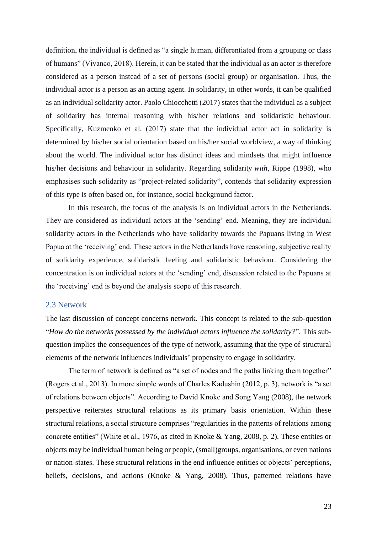definition, the individual is defined as "a single human, differentiated from a grouping or class of humans" (Vivanco, 2018). Herein, it can be stated that the individual as an actor is therefore considered as a person instead of a set of persons (social group) or organisation. Thus, the individual actor is a person as an acting agent. In solidarity, in other words, it can be qualified as an individual solidarity actor. Paolo Chiocchetti (2017) states that the individual as a subject of solidarity has internal reasoning with his/her relations and solidaristic behaviour. Specifically, Kuzmenko et al. (2017) state that the individual actor act in solidarity is determined by his/her social orientation based on his/her social worldview, a way of thinking about the world. The individual actor has distinct ideas and mindsets that might influence his/her decisions and behaviour in solidarity. Regarding solidarity *with*, Rippe (1998), who emphasises such solidarity as "project-related solidarity", contends that solidarity expression of this type is often based on, for instance, social background factor.

In this research, the focus of the analysis is on individual actors in the Netherlands. They are considered as individual actors at the 'sending' end. Meaning, they are individual solidarity actors in the Netherlands who have solidarity towards the Papuans living in West Papua at the 'receiving' end. These actors in the Netherlands have reasoning, subjective reality of solidarity experience, solidaristic feeling and solidaristic behaviour. Considering the concentration is on individual actors at the 'sending' end, discussion related to the Papuans at the 'receiving' end is beyond the analysis scope of this research.

#### <span id="page-23-0"></span>2.3 Network

The last discussion of concept concerns network. This concept is related to the sub-question "*How do the networks possessed by the individual actors influence the solidarity?*". This subquestion implies the consequences of the type of network, assuming that the type of structural elements of the network influences individuals' propensity to engage in solidarity.

The term of network is defined as "a set of nodes and the paths linking them together" (Rogers et al., 2013). In more simple words of Charles Kadushin (2012, p. 3), network is "a set of relations between objects". According to David Knoke and Song Yang (2008), the network perspective reiterates structural relations as its primary basis orientation. Within these structural relations, a social structure comprises "regularities in the patterns of relations among concrete entities" (White et al., 1976, as cited in Knoke & Yang, 2008, p. 2). These entities or objects may be individual human being or people, (small)groups, organisations, or even nations or nation-states. These structural relations in the end influence entities or objects' perceptions, beliefs, decisions, and actions (Knoke & Yang, 2008). Thus, patterned relations have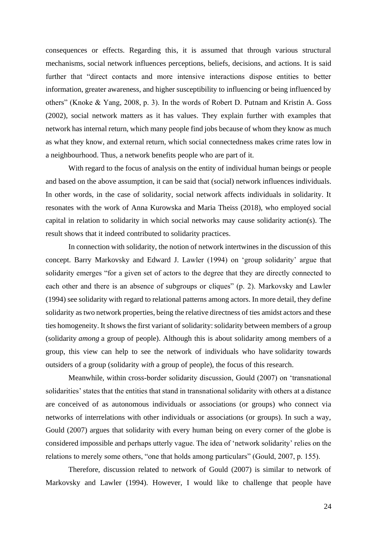consequences or effects. Regarding this, it is assumed that through various structural mechanisms, social network influences perceptions, beliefs, decisions, and actions. It is said further that "direct contacts and more intensive interactions dispose entities to better information, greater awareness, and higher susceptibility to influencing or being influenced by others" (Knoke & Yang, 2008, p. 3). In the words of Robert D. Putnam and Kristin A. Goss (2002), social network matters as it has values. They explain further with examples that network has internal return, which many people find jobs because of whom they know as much as what they know, and external return, which social connectedness makes crime rates low in a neighbourhood. Thus, a network benefits people who are part of it.

With regard to the focus of analysis on the entity of individual human beings or people and based on the above assumption, it can be said that (social) network influences individuals. In other words, in the case of solidarity, social network affects individuals in solidarity. It resonates with the work of Anna Kurowska and Maria Theiss (2018), who employed social capital in relation to solidarity in which social networks may cause solidarity action(s). The result shows that it indeed contributed to solidarity practices.

In connection with solidarity, the notion of network intertwines in the discussion of this concept. Barry Markovsky and Edward J. Lawler (1994) on 'group solidarity' argue that solidarity emerges "for a given set of actors to the degree that they are directly connected to each other and there is an absence of subgroups or cliques" (p. 2). Markovsky and Lawler (1994) see solidarity with regard to relational patterns among actors. In more detail, they define solidarity as two network properties, being the relative directness of ties amidst actors and these ties homogeneity. It shows the first variant of solidarity: solidarity between members of a group (solidarity *among* a group of people). Although this is about solidarity among members of a group, this view can help to see the network of individuals who have solidarity towards outsiders of a group (solidarity *with* a group of people), the focus of this research.

Meanwhile, within cross-border solidarity discussion, Gould (2007) on 'transnational solidarities' states that the entities that stand in transnational solidarity with others at a distance are conceived of as autonomous individuals or associations (or groups) who connect via networks of interrelations with other individuals or associations (or groups). In such a way, Gould (2007) argues that solidarity with every human being on every corner of the globe is considered impossible and perhaps utterly vague. The idea of 'network solidarity' relies on the relations to merely some others, "one that holds among particulars" (Gould, 2007, p. 155).

Therefore, discussion related to network of Gould (2007) is similar to network of Markovsky and Lawler (1994). However, I would like to challenge that people have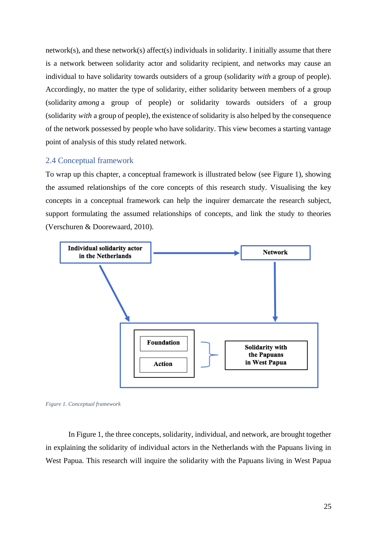network(s), and these network(s) affect(s) individuals in solidarity. I initially assume that there is a network between solidarity actor and solidarity recipient, and networks may cause an individual to have solidarity towards outsiders of a group (solidarity *with* a group of people). Accordingly, no matter the type of solidarity, either solidarity between members of a group (solidarity *among* a group of people) or solidarity towards outsiders of a group (solidarity *with* a group of people), the existence of solidarity is also helped by the consequence of the network possessed by people who have solidarity. This view becomes a starting vantage point of analysis of this study related network.

#### <span id="page-25-0"></span>2.4 Conceptual framework

To wrap up this chapter, a conceptual framework is illustrated below (see Figure 1), showing the assumed relationships of the core concepts of this research study. Visualising the key concepts in a conceptual framework can help the inquirer demarcate the research subject, support formulating the assumed relationships of concepts, and link the study to theories (Verschuren & Doorewaard, 2010).



<span id="page-25-1"></span>

In Figure 1, the three concepts, solidarity, individual, and network, are brought together in explaining the solidarity of individual actors in the Netherlands with the Papuans living in West Papua. This research will inquire the solidarity with the Papuans living in West Papua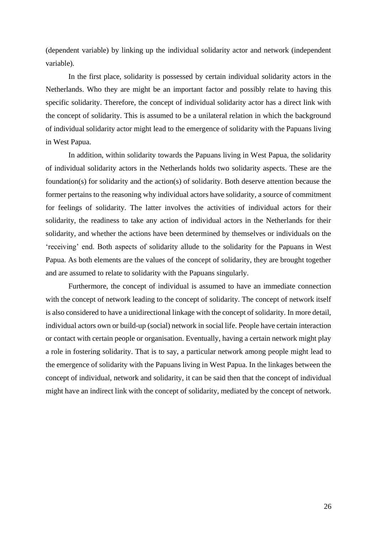(dependent variable) by linking up the individual solidarity actor and network (independent variable).

In the first place, solidarity is possessed by certain individual solidarity actors in the Netherlands. Who they are might be an important factor and possibly relate to having this specific solidarity. Therefore, the concept of individual solidarity actor has a direct link with the concept of solidarity. This is assumed to be a unilateral relation in which the background of individual solidarity actor might lead to the emergence of solidarity with the Papuans living in West Papua.

In addition, within solidarity towards the Papuans living in West Papua, the solidarity of individual solidarity actors in the Netherlands holds two solidarity aspects. These are the foundation(s) for solidarity and the action(s) of solidarity. Both deserve attention because the former pertains to the reasoning why individual actors have solidarity, a source of commitment for feelings of solidarity. The latter involves the activities of individual actors for their solidarity, the readiness to take any action of individual actors in the Netherlands for their solidarity, and whether the actions have been determined by themselves or individuals on the 'receiving' end. Both aspects of solidarity allude to the solidarity for the Papuans in West Papua. As both elements are the values of the concept of solidarity, they are brought together and are assumed to relate to solidarity with the Papuans singularly.

Furthermore, the concept of individual is assumed to have an immediate connection with the concept of network leading to the concept of solidarity. The concept of network itself is also considered to have a unidirectional linkage with the concept of solidarity. In more detail, individual actors own or build-up (social) network in social life. People have certain interaction or contact with certain people or organisation. Eventually, having a certain network might play a role in fostering solidarity. That is to say, a particular network among people might lead to the emergence of solidarity with the Papuans living in West Papua. In the linkages between the concept of individual, network and solidarity, it can be said then that the concept of individual might have an indirect link with the concept of solidarity, mediated by the concept of network.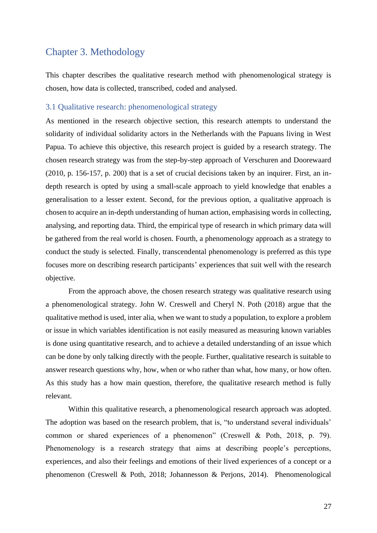## <span id="page-27-0"></span>Chapter 3. Methodology

This chapter describes the qualitative research method with phenomenological strategy is chosen, how data is collected, transcribed, coded and analysed.

#### <span id="page-27-1"></span>3.1 Qualitative research: phenomenological strategy

As mentioned in the research objective section, this research attempts to understand the solidarity of individual solidarity actors in the Netherlands with the Papuans living in West Papua. To achieve this objective, this research project is guided by a research strategy. The chosen research strategy was from the step-by-step approach of Verschuren and Doorewaard (2010, p. 156-157, p. 200) that is a set of crucial decisions taken by an inquirer. First, an indepth research is opted by using a small-scale approach to yield knowledge that enables a generalisation to a lesser extent. Second, for the previous option, a qualitative approach is chosen to acquire an in-depth understanding of human action, emphasising words in collecting, analysing, and reporting data. Third, the empirical type of research in which primary data will be gathered from the real world is chosen. Fourth, a phenomenology approach as a strategy to conduct the study is selected. Finally, transcendental phenomenology is preferred as this type focuses more on describing research participants' experiences that suit well with the research objective.

From the approach above, the chosen research strategy was qualitative research using a phenomenological strategy. John W. Creswell and Cheryl N. Poth (2018) argue that the qualitative method is used, inter alia, when we want to study a population, to explore a problem or issue in which variables identification is not easily measured as measuring known variables is done using quantitative research, and to achieve a detailed understanding of an issue which can be done by only talking directly with the people. Further, qualitative research is suitable to answer research questions why, how, when or who rather than what, how many, or how often. As this study has a how main question, therefore, the qualitative research method is fully relevant.

Within this qualitative research, a phenomenological research approach was adopted. The adoption was based on the research problem, that is, "to understand several individuals' common or shared experiences of a phenomenon" (Creswell & Poth, 2018, p. 79). Phenomenology is a research strategy that aims at describing people's perceptions, experiences, and also their feelings and emotions of their lived experiences of a concept or a phenomenon (Creswell & Poth, 2018; Johannesson & Perjons, 2014). Phenomenological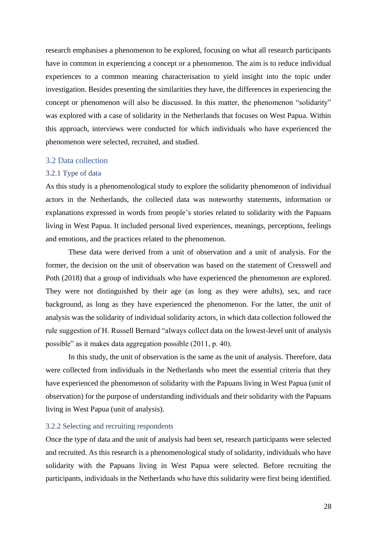research emphasises a phenomenon to be explored, focusing on what all research participants have in common in experiencing a concept or a phenomenon. The aim is to reduce individual experiences to a common meaning characterisation to yield insight into the topic under investigation. Besides presenting the similarities they have, the differences in experiencing the concept or phenomenon will also be discussed. In this matter, the phenomenon "solidarity" was explored with a case of solidarity in the Netherlands that focuses on West Papua. Within this approach, interviews were conducted for which individuals who have experienced the phenomenon were selected, recruited, and studied.

#### <span id="page-28-0"></span>3.2 Data collection

#### <span id="page-28-1"></span>3.2.1 Type of data

As this study is a phenomenological study to explore the solidarity phenomenon of individual actors in the Netherlands, the collected data was noteworthy statements, information or explanations expressed in words from people's stories related to solidarity with the Papuans living in West Papua. It included personal lived experiences, meanings, perceptions, feelings and emotions, and the practices related to the phenomenon.

These data were derived from a unit of observation and a unit of analysis. For the former, the decision on the unit of observation was based on the statement of Cresswell and Poth (2018) that a group of individuals who have experienced the phenomenon are explored. They were not distinguished by their age (as long as they were adults), sex, and race background, as long as they have experienced the phenomenon. For the latter, the unit of analysis was the solidarity of individual solidarity actors, in which data collection followed the rule suggestion of H. Russell Bernard "always collect data on the lowest-level unit of analysis possible" as it makes data aggregation possible (2011, p. 40).

In this study, the unit of observation is the same as the unit of analysis. Therefore, data were collected from individuals in the Netherlands who meet the essential criteria that they have experienced the phenomenon of solidarity with the Papuans living in West Papua (unit of observation) for the purpose of understanding individuals and their solidarity with the Papuans living in West Papua (unit of analysis).

#### <span id="page-28-2"></span>3.2.2 Selecting and recruiting respondents

Once the type of data and the unit of analysis had been set, research participants were selected and recruited. As this research is a phenomenological study of solidarity, individuals who have solidarity with the Papuans living in West Papua were selected. Before recruiting the participants, individuals in the Netherlands who have this solidarity were first being identified.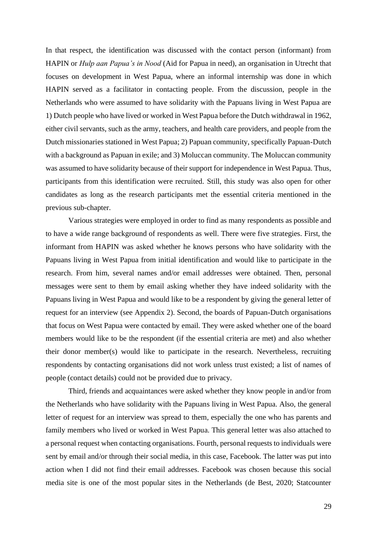In that respect, the identification was discussed with the contact person (informant) from HAPIN or *Hulp aan Papua's in Nood* (Aid for Papua in need), an organisation in Utrecht that focuses on development in West Papua, where an informal internship was done in which HAPIN served as a facilitator in contacting people. From the discussion, people in the Netherlands who were assumed to have solidarity with the Papuans living in West Papua are 1) Dutch people who have lived or worked in West Papua before the Dutch withdrawal in 1962, either civil servants, such as the army, teachers, and health care providers, and people from the Dutch missionaries stationed in West Papua; 2) Papuan community, specifically Papuan-Dutch with a background as Papuan in exile; and 3) Moluccan community. The Moluccan community was assumed to have solidarity because of their support for independence in West Papua. Thus, participants from this identification were recruited. Still, this study was also open for other candidates as long as the research participants met the essential criteria mentioned in the previous sub-chapter.

Various strategies were employed in order to find as many respondents as possible and to have a wide range background of respondents as well. There were five strategies. First, the informant from HAPIN was asked whether he knows persons who have solidarity with the Papuans living in West Papua from initial identification and would like to participate in the research. From him, several names and/or email addresses were obtained. Then, personal messages were sent to them by email asking whether they have indeed solidarity with the Papuans living in West Papua and would like to be a respondent by giving the general letter of request for an interview (see Appendix 2). Second, the boards of Papuan-Dutch organisations that focus on West Papua were contacted by email. They were asked whether one of the board members would like to be the respondent (if the essential criteria are met) and also whether their donor member(s) would like to participate in the research. Nevertheless, recruiting respondents by contacting organisations did not work unless trust existed; a list of names of people (contact details) could not be provided due to privacy.

Third, friends and acquaintances were asked whether they know people in and/or from the Netherlands who have solidarity with the Papuans living in West Papua. Also, the general letter of request for an interview was spread to them, especially the one who has parents and family members who lived or worked in West Papua. This general letter was also attached to a personal request when contacting organisations. Fourth, personal requests to individuals were sent by email and/or through their social media, in this case, Facebook. The latter was put into action when I did not find their email addresses. Facebook was chosen because this social media site is one of the most popular sites in the Netherlands (de Best, 2020; Statcounter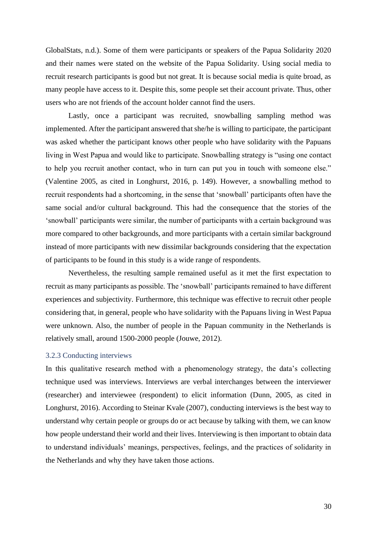GlobalStats, n.d.). Some of them were participants or speakers of the Papua Solidarity 2020 and their names were stated on the website of the Papua Solidarity. Using social media to recruit research participants is good but not great. It is because social media is quite broad, as many people have access to it. Despite this, some people set their account private. Thus, other users who are not friends of the account holder cannot find the users.

Lastly, once a participant was recruited, snowballing sampling method was implemented. After the participant answered that she/he is willing to participate, the participant was asked whether the participant knows other people who have solidarity with the Papuans living in West Papua and would like to participate. Snowballing strategy is "using one contact to help you recruit another contact, who in turn can put you in touch with someone else." (Valentine 2005, as cited in Longhurst, 2016, p. 149). However, a snowballing method to recruit respondents had a shortcoming, in the sense that 'snowball' participants often have the same social and/or cultural background. This had the consequence that the stories of the 'snowball' participants were similar, the number of participants with a certain background was more compared to other backgrounds, and more participants with a certain similar background instead of more participants with new dissimilar backgrounds considering that the expectation of participants to be found in this study is a wide range of respondents.

Nevertheless, the resulting sample remained useful as it met the first expectation to recruit as many participants as possible. The 'snowball' participants remained to have different experiences and subjectivity. Furthermore, this technique was effective to recruit other people considering that, in general, people who have solidarity with the Papuans living in West Papua were unknown. Also, the number of people in the Papuan community in the Netherlands is relatively small, around 1500-2000 people (Jouwe, 2012).

#### <span id="page-30-0"></span>3.2.3 Conducting interviews

In this qualitative research method with a phenomenology strategy, the data's collecting technique used was interviews. Interviews are verbal interchanges between the interviewer (researcher) and interviewee (respondent) to elicit information (Dunn, 2005, as cited in Longhurst, 2016). According to Steinar Kvale (2007), conducting interviews is the best way to understand why certain people or groups do or act because by talking with them, we can know how people understand their world and their lives. Interviewing is then important to obtain data to understand individuals' meanings, perspectives, feelings, and the practices of solidarity in the Netherlands and why they have taken those actions.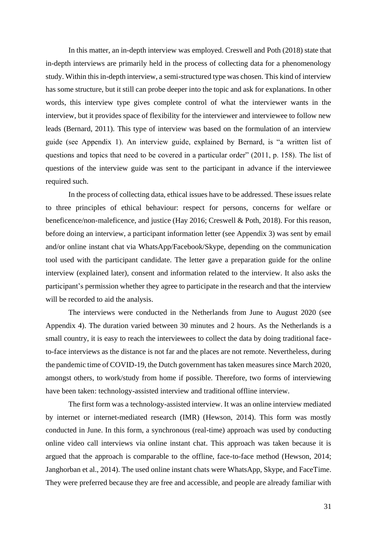In this matter, an in-depth interview was employed. Creswell and Poth (2018) state that in-depth interviews are primarily held in the process of collecting data for a phenomenology study. Within this in-depth interview, a semi-structured type was chosen. This kind of interview has some structure, but it still can probe deeper into the topic and ask for explanations. In other words, this interview type gives complete control of what the interviewer wants in the interview, but it provides space of flexibility for the interviewer and interviewee to follow new leads (Bernard, 2011). This type of interview was based on the formulation of an interview guide (see Appendix 1). An interview guide, explained by Bernard, is "a written list of questions and topics that need to be covered in a particular order" (2011, p. 158). The list of questions of the interview guide was sent to the participant in advance if the interviewee required such.

In the process of collecting data, ethical issues have to be addressed. These issues relate to three principles of ethical behaviour: respect for persons, concerns for welfare or beneficence/non-maleficence, and justice (Hay 2016; Creswell & Poth, 2018). For this reason, before doing an interview, a participant information letter (see Appendix 3) was sent by email and/or online instant chat via WhatsApp/Facebook/Skype, depending on the communication tool used with the participant candidate. The letter gave a preparation guide for the online interview (explained later), consent and information related to the interview. It also asks the participant's permission whether they agree to participate in the research and that the interview will be recorded to aid the analysis.

The interviews were conducted in the Netherlands from June to August 2020 (see Appendix 4). The duration varied between 30 minutes and 2 hours. As the Netherlands is a small country, it is easy to reach the interviewees to collect the data by doing traditional faceto-face interviews as the distance is not far and the places are not remote. Nevertheless, during the pandemic time of COVID-19, the Dutch government has taken measures since March 2020, amongst others, to work/study from home if possible. Therefore, two forms of interviewing have been taken: technology-assisted interview and traditional offline interview.

The first form was a technology-assisted interview. It was an online interview mediated by internet or internet-mediated research (IMR) (Hewson, 2014). This form was mostly conducted in June. In this form, a synchronous (real-time) approach was used by conducting online video call interviews via online instant chat. This approach was taken because it is argued that the approach is comparable to the offline, face-to-face method (Hewson, 2014; Janghorban et al., 2014). The used online instant chats were WhatsApp, Skype, and FaceTime. They were preferred because they are free and accessible, and people are already familiar with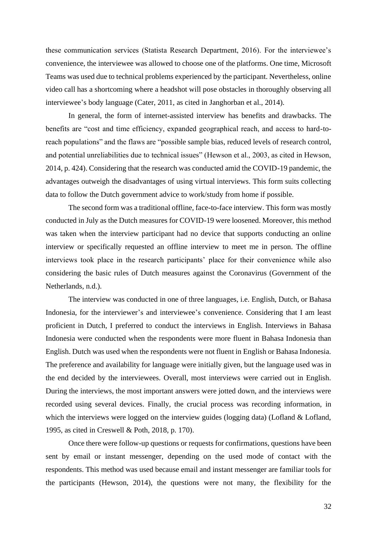these communication services (Statista Research Department, 2016). For the interviewee's convenience, the interviewee was allowed to choose one of the platforms. One time, Microsoft Teams was used due to technical problems experienced by the participant. Nevertheless, online video call has a shortcoming where a headshot will pose obstacles in thoroughly observing all interviewee's body language (Cater, 2011, as cited in Janghorban et al., 2014).

In general, the form of internet-assisted interview has benefits and drawbacks. The benefits are "cost and time efficiency, expanded geographical reach, and access to hard-toreach populations" and the flaws are "possible sample bias, reduced levels of research control, and potential unreliabilities due to technical issues" (Hewson et al., 2003, as cited in Hewson, 2014, p. 424). Considering that the research was conducted amid the COVID-19 pandemic, the advantages outweigh the disadvantages of using virtual interviews. This form suits collecting data to follow the Dutch government advice to work/study from home if possible.

The second form was a traditional offline, face-to-face interview. This form was mostly conducted in July as the Dutch measures for COVID-19 were loosened. Moreover, this method was taken when the interview participant had no device that supports conducting an online interview or specifically requested an offline interview to meet me in person. The offline interviews took place in the research participants' place for their convenience while also considering the basic rules of Dutch measures against the Coronavirus (Government of the Netherlands, n.d.).

The interview was conducted in one of three languages, i.e. English, Dutch, or Bahasa Indonesia, for the interviewer's and interviewee's convenience. Considering that I am least proficient in Dutch, I preferred to conduct the interviews in English. Interviews in Bahasa Indonesia were conducted when the respondents were more fluent in Bahasa Indonesia than English. Dutch was used when the respondents were not fluent in English or Bahasa Indonesia. The preference and availability for language were initially given, but the language used was in the end decided by the interviewees. Overall, most interviews were carried out in English. During the interviews, the most important answers were jotted down, and the interviews were recorded using several devices. Finally, the crucial process was recording information, in which the interviews were logged on the interview guides (logging data) (Lofland & Lofland, 1995, as cited in Creswell & Poth, 2018, p. 170).

Once there were follow-up questions or requests for confirmations, questions have been sent by email or instant messenger, depending on the used mode of contact with the respondents. This method was used because email and instant messenger are familiar tools for the participants (Hewson, 2014), the questions were not many, the flexibility for the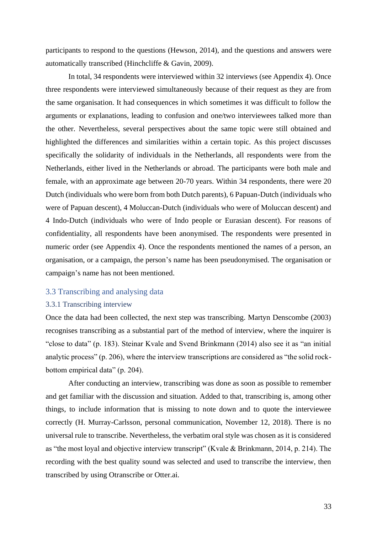participants to respond to the questions (Hewson, 2014), and the questions and answers were automatically transcribed (Hinchcliffe & Gavin, 2009).

In total, 34 respondents were interviewed within 32 interviews (see Appendix 4). Once three respondents were interviewed simultaneously because of their request as they are from the same organisation. It had consequences in which sometimes it was difficult to follow the arguments or explanations, leading to confusion and one/two interviewees talked more than the other. Nevertheless, several perspectives about the same topic were still obtained and highlighted the differences and similarities within a certain topic. As this project discusses specifically the solidarity of individuals in the Netherlands, all respondents were from the Netherlands, either lived in the Netherlands or abroad. The participants were both male and female, with an approximate age between 20-70 years. Within 34 respondents, there were 20 Dutch (individuals who were born from both Dutch parents), 6 Papuan-Dutch (individuals who were of Papuan descent), 4 Moluccan-Dutch (individuals who were of Moluccan descent) and 4 Indo-Dutch (individuals who were of Indo people or Eurasian descent). For reasons of confidentiality, all respondents have been anonymised. The respondents were presented in numeric order (see Appendix 4). Once the respondents mentioned the names of a person, an organisation, or a campaign, the person's name has been pseudonymised. The organisation or campaign's name has not been mentioned.

#### <span id="page-33-0"></span>3.3 Transcribing and analysing data

#### <span id="page-33-1"></span>3.3.1 Transcribing interview

Once the data had been collected, the next step was transcribing. Martyn Denscombe (2003) recognises transcribing as a substantial part of the method of interview, where the inquirer is "close to data" (p. 183). Steinar Kvale and Svend Brinkmann (2014) also see it as "an initial analytic process" (p. 206), where the interview transcriptions are considered as "the solid rockbottom empirical data" (p. 204).

After conducting an interview, transcribing was done as soon as possible to remember and get familiar with the discussion and situation. Added to that, transcribing is, among other things, to include information that is missing to note down and to quote the interviewee correctly (H. Murray-Carlsson, personal communication, November 12, 2018). There is no universal rule to transcribe. Nevertheless, the verbatim oral style was chosen as it is considered as "the most loyal and objective interview transcript" (Kvale & Brinkmann, 2014, p. 214). The recording with the best quality sound was selected and used to transcribe the interview, then transcribed by using Otranscribe or Otter.ai.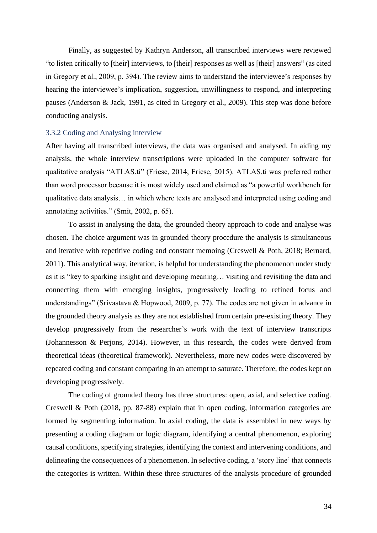Finally, as suggested by Kathryn Anderson, all transcribed interviews were reviewed "to listen critically to [their] interviews, to [their] responses as well as [their] answers" (as cited in Gregory et al., 2009, p. 394). The review aims to understand the interviewee's responses by hearing the interviewee's implication, suggestion, unwillingness to respond, and interpreting pauses (Anderson & Jack, 1991, as cited in Gregory et al., 2009). This step was done before conducting analysis.

#### <span id="page-34-0"></span>3.3.2 Coding and Analysing interview

After having all transcribed interviews, the data was organised and analysed. In aiding my analysis, the whole interview transcriptions were uploaded in the computer software for qualitative analysis "ATLAS.ti" (Friese, 2014; Friese, 2015). ATLAS.ti was preferred rather than word processor because it is most widely used and claimed as "a powerful workbench for qualitative data analysis… in which where texts are analysed and interpreted using coding and annotating activities." (Smit, 2002, p. 65).

To assist in analysing the data, the grounded theory approach to code and analyse was chosen. The choice argument was in grounded theory procedure the analysis is simultaneous and iterative with repetitive coding and constant memoing (Creswell & Poth, 2018; Bernard, 2011). This analytical way, iteration, is helpful for understanding the phenomenon under study as it is "key to sparking insight and developing meaning… visiting and revisiting the data and connecting them with emerging insights, progressively leading to refined focus and understandings" (Srivastava & Hopwood, 2009, p. 77). The codes are not given in advance in the grounded theory analysis as they are not established from certain pre-existing theory. They develop progressively from the researcher's work with the text of interview transcripts (Johannesson & Perjons, 2014). However, in this research, the codes were derived from theoretical ideas (theoretical framework). Nevertheless, more new codes were discovered by repeated coding and constant comparing in an attempt to saturate. Therefore, the codes kept on developing progressively.

The coding of grounded theory has three structures: open, axial, and selective coding. Creswell & Poth (2018, pp. 87-88) explain that in open coding, information categories are formed by segmenting information. In axial coding, the data is assembled in new ways by presenting a coding diagram or logic diagram, identifying a central phenomenon, exploring causal conditions, specifying strategies, identifying the context and intervening conditions, and delineating the consequences of a phenomenon. In selective coding, a 'story line' that connects the categories is written. Within these three structures of the analysis procedure of grounded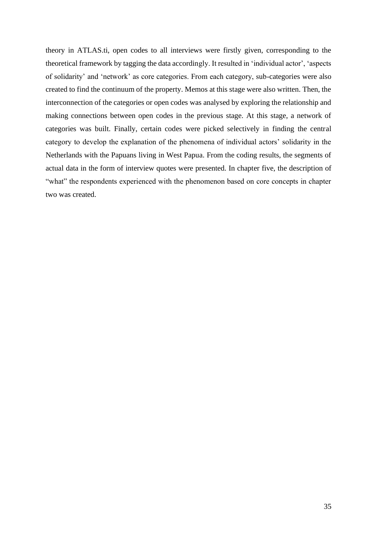theory in ATLAS.ti, open codes to all interviews were firstly given, corresponding to the theoretical framework by tagging the data accordingly. It resulted in 'individual actor', 'aspects of solidarity' and 'network' as core categories. From each category, sub-categories were also created to find the continuum of the property. Memos at this stage were also written. Then, the interconnection of the categories or open codes was analysed by exploring the relationship and making connections between open codes in the previous stage. At this stage, a network of categories was built. Finally, certain codes were picked selectively in finding the central category to develop the explanation of the phenomena of individual actors' solidarity in the Netherlands with the Papuans living in West Papua. From the coding results, the segments of actual data in the form of interview quotes were presented. In chapter five, the description of "what" the respondents experienced with the phenomenon based on core concepts in chapter two was created.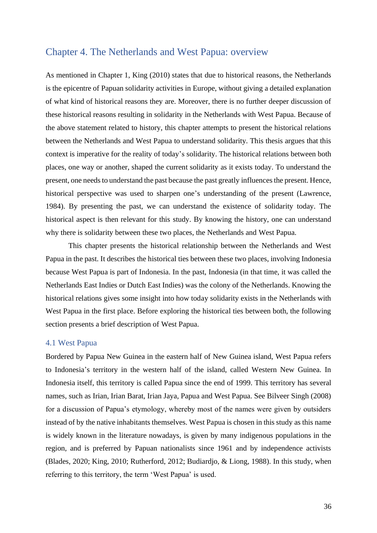# Chapter 4. The Netherlands and West Papua: overview

As mentioned in Chapter 1, King (2010) states that due to historical reasons, the Netherlands is the epicentre of Papuan solidarity activities in Europe, without giving a detailed explanation of what kind of historical reasons they are. Moreover, there is no further deeper discussion of these historical reasons resulting in solidarity in the Netherlands with West Papua. Because of the above statement related to history, this chapter attempts to present the historical relations between the Netherlands and West Papua to understand solidarity. This thesis argues that this context is imperative for the reality of today's solidarity. The historical relations between both places, one way or another, shaped the current solidarity as it exists today. To understand the present, one needs to understand the past because the past greatly influences the present. Hence, historical perspective was used to sharpen one's understanding of the present (Lawrence, 1984). By presenting the past, we can understand the existence of solidarity today. The historical aspect is then relevant for this study. By knowing the history, one can understand why there is solidarity between these two places, the Netherlands and West Papua.

This chapter presents the historical relationship between the Netherlands and West Papua in the past. It describes the historical ties between these two places, involving Indonesia because West Papua is part of Indonesia. In the past, Indonesia (in that time, it was called the Netherlands East Indies or Dutch East Indies) was the colony of the Netherlands. Knowing the historical relations gives some insight into how today solidarity exists in the Netherlands with West Papua in the first place. Before exploring the historical ties between both, the following section presents a brief description of West Papua.

## 4.1 West Papua

Bordered by Papua New Guinea in the eastern half of New Guinea island, West Papua refers to Indonesia's territory in the western half of the island, called Western New Guinea. In Indonesia itself, this territory is called Papua since the end of 1999. This territory has several names, such as Irian, Irian Barat, Irian Jaya, Papua and West Papua. See Bilveer Singh (2008) for a discussion of Papua's etymology, whereby most of the names were given by outsiders instead of by the native inhabitants themselves. West Papua is chosen in this study as this name is widely known in the literature nowadays, is given by many indigenous populations in the region, and is preferred by Papuan nationalists since 1961 and by independence activists (Blades, 2020; King, 2010; Rutherford, 2012; Budiardjo, & Liong, 1988). In this study, when referring to this territory, the term 'West Papua' is used.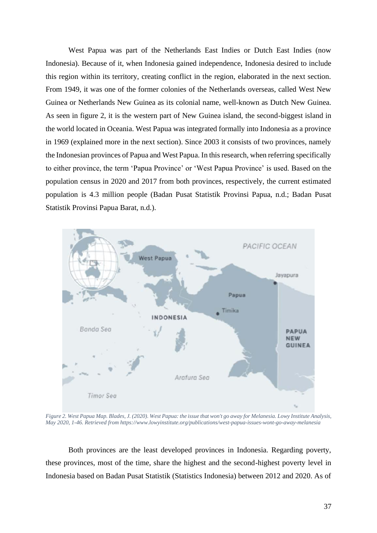West Papua was part of the Netherlands East Indies or Dutch East Indies (now Indonesia). Because of it, when Indonesia gained independence, Indonesia desired to include this region within its territory, creating conflict in the region, elaborated in the next section. From 1949, it was one of the former colonies of the Netherlands overseas, called West New Guinea or Netherlands New Guinea as its colonial name, well-known as Dutch New Guinea. As seen in figure 2, it is the western part of New Guinea island, the second-biggest island in the world located in Oceania. West Papua was integrated formally into Indonesia as a province in 1969 (explained more in the next section). Since 2003 it consists of two provinces, namely the Indonesian provinces of Papua and West Papua. In this research, when referring specifically to either province, the term 'Papua Province' or 'West Papua Province' is used. Based on the population census in 2020 and 2017 from both provinces, respectively, the current estimated population is 4.3 million people (Badan Pusat Statistik Provinsi Papua, n.d.; Badan Pusat Statistik Provinsi Papua Barat, n.d.).



*Figure 2. West Papua Map. Blades, J. (2020). West Papua: the issue that won't go away for Melanesia. Lowy Institute Analysis, May 2020, 1-46. Retrieved from https://www.lowyinstitute.org/publications/west-papua-issues-wont-go-away-melanesia*

Both provinces are the least developed provinces in Indonesia. Regarding poverty, these provinces, most of the time, share the highest and the second-highest poverty level in Indonesia based on Badan Pusat Statistik (Statistics Indonesia) between 2012 and 2020. As of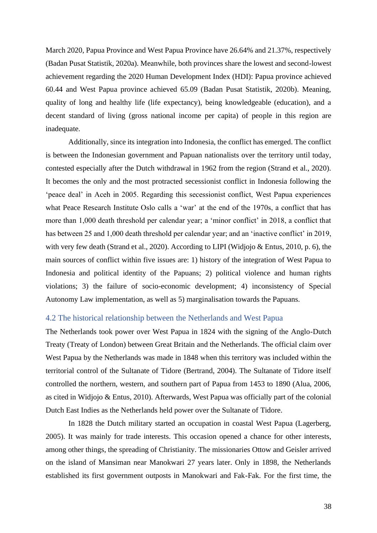March 2020, Papua Province and West Papua Province have 26.64% and 21.37%, respectively (Badan Pusat Statistik, 2020a). Meanwhile, both provinces share the lowest and second-lowest achievement regarding the 2020 Human Development Index (HDI): Papua province achieved 60.44 and West Papua province achieved 65.09 (Badan Pusat Statistik, 2020b). Meaning, quality of long and healthy life (life expectancy), being knowledgeable (education), and a decent standard of living (gross national income per capita) of people in this region are inadequate.

Additionally, since its integration into Indonesia, the conflict has emerged. The conflict is between the Indonesian government and Papuan nationalists over the territory until today, contested especially after the Dutch withdrawal in 1962 from the region (Strand et al., 2020). It becomes the only and the most protracted secessionist conflict in Indonesia following the 'peace deal' in Aceh in 2005. Regarding this secessionist conflict, West Papua experiences what Peace Research Institute Oslo calls a 'war' at the end of the 1970s, a conflict that has more than 1,000 death threshold per calendar year; a 'minor conflict' in 2018, a conflict that has between 25 and 1,000 death threshold per calendar year; and an 'inactive conflict' in 2019, with very few death (Strand et al., 2020). According to LIPI (Widjojo & Entus, 2010, p. 6), the main sources of conflict within five issues are: 1) history of the integration of West Papua to Indonesia and political identity of the Papuans; 2) political violence and human rights violations; 3) the failure of socio-economic development; 4) inconsistency of Special Autonomy Law implementation, as well as 5) marginalisation towards the Papuans.

# 4.2 The historical relationship between the Netherlands and West Papua

The Netherlands took power over West Papua in 1824 with the signing of the Anglo-Dutch Treaty (Treaty of London) between Great Britain and the Netherlands. The official claim over West Papua by the Netherlands was made in 1848 when this territory was included within the territorial control of the Sultanate of Tidore (Bertrand, 2004). The Sultanate of Tidore itself controlled the northern, western, and southern part of Papua from 1453 to 1890 (Alua, 2006, as cited in Widjojo & Entus, 2010). Afterwards, West Papua was officially part of the colonial Dutch East Indies as the Netherlands held power over the Sultanate of Tidore.

In 1828 the Dutch military started an occupation in coastal West Papua (Lagerberg, 2005). It was mainly for trade interests. This occasion opened a chance for other interests, among other things, the spreading of Christianity. The missionaries Ottow and Geisler arrived on the island of Mansiman near Manokwari 27 years later. Only in 1898, the Netherlands established its first government outposts in Manokwari and Fak-Fak. For the first time, the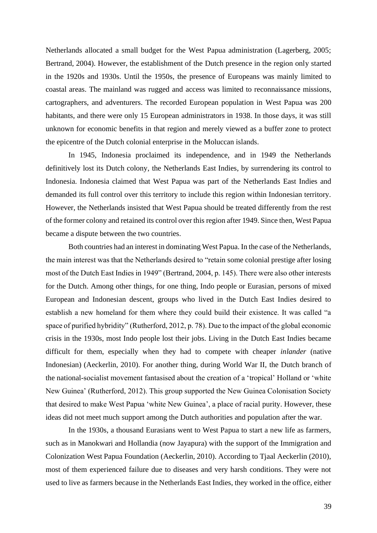Netherlands allocated a small budget for the West Papua administration (Lagerberg, 2005; Bertrand, 2004). However, the establishment of the Dutch presence in the region only started in the 1920s and 1930s. Until the 1950s, the presence of Europeans was mainly limited to coastal areas. The mainland was rugged and access was limited to reconnaissance missions, cartographers, and adventurers. The recorded European population in West Papua was 200 habitants, and there were only 15 European administrators in 1938. In those days, it was still unknown for economic benefits in that region and merely viewed as a buffer zone to protect the epicentre of the Dutch colonial enterprise in the Moluccan islands.

In 1945, Indonesia proclaimed its independence, and in 1949 the Netherlands definitively lost its Dutch colony, the Netherlands East Indies, by surrendering its control to Indonesia. Indonesia claimed that West Papua was part of the Netherlands East Indies and demanded its full control over this territory to include this region within Indonesian territory. However, the Netherlands insisted that West Papua should be treated differently from the rest of the former colony and retained its control over this region after 1949. Since then, West Papua became a dispute between the two countries.

Both countries had an interest in dominating West Papua. In the case of the Netherlands, the main interest was that the Netherlands desired to "retain some colonial prestige after losing most of the Dutch East Indies in 1949" (Bertrand, 2004, p. 145). There were also other interests for the Dutch. Among other things, for one thing, Indo people or Eurasian, persons of mixed European and Indonesian descent, groups who lived in the Dutch East Indies desired to establish a new homeland for them where they could build their existence. It was called "a space of purified hybridity" (Rutherford, 2012, p. 78). Due to the impact of the global economic crisis in the 1930s, most Indo people lost their jobs. Living in the Dutch East Indies became difficult for them, especially when they had to compete with cheaper *inlander* (native Indonesian) (Aeckerlin, 2010). For another thing, during World War II, the Dutch branch of the national-socialist movement fantasised about the creation of a 'tropical' Holland or 'white New Guinea' (Rutherford, 2012). This group supported the New Guinea Colonisation Society that desired to make West Papua 'white New Guinea', a place of racial purity. However, these ideas did not meet much support among the Dutch authorities and population after the war.

In the 1930s, a thousand Eurasians went to West Papua to start a new life as farmers, such as in Manokwari and Hollandia (now Jayapura) with the support of the Immigration and Colonization West Papua Foundation (Aeckerlin, 2010). According to Tjaal Aeckerlin (2010), most of them experienced failure due to diseases and very harsh conditions. They were not used to live as farmers because in the Netherlands East Indies, they worked in the office, either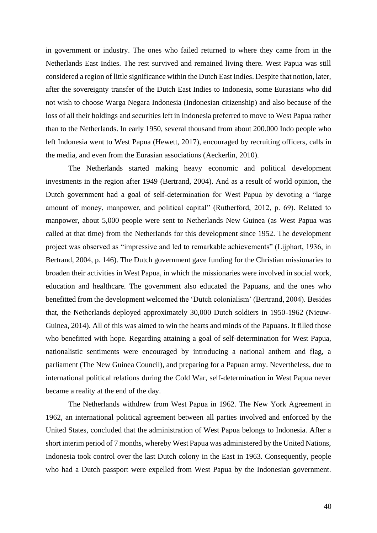in government or industry. The ones who failed returned to where they came from in the Netherlands East Indies. The rest survived and remained living there. West Papua was still considered a region of little significance within the Dutch East Indies. Despite that notion, later, after the sovereignty transfer of the Dutch East Indies to Indonesia, some Eurasians who did not wish to choose Warga Negara Indonesia (Indonesian citizenship) and also because of the loss of all their holdings and securities left in Indonesia preferred to move to West Papua rather than to the Netherlands. In early 1950, several thousand from about 200.000 Indo people who left Indonesia went to West Papua (Hewett, 2017), encouraged by recruiting officers, calls in the media, and even from the Eurasian associations (Aeckerlin, 2010).

The Netherlands started making heavy economic and political development investments in the region after 1949 (Bertrand, 2004). And as a result of world opinion, the Dutch government had a goal of self-determination for West Papua by devoting a "large amount of money, manpower, and political capital" (Rutherford, 2012, p. 69). Related to manpower, about 5,000 people were sent to Netherlands New Guinea (as West Papua was called at that time) from the Netherlands for this development since 1952. The development project was observed as "impressive and led to remarkable achievements" (Lijphart, 1936, in Bertrand, 2004, p. 146). The Dutch government gave funding for the Christian missionaries to broaden their activities in West Papua, in which the missionaries were involved in social work, education and healthcare. The government also educated the Papuans, and the ones who benefitted from the development welcomed the 'Dutch colonialism' (Bertrand, 2004). Besides that, the Netherlands deployed approximately 30,000 Dutch soldiers in 1950-1962 (Nieuw-Guinea, 2014). All of this was aimed to win the hearts and minds of the Papuans. It filled those who benefitted with hope. Regarding attaining a goal of self-determination for West Papua, nationalistic sentiments were encouraged by introducing a national anthem and flag, a parliament (The New Guinea Council), and preparing for a Papuan army. Nevertheless, due to international political relations during the Cold War, self-determination in West Papua never became a reality at the end of the day.

The Netherlands withdrew from West Papua in 1962. The New York Agreement in 1962, an international political agreement between all parties involved and enforced by the United States, concluded that the administration of West Papua belongs to Indonesia. After a short interim period of 7 months, whereby West Papua was administered by the United Nations, Indonesia took control over the last Dutch colony in the East in 1963. Consequently, people who had a Dutch passport were expelled from West Papua by the Indonesian government.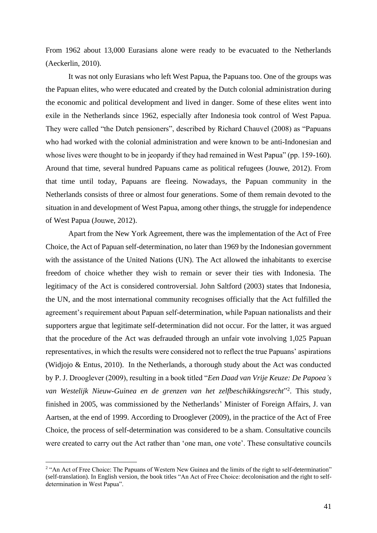From 1962 about 13,000 Eurasians alone were ready to be evacuated to the Netherlands (Aeckerlin, 2010).

It was not only Eurasians who left West Papua, the Papuans too. One of the groups was the Papuan elites, who were educated and created by the Dutch colonial administration during the economic and political development and lived in danger. Some of these elites went into exile in the Netherlands since 1962, especially after Indonesia took control of West Papua. They were called "the Dutch pensioners", described by Richard Chauvel (2008) as "Papuans who had worked with the colonial administration and were known to be anti-Indonesian and whose lives were thought to be in jeopardy if they had remained in West Papua" (pp. 159-160). Around that time, several hundred Papuans came as political refugees (Jouwe, 2012). From that time until today, Papuans are fleeing. Nowadays, the Papuan community in the Netherlands consists of three or almost four generations. Some of them remain devoted to the situation in and development of West Papua, among other things, the struggle for independence of West Papua (Jouwe, 2012).

Apart from the New York Agreement, there was the implementation of the Act of Free Choice, the Act of Papuan self-determination, no later than 1969 by the Indonesian government with the assistance of the United Nations (UN). The Act allowed the inhabitants to exercise freedom of choice whether they wish to remain or sever their ties with Indonesia. The legitimacy of the Act is considered controversial. John Saltford (2003) states that Indonesia, the UN, and the most international community recognises officially that the Act fulfilled the agreement's requirement about Papuan self-determination, while Papuan nationalists and their supporters argue that legitimate self-determination did not occur. For the latter, it was argued that the procedure of the Act was defrauded through an unfair vote involving 1,025 Papuan representatives, in which the results were considered not to reflect the true Papuans' aspirations (Widjojo & Entus, 2010). In the Netherlands, a thorough study about the Act was conducted by P. J. Drooglever (2009), resulting in a book titled "*Een Daad van Vrije Keuze: De Papoea's van Westelijk Nieuw-Guinea en de grenzen van het zelfbeschikkingsrecht*" 2 . This study, finished in 2005, was commissioned by the Netherlands' Minister of Foreign Affairs, J. van Aartsen, at the end of 1999. According to Drooglever (2009), in the practice of the Act of Free Choice, the process of self-determination was considered to be a sham. Consultative councils were created to carry out the Act rather than 'one man, one vote'. These consultative councils

<sup>&</sup>lt;sup>2</sup> "An Act of Free Choice: The Papuans of Western New Guinea and the limits of the right to self-determination" (self-translation). In English version, the book titles "An Act of Free Choice: decolonisation and the right to selfdetermination in West Papua".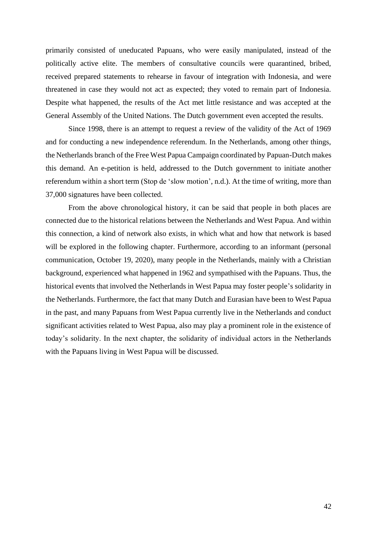primarily consisted of uneducated Papuans, who were easily manipulated, instead of the politically active elite. The members of consultative councils were quarantined, bribed, received prepared statements to rehearse in favour of integration with Indonesia, and were threatened in case they would not act as expected; they voted to remain part of Indonesia. Despite what happened, the results of the Act met little resistance and was accepted at the General Assembly of the United Nations. The Dutch government even accepted the results.

Since 1998, there is an attempt to request a review of the validity of the Act of 1969 and for conducting a new independence referendum. In the Netherlands, among other things, the Netherlands branch of the Free West Papua Campaign coordinated by Papuan-Dutch makes this demand. An e-petition is held, addressed to the Dutch government to initiate another referendum within a short term (Stop de 'slow motion', n.d.). At the time of writing, more than 37,000 signatures have been collected.

From the above chronological history, it can be said that people in both places are connected due to the historical relations between the Netherlands and West Papua. And within this connection, a kind of network also exists, in which what and how that network is based will be explored in the following chapter. Furthermore, according to an informant (personal communication, October 19, 2020), many people in the Netherlands, mainly with a Christian background, experienced what happened in 1962 and sympathised with the Papuans. Thus, the historical events that involved the Netherlands in West Papua may foster people's solidarity in the Netherlands. Furthermore, the fact that many Dutch and Eurasian have been to West Papua in the past, and many Papuans from West Papua currently live in the Netherlands and conduct significant activities related to West Papua, also may play a prominent role in the existence of today's solidarity. In the next chapter, the solidarity of individual actors in the Netherlands with the Papuans living in West Papua will be discussed.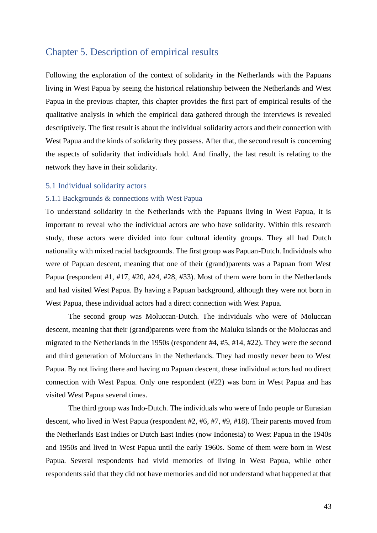# Chapter 5. Description of empirical results

Following the exploration of the context of solidarity in the Netherlands with the Papuans living in West Papua by seeing the historical relationship between the Netherlands and West Papua in the previous chapter, this chapter provides the first part of empirical results of the qualitative analysis in which the empirical data gathered through the interviews is revealed descriptively. The first result is about the individual solidarity actors and their connection with West Papua and the kinds of solidarity they possess. After that, the second result is concerning the aspects of solidarity that individuals hold. And finally, the last result is relating to the network they have in their solidarity.

## 5.1 Individual solidarity actors

## 5.1.1 Backgrounds & connections with West Papua

To understand solidarity in the Netherlands with the Papuans living in West Papua, it is important to reveal who the individual actors are who have solidarity. Within this research study, these actors were divided into four cultural identity groups. They all had Dutch nationality with mixed racial backgrounds. The first group was Papuan-Dutch. Individuals who were of Papuan descent, meaning that one of their (grand)parents was a Papuan from West Papua (respondent #1, #17, #20, #24, #28, #33). Most of them were born in the Netherlands and had visited West Papua. By having a Papuan background, although they were not born in West Papua, these individual actors had a direct connection with West Papua.

The second group was Moluccan-Dutch. The individuals who were of Moluccan descent, meaning that their (grand)parents were from the Maluku islands or the Moluccas and migrated to the Netherlands in the 1950s (respondent #4, #5, #14, #22). They were the second and third generation of Moluccans in the Netherlands. They had mostly never been to West Papua. By not living there and having no Papuan descent, these individual actors had no direct connection with West Papua. Only one respondent (#22) was born in West Papua and has visited West Papua several times.

The third group was Indo-Dutch. The individuals who were of Indo people or Eurasian descent, who lived in West Papua (respondent #2, #6, #7, #9, #18). Their parents moved from the Netherlands East Indies or Dutch East Indies (now Indonesia) to West Papua in the 1940s and 1950s and lived in West Papua until the early 1960s. Some of them were born in West Papua. Several respondents had vivid memories of living in West Papua, while other respondents said that they did not have memories and did not understand what happened at that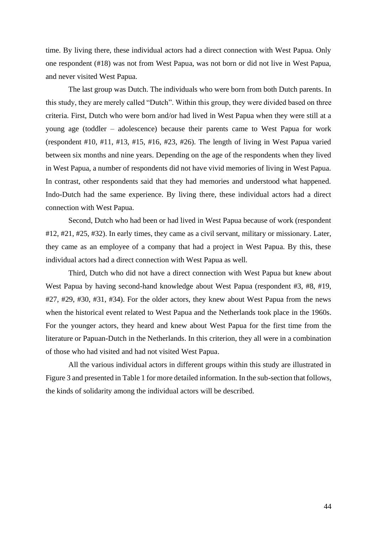time. By living there, these individual actors had a direct connection with West Papua. Only one respondent (#18) was not from West Papua, was not born or did not live in West Papua, and never visited West Papua.

The last group was Dutch. The individuals who were born from both Dutch parents. In this study, they are merely called "Dutch". Within this group, they were divided based on three criteria. First, Dutch who were born and/or had lived in West Papua when they were still at a young age (toddler – adolescence) because their parents came to West Papua for work (respondent #10, #11, #13, #15, #16, #23, #26). The length of living in West Papua varied between six months and nine years. Depending on the age of the respondents when they lived in West Papua, a number of respondents did not have vivid memories of living in West Papua. In contrast, other respondents said that they had memories and understood what happened. Indo-Dutch had the same experience. By living there, these individual actors had a direct connection with West Papua.

Second, Dutch who had been or had lived in West Papua because of work (respondent #12, #21, #25, #32). In early times, they came as a civil servant, military or missionary. Later, they came as an employee of a company that had a project in West Papua. By this, these individual actors had a direct connection with West Papua as well.

Third, Dutch who did not have a direct connection with West Papua but knew about West Papua by having second-hand knowledge about West Papua (respondent #3, #8, #19, #27, #29, #30, #31, #34). For the older actors, they knew about West Papua from the news when the historical event related to West Papua and the Netherlands took place in the 1960s. For the younger actors, they heard and knew about West Papua for the first time from the literature or Papuan-Dutch in the Netherlands. In this criterion, they all were in a combination of those who had visited and had not visited West Papua.

All the various individual actors in different groups within this study are illustrated in Figure 3 and presented in Table 1 for more detailed information. In the sub-section that follows, the kinds of solidarity among the individual actors will be described.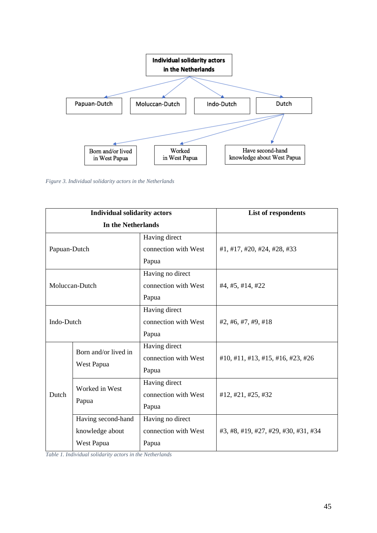

*Figure 3. Individual solidarity actors in the Netherlands*

| <b>Individual solidarity actors</b> |                                    |                      | <b>List of respondents</b>           |
|-------------------------------------|------------------------------------|----------------------|--------------------------------------|
| In the Netherlands                  |                                    |                      |                                      |
| Papuan-Dutch                        |                                    | Having direct        |                                      |
|                                     |                                    | connection with West | #1, #17, #20, #24, #28, #33          |
|                                     |                                    | Papua                |                                      |
| Moluccan-Dutch                      |                                    | Having no direct     |                                      |
|                                     |                                    | connection with West | #4, #5, #14, #22                     |
|                                     |                                    | Papua                |                                      |
| Indo-Dutch                          |                                    | Having direct        |                                      |
|                                     |                                    | connection with West | #2, #6, #7, #9, #18                  |
|                                     |                                    | Papua                |                                      |
| Dutch                               | Born and/or lived in<br>West Papua | Having direct        |                                      |
|                                     |                                    | connection with West | #10, #11, #13, #15, #16, #23, #26    |
|                                     |                                    | Papua                |                                      |
|                                     | Worked in West<br>Papua            | Having direct        |                                      |
|                                     |                                    | connection with West | #12, #21, #25, #32                   |
|                                     |                                    | Papua                |                                      |
|                                     | Having second-hand                 | Having no direct     |                                      |
|                                     | knowledge about                    | connection with West | #3, #8, #19, #27, #29, #30, #31, #34 |
|                                     | West Papua                         | Papua                |                                      |

*Table 1. Individual solidarity actors in the Netherlands*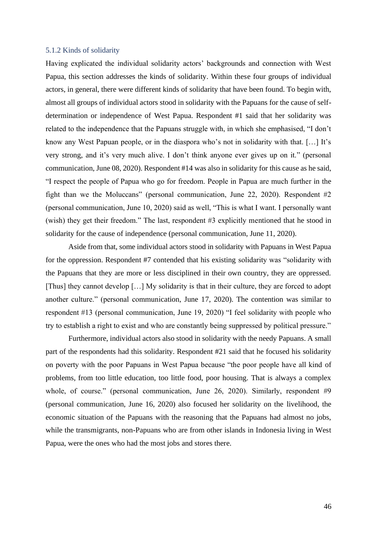## 5.1.2 Kinds of solidarity

Having explicated the individual solidarity actors' backgrounds and connection with West Papua, this section addresses the kinds of solidarity. Within these four groups of individual actors, in general, there were different kinds of solidarity that have been found. To begin with, almost all groups of individual actors stood in solidarity with the Papuans for the cause of selfdetermination or independence of West Papua. Respondent #1 said that her solidarity was related to the independence that the Papuans struggle with, in which she emphasised, "I don't know any West Papuan people, or in the diaspora who's not in solidarity with that. […] It's very strong, and it's very much alive. I don't think anyone ever gives up on it." (personal communication, June 08, 2020). Respondent #14 was also in solidarity for this cause as he said, "I respect the people of Papua who go for freedom. People in Papua are much further in the fight than we the Moluccans" (personal communication, June 22, 2020). Respondent #2 (personal communication, June 10, 2020) said as well, "This is what I want. I personally want (wish) they get their freedom." The last, respondent #3 explicitly mentioned that he stood in solidarity for the cause of independence (personal communication, June 11, 2020).

Aside from that, some individual actors stood in solidarity with Papuans in West Papua for the oppression. Respondent #7 contended that his existing solidarity was "solidarity with the Papuans that they are more or less disciplined in their own country, they are oppressed. [Thus] they cannot develop […] My solidarity is that in their culture, they are forced to adopt another culture." (personal communication, June 17, 2020). The contention was similar to respondent #13 (personal communication, June 19, 2020) "I feel solidarity with people who try to establish a right to exist and who are constantly being suppressed by political pressure."

Furthermore, individual actors also stood in solidarity with the needy Papuans. A small part of the respondents had this solidarity. Respondent #21 said that he focused his solidarity on poverty with the poor Papuans in West Papua because "the poor people have all kind of problems, from too little education, too little food, poor housing. That is always a complex whole, of course." (personal communication, June 26, 2020). Similarly, respondent #9 (personal communication, June 16, 2020) also focused her solidarity on the livelihood, the economic situation of the Papuans with the reasoning that the Papuans had almost no jobs, while the transmigrants, non-Papuans who are from other islands in Indonesia living in West Papua, were the ones who had the most jobs and stores there.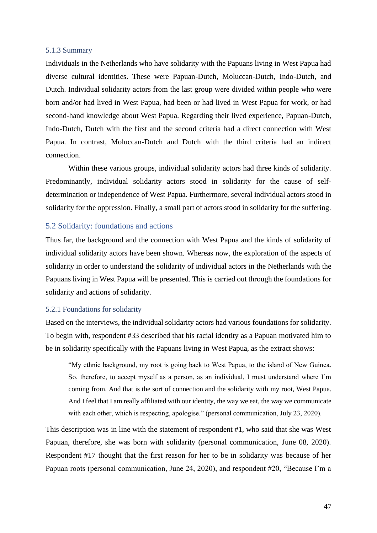## 5.1.3 Summary

Individuals in the Netherlands who have solidarity with the Papuans living in West Papua had diverse cultural identities. These were Papuan-Dutch, Moluccan-Dutch, Indo-Dutch, and Dutch. Individual solidarity actors from the last group were divided within people who were born and/or had lived in West Papua, had been or had lived in West Papua for work, or had second-hand knowledge about West Papua. Regarding their lived experience, Papuan-Dutch, Indo-Dutch, Dutch with the first and the second criteria had a direct connection with West Papua. In contrast, Moluccan-Dutch and Dutch with the third criteria had an indirect connection.

Within these various groups, individual solidarity actors had three kinds of solidarity. Predominantly, individual solidarity actors stood in solidarity for the cause of selfdetermination or independence of West Papua. Furthermore, several individual actors stood in solidarity for the oppression. Finally, a small part of actors stood in solidarity for the suffering.

# 5.2 Solidarity: foundations and actions

Thus far, the background and the connection with West Papua and the kinds of solidarity of individual solidarity actors have been shown. Whereas now, the exploration of the aspects of solidarity in order to understand the solidarity of individual actors in the Netherlands with the Papuans living in West Papua will be presented. This is carried out through the foundations for solidarity and actions of solidarity.

#### 5.2.1 Foundations for solidarity

Based on the interviews, the individual solidarity actors had various foundations for solidarity. To begin with, respondent #33 described that his racial identity as a Papuan motivated him to be in solidarity specifically with the Papuans living in West Papua, as the extract shows:

"My ethnic background, my root is going back to West Papua, to the island of New Guinea. So, therefore, to accept myself as a person, as an individual, I must understand where I'm coming from. And that is the sort of connection and the solidarity with my root, West Papua. And I feel that I am really affiliated with our identity, the way we eat, the way we communicate with each other, which is respecting, apologise." (personal communication, July 23, 2020).

This description was in line with the statement of respondent #1, who said that she was West Papuan, therefore, she was born with solidarity (personal communication, June 08, 2020). Respondent #17 thought that the first reason for her to be in solidarity was because of her Papuan roots (personal communication, June 24, 2020), and respondent #20, "Because I'm a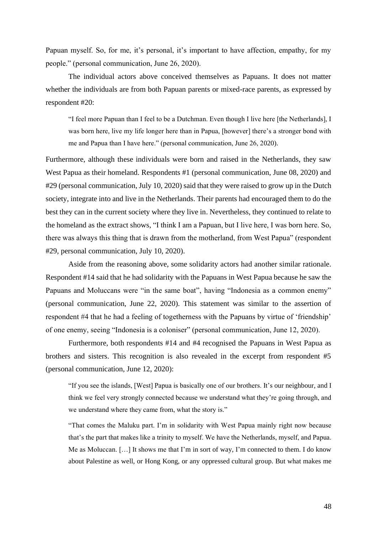Papuan myself. So, for me, it's personal, it's important to have affection, empathy, for my people." (personal communication, June 26, 2020).

The individual actors above conceived themselves as Papuans. It does not matter whether the individuals are from both Papuan parents or mixed-race parents, as expressed by respondent #20:

"I feel more Papuan than I feel to be a Dutchman. Even though I live here [the Netherlands], I was born here, live my life longer here than in Papua, [however] there's a stronger bond with me and Papua than I have here." (personal communication, June 26, 2020).

Furthermore, although these individuals were born and raised in the Netherlands, they saw West Papua as their homeland. Respondents #1 (personal communication, June 08, 2020) and #29 (personal communication, July 10, 2020) said that they were raised to grow up in the Dutch society, integrate into and live in the Netherlands. Their parents had encouraged them to do the best they can in the current society where they live in. Nevertheless, they continued to relate to the homeland as the extract shows, "I think I am a Papuan, but I live here, I was born here. So, there was always this thing that is drawn from the motherland, from West Papua" (respondent #29, personal communication, July 10, 2020).

Aside from the reasoning above, some solidarity actors had another similar rationale. Respondent #14 said that he had solidarity with the Papuans in West Papua because he saw the Papuans and Moluccans were "in the same boat", having "Indonesia as a common enemy" (personal communication, June 22, 2020). This statement was similar to the assertion of respondent #4 that he had a feeling of togetherness with the Papuans by virtue of 'friendship' of one enemy, seeing "Indonesia is a coloniser" (personal communication, June 12, 2020).

Furthermore, both respondents #14 and #4 recognised the Papuans in West Papua as brothers and sisters. This recognition is also revealed in the excerpt from respondent #5 (personal communication, June 12, 2020):

"If you see the islands, [West] Papua is basically one of our brothers. It's our neighbour, and I think we feel very strongly connected because we understand what they're going through, and we understand where they came from, what the story is."

"That comes the Maluku part. I'm in solidarity with West Papua mainly right now because that's the part that makes like a trinity to myself. We have the Netherlands, myself, and Papua. Me as Moluccan. […] It shows me that I'm in sort of way, I'm connected to them. I do know about Palestine as well, or Hong Kong, or any oppressed cultural group. But what makes me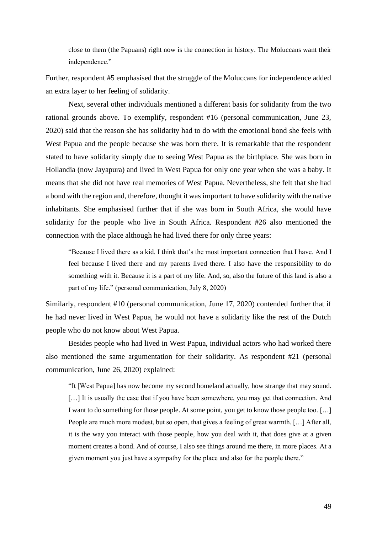close to them (the Papuans) right now is the connection in history. The Moluccans want their independence."

Further, respondent #5 emphasised that the struggle of the Moluccans for independence added an extra layer to her feeling of solidarity.

Next, several other individuals mentioned a different basis for solidarity from the two rational grounds above. To exemplify, respondent #16 (personal communication, June 23, 2020) said that the reason she has solidarity had to do with the emotional bond she feels with West Papua and the people because she was born there. It is remarkable that the respondent stated to have solidarity simply due to seeing West Papua as the birthplace. She was born in Hollandia (now Jayapura) and lived in West Papua for only one year when she was a baby. It means that she did not have real memories of West Papua. Nevertheless, she felt that she had a bond with the region and, therefore, thought it was important to have solidarity with the native inhabitants. She emphasised further that if she was born in South Africa, she would have solidarity for the people who live in South Africa. Respondent #26 also mentioned the connection with the place although he had lived there for only three years:

"Because I lived there as a kid. I think that's the most important connection that I have. And I feel because I lived there and my parents lived there. I also have the responsibility to do something with it. Because it is a part of my life. And, so, also the future of this land is also a part of my life." (personal communication, July 8, 2020)

Similarly, respondent #10 (personal communication, June 17, 2020) contended further that if he had never lived in West Papua, he would not have a solidarity like the rest of the Dutch people who do not know about West Papua.

Besides people who had lived in West Papua, individual actors who had worked there also mentioned the same argumentation for their solidarity. As respondent #21 (personal communication, June 26, 2020) explained:

"It [West Papua] has now become my second homeland actually, how strange that may sound. [...] It is usually the case that if you have been somewhere, you may get that connection. And I want to do something for those people. At some point, you get to know those people too. […] People are much more modest, but so open, that gives a feeling of great warmth. […] After all, it is the way you interact with those people, how you deal with it, that does give at a given moment creates a bond. And of course, I also see things around me there, in more places. At a given moment you just have a sympathy for the place and also for the people there."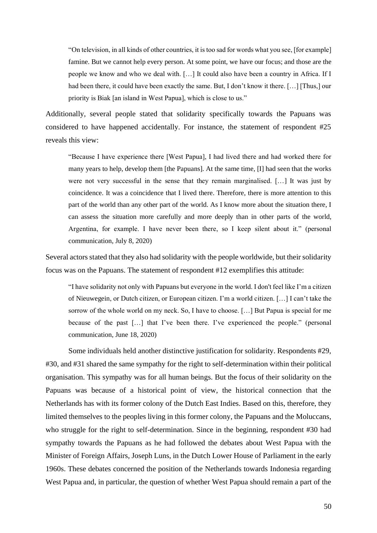"On television, in all kinds of other countries, it is too sad for words what you see, [for example] famine. But we cannot help every person. At some point, we have our focus; and those are the people we know and who we deal with. […] It could also have been a country in Africa. If I had been there, it could have been exactly the same. But, I don't know it there. [...] [Thus,] our priority is Biak [an island in West Papua], which is close to us."

Additionally, several people stated that solidarity specifically towards the Papuans was considered to have happened accidentally. For instance, the statement of respondent #25 reveals this view:

"Because I have experience there [West Papua], I had lived there and had worked there for many years to help, develop them [the Papuans]. At the same time, [I] had seen that the works were not very successful in the sense that they remain marginalised. […] It was just by coincidence. It was a coincidence that I lived there. Therefore, there is more attention to this part of the world than any other part of the world. As I know more about the situation there, I can assess the situation more carefully and more deeply than in other parts of the world, Argentina, for example. I have never been there, so I keep silent about it." (personal communication, July 8, 2020)

Several actors stated that they also had solidarity with the people worldwide, but their solidarity focus was on the Papuans. The statement of respondent #12 exemplifies this attitude:

"I have solidarity not only with Papuans but everyone in the world. I don't feel like I'm a citizen of Nieuwegein, or Dutch citizen, or European citizen. I'm a world citizen. […] I can't take the sorrow of the whole world on my neck. So, I have to choose. […] But Papua is special for me because of the past […] that I've been there. I've experienced the people." (personal communication, June 18, 2020)

Some individuals held another distinctive justification for solidarity. Respondents #29, #30, and #31 shared the same sympathy for the right to self-determination within their political organisation. This sympathy was for all human beings. But the focus of their solidarity on the Papuans was because of a historical point of view, the historical connection that the Netherlands has with its former colony of the Dutch East Indies. Based on this, therefore, they limited themselves to the peoples living in this former colony, the Papuans and the Moluccans, who struggle for the right to self-determination. Since in the beginning, respondent #30 had sympathy towards the Papuans as he had followed the debates about West Papua with the Minister of Foreign Affairs, Joseph Luns, in the Dutch Lower House of Parliament in the early 1960s. These debates concerned the position of the Netherlands towards Indonesia regarding West Papua and, in particular, the question of whether West Papua should remain a part of the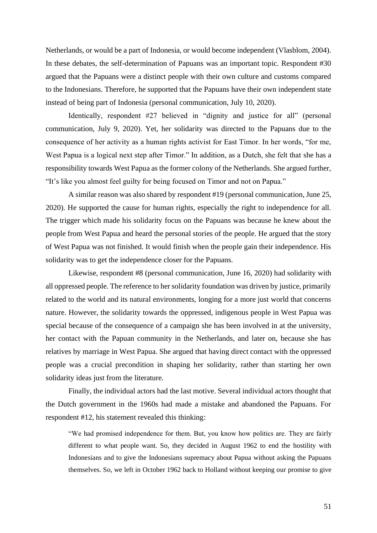Netherlands, or would be a part of Indonesia, or would become independent (Vlasblom, 2004). In these debates, the self-determination of Papuans was an important topic. Respondent #30 argued that the Papuans were a distinct people with their own culture and customs compared to the Indonesians. Therefore, he supported that the Papuans have their own independent state instead of being part of Indonesia (personal communication, July 10, 2020).

Identically, respondent #27 believed in "dignity and justice for all" (personal communication, July 9, 2020). Yet, her solidarity was directed to the Papuans due to the consequence of her activity as a human rights activist for East Timor. In her words, "for me, West Papua is a logical next step after Timor." In addition, as a Dutch, she felt that she has a responsibility towards West Papua as the former colony of the Netherlands. She argued further, "It's like you almost feel guilty for being focused on Timor and not on Papua."

A similar reason was also shared by respondent #19 (personal communication, June 25, 2020). He supported the cause for human rights, especially the right to independence for all. The trigger which made his solidarity focus on the Papuans was because he knew about the people from West Papua and heard the personal stories of the people. He argued that the story of West Papua was not finished. It would finish when the people gain their independence. His solidarity was to get the independence closer for the Papuans.

Likewise, respondent #8 (personal communication, June 16, 2020) had solidarity with all oppressed people. The reference to her solidarity foundation was driven by justice, primarily related to the world and its natural environments, longing for a more just world that concerns nature. However, the solidarity towards the oppressed, indigenous people in West Papua was special because of the consequence of a campaign she has been involved in at the university, her contact with the Papuan community in the Netherlands, and later on, because she has relatives by marriage in West Papua. She argued that having direct contact with the oppressed people was a crucial precondition in shaping her solidarity, rather than starting her own solidarity ideas just from the literature.

Finally, the individual actors had the last motive. Several individual actors thought that the Dutch government in the 1960s had made a mistake and abandoned the Papuans. For respondent #12, his statement revealed this thinking:

"We had promised independence for them. But, you know how politics are. They are fairly different to what people want. So, they decided in August 1962 to end the hostility with Indonesians and to give the Indonesians supremacy about Papua without asking the Papuans themselves. So, we left in October 1962 back to Holland without keeping our promise to give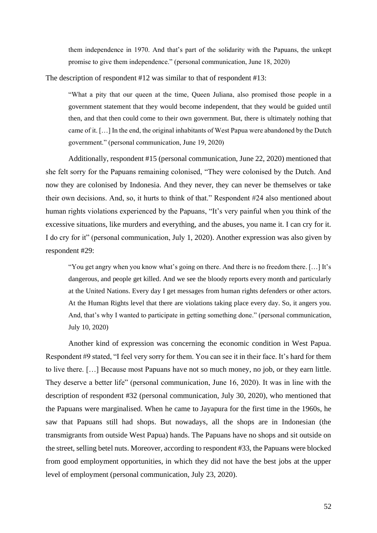them independence in 1970. And that's part of the solidarity with the Papuans, the unkept promise to give them independence." (personal communication, June 18, 2020)

The description of respondent #12 was similar to that of respondent #13:

"What a pity that our queen at the time, Queen Juliana, also promised those people in a government statement that they would become independent, that they would be guided until then, and that then could come to their own government. But, there is ultimately nothing that came of it. […] In the end, the original inhabitants of West Papua were abandoned by the Dutch government." (personal communication, June 19, 2020)

Additionally, respondent #15 (personal communication, June 22, 2020) mentioned that she felt sorry for the Papuans remaining colonised, "They were colonised by the Dutch. And now they are colonised by Indonesia. And they never, they can never be themselves or take their own decisions. And, so, it hurts to think of that." Respondent #24 also mentioned about human rights violations experienced by the Papuans, "It's very painful when you think of the excessive situations, like murders and everything, and the abuses, you name it. I can cry for it. I do cry for it" (personal communication, July 1, 2020). Another expression was also given by respondent #29:

"You get angry when you know what's going on there. And there is no freedom there. […] It's dangerous, and people get killed. And we see the bloody reports every month and particularly at the United Nations. Every day I get messages from human rights defenders or other actors. At the Human Rights level that there are violations taking place every day. So, it angers you. And, that's why I wanted to participate in getting something done." (personal communication, July 10, 2020)

Another kind of expression was concerning the economic condition in West Papua. Respondent #9 stated, "I feel very sorry for them. You can see it in their face. It's hard for them to live there. […] Because most Papuans have not so much money, no job, or they earn little. They deserve a better life" (personal communication, June 16, 2020). It was in line with the description of respondent #32 (personal communication, July 30, 2020), who mentioned that the Papuans were marginalised. When he came to Jayapura for the first time in the 1960s, he saw that Papuans still had shops. But nowadays, all the shops are in Indonesian (the transmigrants from outside West Papua) hands. The Papuans have no shops and sit outside on the street, selling betel nuts. Moreover, according to respondent #33, the Papuans were blocked from good employment opportunities, in which they did not have the best jobs at the upper level of employment (personal communication, July 23, 2020).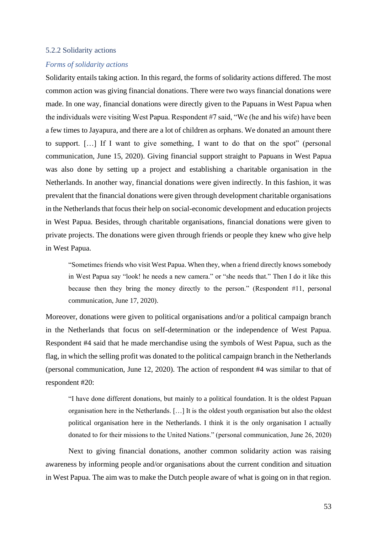### 5.2.2 Solidarity actions

#### *Forms of solidarity actions*

Solidarity entails taking action. In this regard, the forms of solidarity actions differed. The most common action was giving financial donations. There were two ways financial donations were made. In one way, financial donations were directly given to the Papuans in West Papua when the individuals were visiting West Papua. Respondent #7 said, "We (he and his wife) have been a few times to Jayapura, and there are a lot of children as orphans. We donated an amount there to support. […] If I want to give something, I want to do that on the spot" (personal communication, June 15, 2020). Giving financial support straight to Papuans in West Papua was also done by setting up a project and establishing a charitable organisation in the Netherlands. In another way, financial donations were given indirectly. In this fashion, it was prevalent that the financial donations were given through development charitable organisations in the Netherlands that focus their help on social-economic development and education projects in West Papua. Besides, through charitable organisations, financial donations were given to private projects. The donations were given through friends or people they knew who give help in West Papua.

"Sometimes friends who visit West Papua. When they, when a friend directly knows somebody in West Papua say "look! he needs a new camera." or "she needs that." Then I do it like this because then they bring the money directly to the person." (Respondent #11, personal communication, June 17, 2020).

Moreover, donations were given to political organisations and/or a political campaign branch in the Netherlands that focus on self-determination or the independence of West Papua. Respondent #4 said that he made merchandise using the symbols of West Papua, such as the flag, in which the selling profit was donated to the political campaign branch in the Netherlands (personal communication, June 12, 2020). The action of respondent #4 was similar to that of respondent #20:

"I have done different donations, but mainly to a political foundation. It is the oldest Papuan organisation here in the Netherlands. […] It is the oldest youth organisation but also the oldest political organisation here in the Netherlands. I think it is the only organisation I actually donated to for their missions to the United Nations." (personal communication, June 26, 2020)

Next to giving financial donations, another common solidarity action was raising awareness by informing people and/or organisations about the current condition and situation in West Papua. The aim was to make the Dutch people aware of what is going on in that region.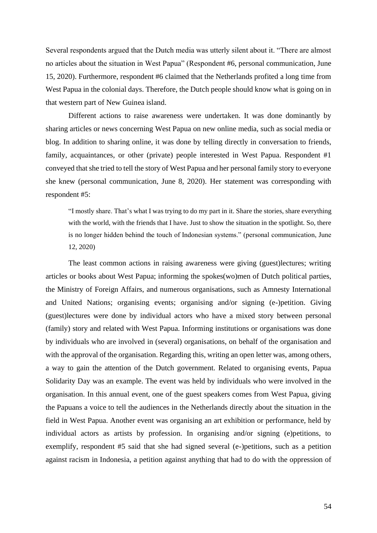Several respondents argued that the Dutch media was utterly silent about it. "There are almost no articles about the situation in West Papua" (Respondent #6, personal communication, June 15, 2020). Furthermore, respondent #6 claimed that the Netherlands profited a long time from West Papua in the colonial days. Therefore, the Dutch people should know what is going on in that western part of New Guinea island.

Different actions to raise awareness were undertaken. It was done dominantly by sharing articles or news concerning West Papua on new online media, such as social media or blog. In addition to sharing online, it was done by telling directly in conversation to friends, family, acquaintances, or other (private) people interested in West Papua. Respondent #1 conveyed that she tried to tell the story of West Papua and her personal family story to everyone she knew (personal communication, June 8, 2020). Her statement was corresponding with respondent #5:

"I mostly share. That's what I was trying to do my part in it. Share the stories, share everything with the world, with the friends that I have. Just to show the situation in the spotlight. So, there is no longer hidden behind the touch of Indonesian systems." (personal communication, June 12, 2020)

The least common actions in raising awareness were giving (guest)lectures; writing articles or books about West Papua; informing the spokes(wo)men of Dutch political parties, the Ministry of Foreign Affairs, and numerous organisations, such as Amnesty International and United Nations; organising events; organising and/or signing (e-)petition. Giving (guest)lectures were done by individual actors who have a mixed story between personal (family) story and related with West Papua. Informing institutions or organisations was done by individuals who are involved in (several) organisations, on behalf of the organisation and with the approval of the organisation. Regarding this, writing an open letter was, among others, a way to gain the attention of the Dutch government. Related to organising events, Papua Solidarity Day was an example. The event was held by individuals who were involved in the organisation. In this annual event, one of the guest speakers comes from West Papua, giving the Papuans a voice to tell the audiences in the Netherlands directly about the situation in the field in West Papua. Another event was organising an art exhibition or performance, held by individual actors as artists by profession. In organising and/or signing (e)petitions, to exemplify, respondent #5 said that she had signed several (e-)petitions, such as a petition against racism in Indonesia, a petition against anything that had to do with the oppression of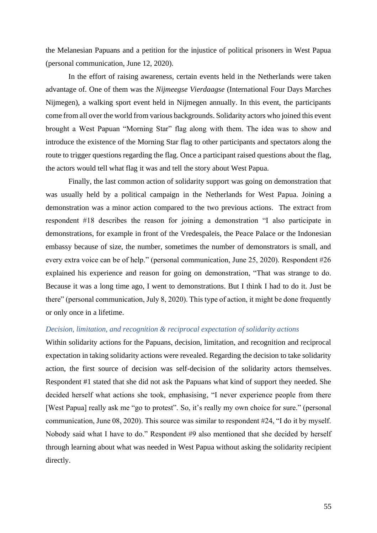the Melanesian Papuans and a petition for the injustice of political prisoners in West Papua (personal communication, June 12, 2020).

In the effort of raising awareness, certain events held in the Netherlands were taken advantage of. One of them was the *Nijmeegse Vierdaagse* (International Four Days Marches Nijmegen), a walking sport event held in Nijmegen annually. In this event, the participants come from all over the world from various backgrounds. Solidarity actors who joined this event brought a West Papuan "Morning Star" flag along with them. The idea was to show and introduce the existence of the Morning Star flag to other participants and spectators along the route to trigger questions regarding the flag. Once a participant raised questions about the flag, the actors would tell what flag it was and tell the story about West Papua.

Finally, the last common action of solidarity support was going on demonstration that was usually held by a political campaign in the Netherlands for West Papua. Joining a demonstration was a minor action compared to the two previous actions. The extract from respondent #18 describes the reason for joining a demonstration "I also participate in demonstrations, for example in front of the Vredespaleis, the Peace Palace or the Indonesian embassy because of size, the number, sometimes the number of demonstrators is small, and every extra voice can be of help." (personal communication, June 25, 2020). Respondent #26 explained his experience and reason for going on demonstration, "That was strange to do. Because it was a long time ago, I went to demonstrations. But I think I had to do it. Just be there" (personal communication, July 8, 2020). This type of action, it might be done frequently or only once in a lifetime.

# *Decision, limitation, and recognition & reciprocal expectation of solidarity actions*

Within solidarity actions for the Papuans, decision, limitation, and recognition and reciprocal expectation in taking solidarity actions were revealed. Regarding the decision to take solidarity action, the first source of decision was self-decision of the solidarity actors themselves. Respondent #1 stated that she did not ask the Papuans what kind of support they needed. She decided herself what actions she took, emphasising, "I never experience people from there [West Papua] really ask me "go to protest". So, it's really my own choice for sure." (personal communication, June 08, 2020). This source was similar to respondent #24, "I do it by myself. Nobody said what I have to do." Respondent #9 also mentioned that she decided by herself through learning about what was needed in West Papua without asking the solidarity recipient directly.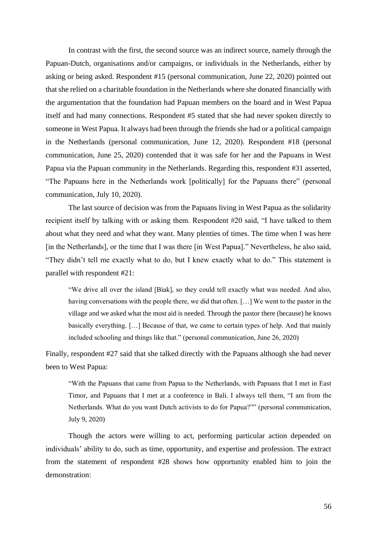In contrast with the first, the second source was an indirect source, namely through the Papuan-Dutch, organisations and/or campaigns, or individuals in the Netherlands, either by asking or being asked. Respondent #15 (personal communication, June 22, 2020) pointed out that she relied on a charitable foundation in the Netherlands where she donated financially with the argumentation that the foundation had Papuan members on the board and in West Papua itself and had many connections. Respondent #5 stated that she had never spoken directly to someone in West Papua. It always had been through the friends she had or a political campaign in the Netherlands (personal communication, June 12, 2020). Respondent #18 (personal communication, June 25, 2020) contended that it was safe for her and the Papuans in West Papua via the Papuan community in the Netherlands. Regarding this, respondent #31 asserted, "The Papuans here in the Netherlands work [politically] for the Papuans there" (personal communication, July 10, 2020).

The last source of decision was from the Papuans living in West Papua as the solidarity recipient itself by talking with or asking them. Respondent #20 said, "I have talked to them about what they need and what they want. Many plenties of times. The time when I was here [in the Netherlands], or the time that I was there [in West Papua]." Nevertheless, he also said, "They didn't tell me exactly what to do, but I knew exactly what to do." This statement is parallel with respondent #21:

"We drive all over the island [Biak], so they could tell exactly what was needed. And also, having conversations with the people there, we did that often. […] We went to the pastor in the village and we asked what the most aid is needed. Through the pastor there (because) he knows basically everything. […] Because of that, we came to certain types of help. And that mainly included schooling and things like that." (personal communication, June 26, 2020)

Finally, respondent #27 said that she talked directly with the Papuans although she had never been to West Papua:

"With the Papuans that came from Papua to the Netherlands, with Papuans that I met in East Timor, and Papuans that I met at a conference in Bali. I always tell them, "I am from the Netherlands. What do you want Dutch activists to do for Papua?"" (personal communication, July 9, 2020)

Though the actors were willing to act, performing particular action depended on individuals' ability to do, such as time, opportunity, and expertise and profession. The extract from the statement of respondent #28 shows how opportunity enabled him to join the demonstration: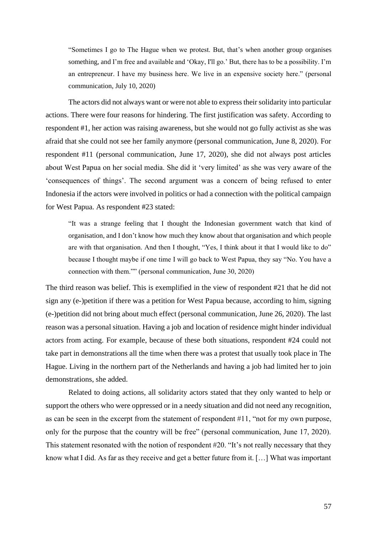"Sometimes I go to The Hague when we protest. But, that's when another group organises something, and I'm free and available and 'Okay, I'll go.' But, there has to be a possibility. I'm an entrepreneur. I have my business here. We live in an expensive society here." (personal communication, July 10, 2020)

The actors did not always want or were not able to express their solidarity into particular actions. There were four reasons for hindering. The first justification was safety. According to respondent #1, her action was raising awareness, but she would not go fully activist as she was afraid that she could not see her family anymore (personal communication, June 8, 2020). For respondent #11 (personal communication, June 17, 2020), she did not always post articles about West Papua on her social media. She did it 'very limited' as she was very aware of the 'consequences of things'. The second argument was a concern of being refused to enter Indonesia if the actors were involved in politics or had a connection with the political campaign for West Papua. As respondent #23 stated:

"It was a strange feeling that I thought the Indonesian government watch that kind of organisation, and I don't know how much they know about that organisation and which people are with that organisation. And then I thought, "Yes, I think about it that I would like to do" because I thought maybe if one time I will go back to West Papua, they say "No. You have a connection with them."" (personal communication, June 30, 2020)

The third reason was belief. This is exemplified in the view of respondent #21 that he did not sign any (e-)petition if there was a petition for West Papua because, according to him, signing (e-)petition did not bring about much effect (personal communication, June 26, 2020). The last reason was a personal situation. Having a job and location of residence might hinder individual actors from acting. For example, because of these both situations, respondent #24 could not take part in demonstrations all the time when there was a protest that usually took place in The Hague. Living in the northern part of the Netherlands and having a job had limited her to join demonstrations, she added.

Related to doing actions, all solidarity actors stated that they only wanted to help or support the others who were oppressed or in a needy situation and did not need any recognition, as can be seen in the excerpt from the statement of respondent #11, "not for my own purpose, only for the purpose that the country will be free" (personal communication, June 17, 2020). This statement resonated with the notion of respondent #20. "It's not really necessary that they know what I did. As far as they receive and get a better future from it. […] What was important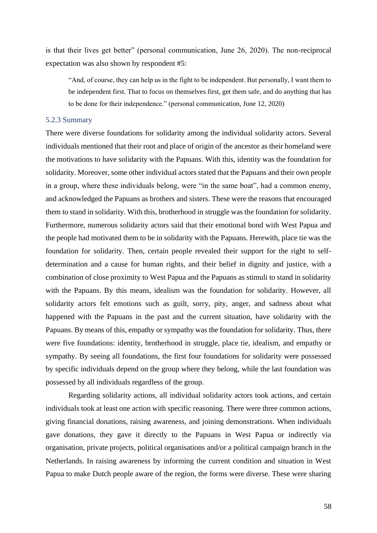is that their lives get better" (personal communication, June 26, 2020). The non-reciprocal expectation was also shown by respondent #5:

"And, of course, they can help us in the fight to be independent. But personally, I want them to be independent first. That to focus on themselves first, get them safe, and do anything that has to be done for their independence." (personal communication, June 12, 2020)

#### 5.2.3 Summary

There were diverse foundations for solidarity among the individual solidarity actors. Several individuals mentioned that their root and place of origin of the ancestor as their homeland were the motivations to have solidarity with the Papuans. With this, identity was the foundation for solidarity. Moreover, some other individual actors stated that the Papuans and their own people in a group, where these individuals belong, were "in the same boat", had a common enemy, and acknowledged the Papuans as brothers and sisters. These were the reasons that encouraged them to stand in solidarity. With this, brotherhood in struggle was the foundation for solidarity. Furthermore, numerous solidarity actors said that their emotional bond with West Papua and the people had motivated them to be in solidarity with the Papuans. Herewith, place tie was the foundation for solidarity. Then, certain people revealed their support for the right to selfdetermination and a cause for human rights, and their belief in dignity and justice, with a combination of close proximity to West Papua and the Papuans as stimuli to stand in solidarity with the Papuans. By this means, idealism was the foundation for solidarity. However, all solidarity actors felt emotions such as guilt, sorry, pity, anger, and sadness about what happened with the Papuans in the past and the current situation, have solidarity with the Papuans. By means of this, empathy or sympathy was the foundation for solidarity. Thus, there were five foundations: identity, brotherhood in struggle, place tie, idealism, and empathy or sympathy. By seeing all foundations, the first four foundations for solidarity were possessed by specific individuals depend on the group where they belong, while the last foundation was possessed by all individuals regardless of the group.

Regarding solidarity actions, all individual solidarity actors took actions, and certain individuals took at least one action with specific reasoning. There were three common actions, giving financial donations, raising awareness, and joining demonstrations. When individuals gave donations, they gave it directly to the Papuans in West Papua or indirectly via organisation, private projects, political organisations and/or a political campaign branch in the Netherlands. In raising awareness by informing the current condition and situation in West Papua to make Dutch people aware of the region, the forms were diverse. These were sharing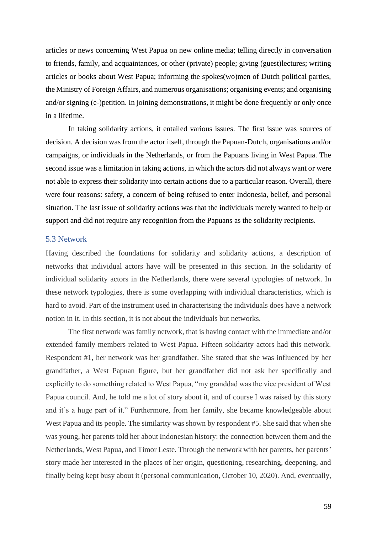articles or news concerning West Papua on new online media; telling directly in conversation to friends, family, and acquaintances, or other (private) people; giving (guest)lectures; writing articles or books about West Papua; informing the spokes(wo)men of Dutch political parties, the Ministry of Foreign Affairs, and numerous organisations; organising events; and organising and/or signing (e-)petition. In joining demonstrations, it might be done frequently or only once in a lifetime.

In taking solidarity actions, it entailed various issues. The first issue was sources of decision. A decision was from the actor itself, through the Papuan-Dutch, organisations and/or campaigns, or individuals in the Netherlands, or from the Papuans living in West Papua. The second issue was a limitation in taking actions, in which the actors did not always want or were not able to express their solidarity into certain actions due to a particular reason. Overall, there were four reasons: safety, a concern of being refused to enter Indonesia, belief, and personal situation. The last issue of solidarity actions was that the individuals merely wanted to help or support and did not require any recognition from the Papuans as the solidarity recipients.

# 5.3 Network

Having described the foundations for solidarity and solidarity actions, a description of networks that individual actors have will be presented in this section. In the solidarity of individual solidarity actors in the Netherlands, there were several typologies of network. In these network typologies, there is some overlapping with individual characteristics, which is hard to avoid. Part of the instrument used in characterising the individuals does have a network notion in it. In this section, it is not about the individuals but networks.

The first network was family network, that is having contact with the immediate and/or extended family members related to West Papua. Fifteen solidarity actors had this network. Respondent #1, her network was her grandfather. She stated that she was influenced by her grandfather, a West Papuan figure, but her grandfather did not ask her specifically and explicitly to do something related to West Papua, "my granddad was the vice president of West Papua council. And, he told me a lot of story about it, and of course I was raised by this story and it's a huge part of it." Furthermore, from her family, she became knowledgeable about West Papua and its people. The similarity was shown by respondent #5. She said that when she was young, her parents told her about Indonesian history: the connection between them and the Netherlands, West Papua, and Timor Leste. Through the network with her parents, her parents' story made her interested in the places of her origin, questioning, researching, deepening, and finally being kept busy about it (personal communication, October 10, 2020). And, eventually,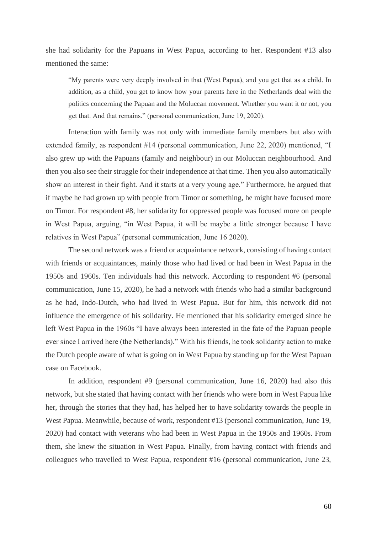she had solidarity for the Papuans in West Papua, according to her. Respondent #13 also mentioned the same:

"My parents were very deeply involved in that (West Papua), and you get that as a child. In addition, as a child, you get to know how your parents here in the Netherlands deal with the politics concerning the Papuan and the Moluccan movement. Whether you want it or not, you get that. And that remains." (personal communication, June 19, 2020).

Interaction with family was not only with immediate family members but also with extended family, as respondent #14 (personal communication, June 22, 2020) mentioned, "I also grew up with the Papuans (family and neighbour) in our Moluccan neighbourhood. And then you also see their struggle for their independence at that time. Then you also automatically show an interest in their fight. And it starts at a very young age." Furthermore, he argued that if maybe he had grown up with people from Timor or something, he might have focused more on Timor. For respondent #8, her solidarity for oppressed people was focused more on people in West Papua, arguing, "in West Papua, it will be maybe a little stronger because I have relatives in West Papua" (personal communication, June 16 2020).

The second network was a friend or acquaintance network, consisting of having contact with friends or acquaintances, mainly those who had lived or had been in West Papua in the 1950s and 1960s. Ten individuals had this network. According to respondent #6 (personal communication, June 15, 2020), he had a network with friends who had a similar background as he had, Indo-Dutch, who had lived in West Papua. But for him, this network did not influence the emergence of his solidarity. He mentioned that his solidarity emerged since he left West Papua in the 1960s "I have always been interested in the fate of the Papuan people ever since I arrived here (the Netherlands)." With his friends, he took solidarity action to make the Dutch people aware of what is going on in West Papua by standing up for the West Papuan case on Facebook.

In addition, respondent #9 (personal communication, June 16, 2020) had also this network, but she stated that having contact with her friends who were born in West Papua like her, through the stories that they had, has helped her to have solidarity towards the people in West Papua. Meanwhile, because of work, respondent #13 (personal communication, June 19, 2020) had contact with veterans who had been in West Papua in the 1950s and 1960s. From them, she knew the situation in West Papua. Finally, from having contact with friends and colleagues who travelled to West Papua, respondent #16 (personal communication, June 23,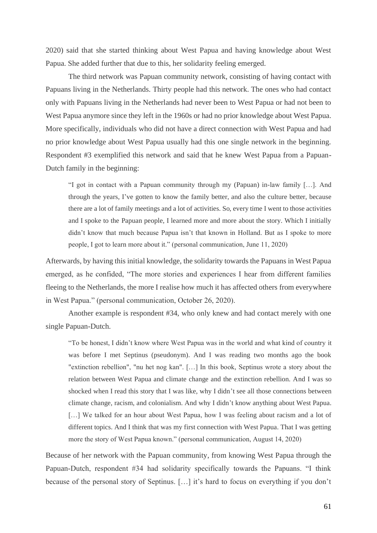2020) said that she started thinking about West Papua and having knowledge about West Papua. She added further that due to this, her solidarity feeling emerged.

The third network was Papuan community network, consisting of having contact with Papuans living in the Netherlands. Thirty people had this network. The ones who had contact only with Papuans living in the Netherlands had never been to West Papua or had not been to West Papua anymore since they left in the 1960s or had no prior knowledge about West Papua. More specifically, individuals who did not have a direct connection with West Papua and had no prior knowledge about West Papua usually had this one single network in the beginning. Respondent #3 exemplified this network and said that he knew West Papua from a Papuan-Dutch family in the beginning:

"I got in contact with a Papuan community through my (Papuan) in-law family […]. And through the years, I've gotten to know the family better, and also the culture better, because there are a lot of family meetings and a lot of activities. So, every time I went to those activities and I spoke to the Papuan people, I learned more and more about the story. Which I initially didn't know that much because Papua isn't that known in Holland. But as I spoke to more people, I got to learn more about it." (personal communication, June 11, 2020)

Afterwards, by having this initial knowledge, the solidarity towards the Papuans in West Papua emerged, as he confided, "The more stories and experiences I hear from different families fleeing to the Netherlands, the more I realise how much it has affected others from everywhere in West Papua." (personal communication, October 26, 2020).

Another example is respondent #34, who only knew and had contact merely with one single Papuan-Dutch.

"To be honest, I didn't know where West Papua was in the world and what kind of country it was before I met Septinus (pseudonym). And I was reading two months ago the book "extinction rebellion", "nu het nog kan". […] In this book, Septinus wrote a story about the relation between West Papua and climate change and the extinction rebellion. And I was so shocked when I read this story that I was like, why I didn't see all those connections between climate change, racism, and colonialism. And why I didn't know anything about West Papua. [...] We talked for an hour about West Papua, how I was feeling about racism and a lot of different topics. And I think that was my first connection with West Papua. That I was getting more the story of West Papua known." (personal communication, August 14, 2020)

Because of her network with the Papuan community, from knowing West Papua through the Papuan-Dutch, respondent #34 had solidarity specifically towards the Papuans. "I think because of the personal story of Septinus. […] it's hard to focus on everything if you don't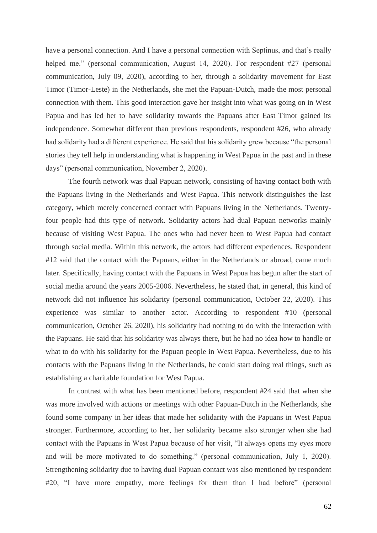have a personal connection. And I have a personal connection with Septinus, and that's really helped me." (personal communication, August 14, 2020). For respondent #27 (personal communication, July 09, 2020), according to her, through a solidarity movement for East Timor (Timor-Leste) in the Netherlands, she met the Papuan-Dutch, made the most personal connection with them. This good interaction gave her insight into what was going on in West Papua and has led her to have solidarity towards the Papuans after East Timor gained its independence. Somewhat different than previous respondents, respondent #26, who already had solidarity had a different experience. He said that his solidarity grew because "the personal stories they tell help in understanding what is happening in West Papua in the past and in these days" (personal communication, November 2, 2020).

The fourth network was dual Papuan network, consisting of having contact both with the Papuans living in the Netherlands and West Papua. This network distinguishes the last category, which merely concerned contact with Papuans living in the Netherlands. Twentyfour people had this type of network. Solidarity actors had dual Papuan networks mainly because of visiting West Papua. The ones who had never been to West Papua had contact through social media. Within this network, the actors had different experiences. Respondent #12 said that the contact with the Papuans, either in the Netherlands or abroad, came much later. Specifically, having contact with the Papuans in West Papua has begun after the start of social media around the years 2005-2006. Nevertheless, he stated that, in general, this kind of network did not influence his solidarity (personal communication, October 22, 2020). This experience was similar to another actor. According to respondent #10 (personal communication, October 26, 2020), his solidarity had nothing to do with the interaction with the Papuans. He said that his solidarity was always there, but he had no idea how to handle or what to do with his solidarity for the Papuan people in West Papua. Nevertheless, due to his contacts with the Papuans living in the Netherlands, he could start doing real things, such as establishing a charitable foundation for West Papua.

In contrast with what has been mentioned before, respondent #24 said that when she was more involved with actions or meetings with other Papuan-Dutch in the Netherlands, she found some company in her ideas that made her solidarity with the Papuans in West Papua stronger. Furthermore, according to her, her solidarity became also stronger when she had contact with the Papuans in West Papua because of her visit, "It always opens my eyes more and will be more motivated to do something." (personal communication, July 1, 2020). Strengthening solidarity due to having dual Papuan contact was also mentioned by respondent #20, "I have more empathy, more feelings for them than I had before" (personal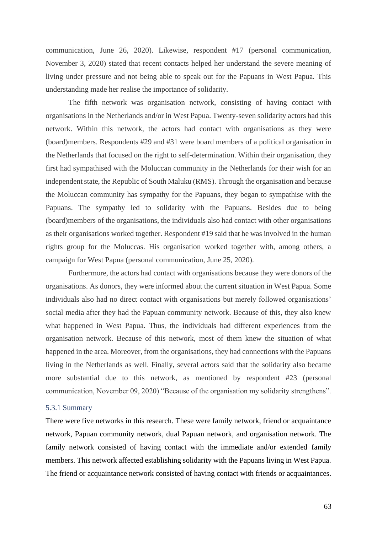communication, June 26, 2020). Likewise, respondent #17 (personal communication, November 3, 2020) stated that recent contacts helped her understand the severe meaning of living under pressure and not being able to speak out for the Papuans in West Papua. This understanding made her realise the importance of solidarity.

The fifth network was organisation network, consisting of having contact with organisations in the Netherlands and/or in West Papua. Twenty-seven solidarity actors had this network. Within this network, the actors had contact with organisations as they were (board)members. Respondents #29 and #31 were board members of a political organisation in the Netherlands that focused on the right to self-determination. Within their organisation, they first had sympathised with the Moluccan community in the Netherlands for their wish for an independent state, the Republic of South Maluku (RMS). Through the organisation and because the Moluccan community has sympathy for the Papuans, they began to sympathise with the Papuans. The sympathy led to solidarity with the Papuans. Besides due to being (board)members of the organisations, the individuals also had contact with other organisations as their organisations worked together. Respondent #19 said that he was involved in the human rights group for the Moluccas. His organisation worked together with, among others, a campaign for West Papua (personal communication, June 25, 2020).

Furthermore, the actors had contact with organisations because they were donors of the organisations. As donors, they were informed about the current situation in West Papua. Some individuals also had no direct contact with organisations but merely followed organisations' social media after they had the Papuan community network. Because of this, they also knew what happened in West Papua. Thus, the individuals had different experiences from the organisation network. Because of this network, most of them knew the situation of what happened in the area. Moreover, from the organisations, they had connections with the Papuans living in the Netherlands as well. Finally, several actors said that the solidarity also became more substantial due to this network, as mentioned by respondent #23 (personal communication, November 09, 2020) "Because of the organisation my solidarity strengthens".

## 5.3.1 Summary

There were five networks in this research. These were family network, friend or acquaintance network, Papuan community network, dual Papuan network, and organisation network. The family network consisted of having contact with the immediate and/or extended family members. This network affected establishing solidarity with the Papuans living in West Papua. The friend or acquaintance network consisted of having contact with friends or acquaintances.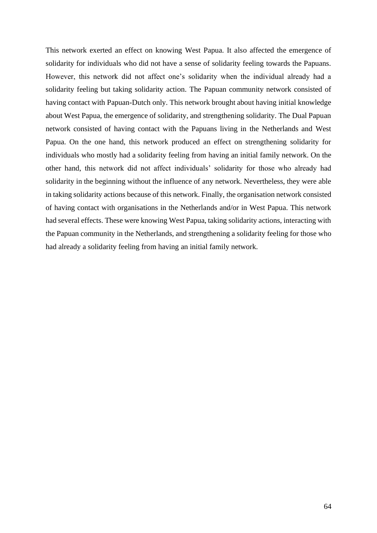This network exerted an effect on knowing West Papua. It also affected the emergence of solidarity for individuals who did not have a sense of solidarity feeling towards the Papuans. However, this network did not affect one's solidarity when the individual already had a solidarity feeling but taking solidarity action. The Papuan community network consisted of having contact with Papuan-Dutch only. This network brought about having initial knowledge about West Papua, the emergence of solidarity, and strengthening solidarity. The Dual Papuan network consisted of having contact with the Papuans living in the Netherlands and West Papua. On the one hand, this network produced an effect on strengthening solidarity for individuals who mostly had a solidarity feeling from having an initial family network. On the other hand, this network did not affect individuals' solidarity for those who already had solidarity in the beginning without the influence of any network. Nevertheless, they were able in taking solidarity actions because of this network. Finally, the organisation network consisted of having contact with organisations in the Netherlands and/or in West Papua. This network had several effects. These were knowing West Papua, taking solidarity actions, interacting with the Papuan community in the Netherlands, and strengthening a solidarity feeling for those who had already a solidarity feeling from having an initial family network.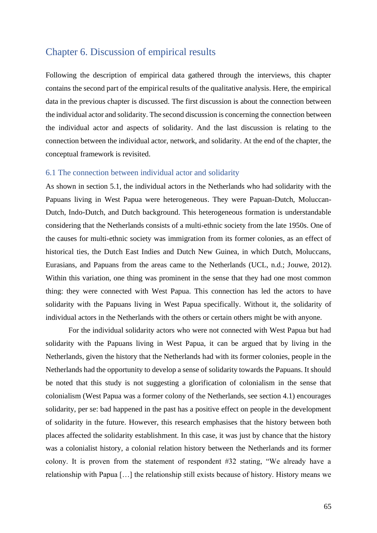# Chapter 6. Discussion of empirical results

Following the description of empirical data gathered through the interviews, this chapter contains the second part of the empirical results of the qualitative analysis. Here, the empirical data in the previous chapter is discussed. The first discussion is about the connection between the individual actor and solidarity. The second discussion is concerning the connection between the individual actor and aspects of solidarity. And the last discussion is relating to the connection between the individual actor, network, and solidarity. At the end of the chapter, the conceptual framework is revisited.

## 6.1 The connection between individual actor and solidarity

As shown in section 5.1, the individual actors in the Netherlands who had solidarity with the Papuans living in West Papua were heterogeneous. They were Papuan-Dutch, Moluccan-Dutch, Indo-Dutch, and Dutch background. This heterogeneous formation is understandable considering that the Netherlands consists of a multi-ethnic society from the late 1950s. One of the causes for multi-ethnic society was immigration from its former colonies, as an effect of historical ties, the Dutch East Indies and Dutch New Guinea, in which Dutch, Moluccans, Eurasians, and Papuans from the areas came to the Netherlands (UCL, n.d.; Jouwe, 2012). Within this variation, one thing was prominent in the sense that they had one most common thing: they were connected with West Papua. This connection has led the actors to have solidarity with the Papuans living in West Papua specifically. Without it, the solidarity of individual actors in the Netherlands with the others or certain others might be with anyone.

For the individual solidarity actors who were not connected with West Papua but had solidarity with the Papuans living in West Papua, it can be argued that by living in the Netherlands, given the history that the Netherlands had with its former colonies, people in the Netherlands had the opportunity to develop a sense of solidarity towards the Papuans. It should be noted that this study is not suggesting a glorification of colonialism in the sense that colonialism (West Papua was a former colony of the Netherlands, see section 4.1) encourages solidarity, per se: bad happened in the past has a positive effect on people in the development of solidarity in the future. However, this research emphasises that the history between both places affected the solidarity establishment. In this case, it was just by chance that the history was a colonialist history, a colonial relation history between the Netherlands and its former colony. It is proven from the statement of respondent #32 stating, "We already have a relationship with Papua […] the relationship still exists because of history. History means we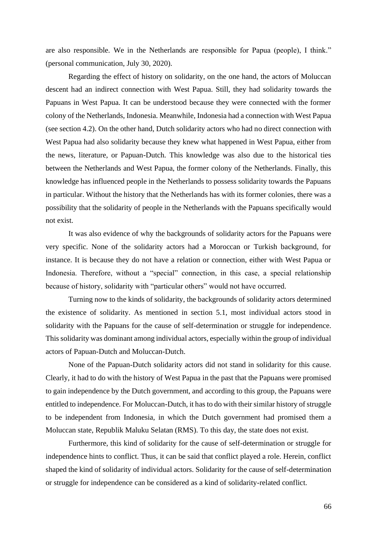are also responsible. We in the Netherlands are responsible for Papua (people), I think." (personal communication, July 30, 2020).

Regarding the effect of history on solidarity, on the one hand, the actors of Moluccan descent had an indirect connection with West Papua. Still, they had solidarity towards the Papuans in West Papua. It can be understood because they were connected with the former colony of the Netherlands, Indonesia. Meanwhile, Indonesia had a connection with West Papua (see section 4.2). On the other hand, Dutch solidarity actors who had no direct connection with West Papua had also solidarity because they knew what happened in West Papua, either from the news, literature, or Papuan-Dutch. This knowledge was also due to the historical ties between the Netherlands and West Papua, the former colony of the Netherlands. Finally, this knowledge has influenced people in the Netherlands to possess solidarity towards the Papuans in particular. Without the history that the Netherlands has with its former colonies, there was a possibility that the solidarity of people in the Netherlands with the Papuans specifically would not exist.

It was also evidence of why the backgrounds of solidarity actors for the Papuans were very specific. None of the solidarity actors had a Moroccan or Turkish background, for instance. It is because they do not have a relation or connection, either with West Papua or Indonesia. Therefore, without a "special" connection, in this case, a special relationship because of history, solidarity with "particular others" would not have occurred.

Turning now to the kinds of solidarity, the backgrounds of solidarity actors determined the existence of solidarity. As mentioned in section 5.1, most individual actors stood in solidarity with the Papuans for the cause of self-determination or struggle for independence. This solidarity was dominant among individual actors, especially within the group of individual actors of Papuan-Dutch and Moluccan-Dutch.

None of the Papuan-Dutch solidarity actors did not stand in solidarity for this cause. Clearly, it had to do with the history of West Papua in the past that the Papuans were promised to gain independence by the Dutch government, and according to this group, the Papuans were entitled to independence. For Moluccan-Dutch, it has to do with their similar history of struggle to be independent from Indonesia, in which the Dutch government had promised them a Moluccan state, Republik Maluku Selatan (RMS). To this day, the state does not exist.

Furthermore, this kind of solidarity for the cause of self-determination or struggle for independence hints to conflict. Thus, it can be said that conflict played a role. Herein, conflict shaped the kind of solidarity of individual actors. Solidarity for the cause of self-determination or struggle for independence can be considered as a kind of solidarity-related conflict.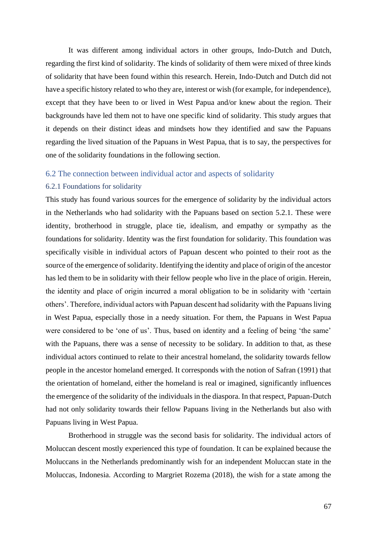It was different among individual actors in other groups, Indo-Dutch and Dutch, regarding the first kind of solidarity. The kinds of solidarity of them were mixed of three kinds of solidarity that have been found within this research. Herein, Indo-Dutch and Dutch did not have a specific history related to who they are, interest or wish (for example, for independence), except that they have been to or lived in West Papua and/or knew about the region. Their backgrounds have led them not to have one specific kind of solidarity. This study argues that it depends on their distinct ideas and mindsets how they identified and saw the Papuans regarding the lived situation of the Papuans in West Papua, that is to say, the perspectives for one of the solidarity foundations in the following section.

## 6.2 The connection between individual actor and aspects of solidarity

#### 6.2.1 Foundations for solidarity

This study has found various sources for the emergence of solidarity by the individual actors in the Netherlands who had solidarity with the Papuans based on section 5.2.1. These were identity, brotherhood in struggle, place tie, idealism, and empathy or sympathy as the foundations for solidarity. Identity was the first foundation for solidarity. This foundation was specifically visible in individual actors of Papuan descent who pointed to their root as the source of the emergence of solidarity. Identifying the identity and place of origin of the ancestor has led them to be in solidarity with their fellow people who live in the place of origin. Herein, the identity and place of origin incurred a moral obligation to be in solidarity with 'certain others'. Therefore, individual actors with Papuan descent had solidarity with the Papuans living in West Papua, especially those in a needy situation. For them, the Papuans in West Papua were considered to be 'one of us'. Thus, based on identity and a feeling of being 'the same' with the Papuans, there was a sense of necessity to be solidary. In addition to that, as these individual actors continued to relate to their ancestral homeland, the solidarity towards fellow people in the ancestor homeland emerged. It corresponds with the notion of Safran (1991) that the orientation of homeland, either the homeland is real or imagined, significantly influences the emergence of the solidarity of the individuals in the diaspora. In that respect, Papuan-Dutch had not only solidarity towards their fellow Papuans living in the Netherlands but also with Papuans living in West Papua.

Brotherhood in struggle was the second basis for solidarity. The individual actors of Moluccan descent mostly experienced this type of foundation. It can be explained because the Moluccans in the Netherlands predominantly wish for an independent Moluccan state in the Moluccas, Indonesia. According to Margriet Rozema (2018), the wish for a state among the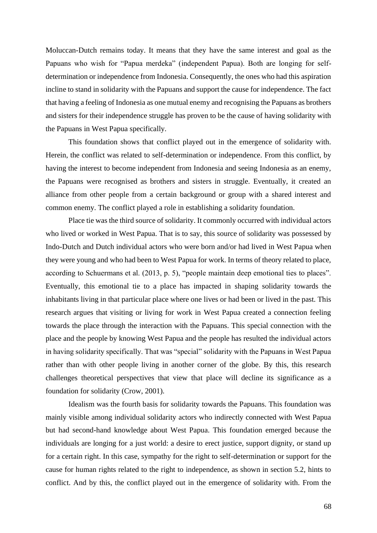Moluccan-Dutch remains today. It means that they have the same interest and goal as the Papuans who wish for "Papua merdeka" (independent Papua). Both are longing for selfdetermination or independence from Indonesia. Consequently, the ones who had this aspiration incline to stand in solidarity with the Papuans and support the cause for independence. The fact that having a feeling of Indonesia as one mutual enemy and recognising the Papuans as brothers and sisters for their independence struggle has proven to be the cause of having solidarity with the Papuans in West Papua specifically.

This foundation shows that conflict played out in the emergence of solidarity with. Herein, the conflict was related to self-determination or independence. From this conflict, by having the interest to become independent from Indonesia and seeing Indonesia as an enemy, the Papuans were recognised as brothers and sisters in struggle. Eventually, it created an alliance from other people from a certain background or group with a shared interest and common enemy. The conflict played a role in establishing a solidarity foundation.

Place tie was the third source of solidarity. It commonly occurred with individual actors who lived or worked in West Papua. That is to say, this source of solidarity was possessed by Indo-Dutch and Dutch individual actors who were born and/or had lived in West Papua when they were young and who had been to West Papua for work. In terms of theory related to place, according to Schuermans et al. (2013, p. 5), "people maintain deep emotional ties to places". Eventually, this emotional tie to a place has impacted in shaping solidarity towards the inhabitants living in that particular place where one lives or had been or lived in the past. This research argues that visiting or living for work in West Papua created a connection feeling towards the place through the interaction with the Papuans. This special connection with the place and the people by knowing West Papua and the people has resulted the individual actors in having solidarity specifically. That was "special" solidarity with the Papuans in West Papua rather than with other people living in another corner of the globe. By this, this research challenges theoretical perspectives that view that place will decline its significance as a foundation for solidarity (Crow, 2001).

Idealism was the fourth basis for solidarity towards the Papuans. This foundation was mainly visible among individual solidarity actors who indirectly connected with West Papua but had second-hand knowledge about West Papua. This foundation emerged because the individuals are longing for a just world: a desire to erect justice, support dignity, or stand up for a certain right. In this case, sympathy for the right to self-determination or support for the cause for human rights related to the right to independence, as shown in section 5.2, hints to conflict. And by this, the conflict played out in the emergence of solidarity with. From the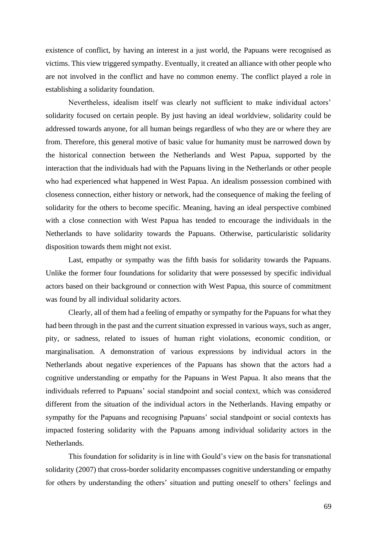existence of conflict, by having an interest in a just world, the Papuans were recognised as victims. This view triggered sympathy. Eventually, it created an alliance with other people who are not involved in the conflict and have no common enemy. The conflict played a role in establishing a solidarity foundation.

Nevertheless, idealism itself was clearly not sufficient to make individual actors' solidarity focused on certain people. By just having an ideal worldview, solidarity could be addressed towards anyone, for all human beings regardless of who they are or where they are from. Therefore, this general motive of basic value for humanity must be narrowed down by the historical connection between the Netherlands and West Papua, supported by the interaction that the individuals had with the Papuans living in the Netherlands or other people who had experienced what happened in West Papua. An idealism possession combined with closeness connection, either history or network, had the consequence of making the feeling of solidarity for the others to become specific. Meaning, having an ideal perspective combined with a close connection with West Papua has tended to encourage the individuals in the Netherlands to have solidarity towards the Papuans. Otherwise, particularistic solidarity disposition towards them might not exist.

Last, empathy or sympathy was the fifth basis for solidarity towards the Papuans. Unlike the former four foundations for solidarity that were possessed by specific individual actors based on their background or connection with West Papua, this source of commitment was found by all individual solidarity actors.

Clearly, all of them had a feeling of empathy or sympathy for the Papuans for what they had been through in the past and the current situation expressed in various ways, such as anger, pity, or sadness, related to issues of human right violations, economic condition, or marginalisation. A demonstration of various expressions by individual actors in the Netherlands about negative experiences of the Papuans has shown that the actors had a cognitive understanding or empathy for the Papuans in West Papua. It also means that the individuals referred to Papuans' social standpoint and social context, which was considered different from the situation of the individual actors in the Netherlands. Having empathy or sympathy for the Papuans and recognising Papuans' social standpoint or social contexts has impacted fostering solidarity with the Papuans among individual solidarity actors in the Netherlands.

This foundation for solidarity is in line with Gould's view on the basis for transnational solidarity (2007) that cross-border solidarity encompasses cognitive understanding or empathy for others by understanding the others' situation and putting oneself to others' feelings and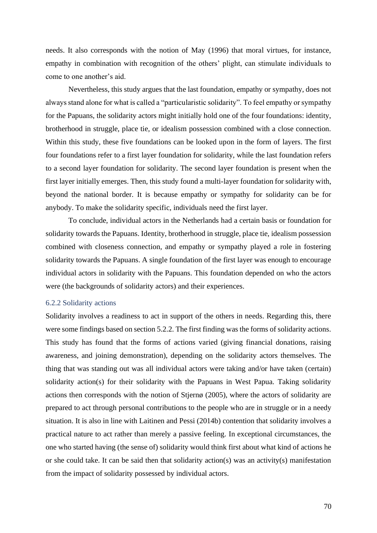needs. It also corresponds with the notion of May (1996) that moral virtues, for instance, empathy in combination with recognition of the others' plight, can stimulate individuals to come to one another's aid.

Nevertheless, this study argues that the last foundation, empathy or sympathy, does not always stand alone for what is called a "particularistic solidarity". To feel empathy or sympathy for the Papuans, the solidarity actors might initially hold one of the four foundations: identity, brotherhood in struggle, place tie, or idealism possession combined with a close connection. Within this study, these five foundations can be looked upon in the form of layers. The first four foundations refer to a first layer foundation for solidarity, while the last foundation refers to a second layer foundation for solidarity. The second layer foundation is present when the first layer initially emerges. Then, this study found a multi-layer foundation for solidarity with, beyond the national border. It is because empathy or sympathy for solidarity can be for anybody. To make the solidarity specific, individuals need the first layer.

To conclude, individual actors in the Netherlands had a certain basis or foundation for solidarity towards the Papuans. Identity, brotherhood in struggle, place tie, idealism possession combined with closeness connection, and empathy or sympathy played a role in fostering solidarity towards the Papuans. A single foundation of the first layer was enough to encourage individual actors in solidarity with the Papuans. This foundation depended on who the actors were (the backgrounds of solidarity actors) and their experiences.

## 6.2.2 Solidarity actions

Solidarity involves a readiness to act in support of the others in needs. Regarding this, there were some findings based on section 5.2.2. The first finding was the forms of solidarity actions. This study has found that the forms of actions varied (giving financial donations, raising awareness, and joining demonstration), depending on the solidarity actors themselves. The thing that was standing out was all individual actors were taking and/or have taken (certain) solidarity action(s) for their solidarity with the Papuans in West Papua. Taking solidarity actions then corresponds with the notion of Stjernø (2005), where the actors of solidarity are prepared to act through personal contributions to the people who are in struggle or in a needy situation. It is also in line with Laitinen and Pessi (2014b) contention that solidarity involves a practical nature to act rather than merely a passive feeling. In exceptional circumstances, the one who started having (the sense of) solidarity would think first about what kind of actions he or she could take. It can be said then that solidarity action(s) was an activity(s) manifestation from the impact of solidarity possessed by individual actors.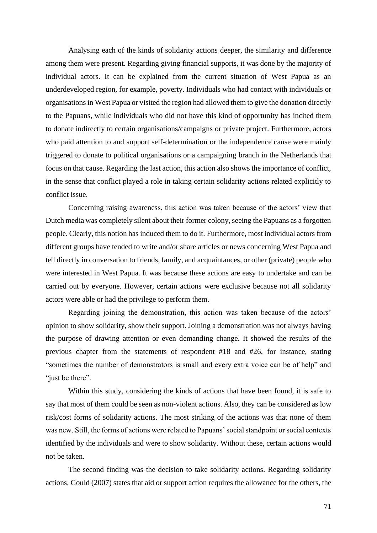Analysing each of the kinds of solidarity actions deeper, the similarity and difference among them were present. Regarding giving financial supports, it was done by the majority of individual actors. It can be explained from the current situation of West Papua as an underdeveloped region, for example, poverty. Individuals who had contact with individuals or organisations in West Papua or visited the region had allowed them to give the donation directly to the Papuans, while individuals who did not have this kind of opportunity has incited them to donate indirectly to certain organisations/campaigns or private project. Furthermore, actors who paid attention to and support self-determination or the independence cause were mainly triggered to donate to political organisations or a campaigning branch in the Netherlands that focus on that cause. Regarding the last action, this action also shows the importance of conflict, in the sense that conflict played a role in taking certain solidarity actions related explicitly to conflict issue.

Concerning raising awareness, this action was taken because of the actors' view that Dutch media was completely silent about their former colony, seeing the Papuans as a forgotten people. Clearly, this notion has induced them to do it. Furthermore, most individual actors from different groups have tended to write and/or share articles or news concerning West Papua and tell directly in conversation to friends, family, and acquaintances, or other (private) people who were interested in West Papua. It was because these actions are easy to undertake and can be carried out by everyone. However, certain actions were exclusive because not all solidarity actors were able or had the privilege to perform them.

Regarding joining the demonstration, this action was taken because of the actors' opinion to show solidarity, show their support. Joining a demonstration was not always having the purpose of drawing attention or even demanding change. It showed the results of the previous chapter from the statements of respondent #18 and #26, for instance, stating "sometimes the number of demonstrators is small and every extra voice can be of help" and "just be there".

Within this study, considering the kinds of actions that have been found, it is safe to say that most of them could be seen as non-violent actions. Also, they can be considered as low risk/cost forms of solidarity actions. The most striking of the actions was that none of them was new. Still, the forms of actions were related to Papuans' social standpoint or social contexts identified by the individuals and were to show solidarity. Without these, certain actions would not be taken.

The second finding was the decision to take solidarity actions. Regarding solidarity actions, Gould (2007) states that aid or support action requires the allowance for the others, the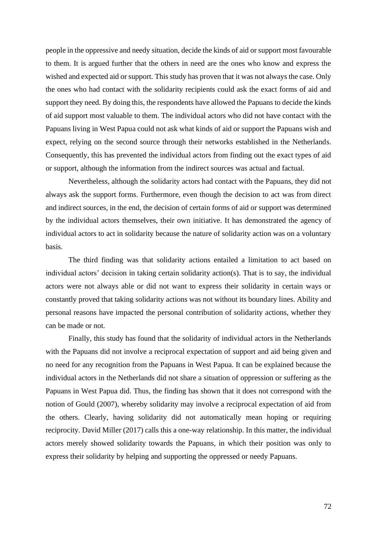people in the oppressive and needy situation, decide the kinds of aid or support most favourable to them. It is argued further that the others in need are the ones who know and express the wished and expected aid or support. This study has proven that it was not always the case. Only the ones who had contact with the solidarity recipients could ask the exact forms of aid and support they need. By doing this, the respondents have allowed the Papuans to decide the kinds of aid support most valuable to them. The individual actors who did not have contact with the Papuans living in West Papua could not ask what kinds of aid or support the Papuans wish and expect, relying on the second source through their networks established in the Netherlands. Consequently, this has prevented the individual actors from finding out the exact types of aid or support, although the information from the indirect sources was actual and factual.

Nevertheless, although the solidarity actors had contact with the Papuans, they did not always ask the support forms. Furthermore, even though the decision to act was from direct and indirect sources, in the end, the decision of certain forms of aid or support was determined by the individual actors themselves, their own initiative. It has demonstrated the agency of individual actors to act in solidarity because the nature of solidarity action was on a voluntary basis.

The third finding was that solidarity actions entailed a limitation to act based on individual actors' decision in taking certain solidarity action(s). That is to say, the individual actors were not always able or did not want to express their solidarity in certain ways or constantly proved that taking solidarity actions was not without its boundary lines. Ability and personal reasons have impacted the personal contribution of solidarity actions, whether they can be made or not.

Finally, this study has found that the solidarity of individual actors in the Netherlands with the Papuans did not involve a reciprocal expectation of support and aid being given and no need for any recognition from the Papuans in West Papua. It can be explained because the individual actors in the Netherlands did not share a situation of oppression or suffering as the Papuans in West Papua did. Thus, the finding has shown that it does not correspond with the notion of Gould (2007), whereby solidarity may involve a reciprocal expectation of aid from the others. Clearly, having solidarity did not automatically mean hoping or requiring reciprocity. David Miller (2017) calls this a one-way relationship. In this matter, the individual actors merely showed solidarity towards the Papuans, in which their position was only to express their solidarity by helping and supporting the oppressed or needy Papuans.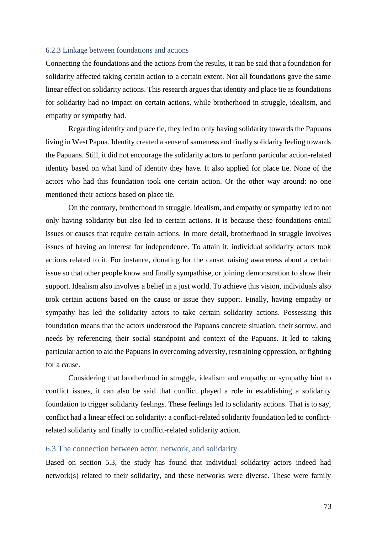#### 6.2.3 Linkage between foundations and actions

Connecting the foundations and the actions from the results, it can be said that a foundation for solidarity affected taking certain action to a certain extent. Not all foundations gave the same linear effect on solidarity actions. This research argues that identity and place tie as foundations for solidarity had no impact on certain actions, while brotherhood in struggle, idealism, and empathy or sympathy had.

Regarding identity and place tie, they led to only having solidarity towards the Papuans living in West Papua. Identity created a sense of sameness and finally solidarity feeling towards the Papuans. Still, it did not encourage the solidarity actors to perform particular action-related identity based on what kind of identity they have. It also applied for place tie. None of the actors who had this foundation took one certain action. Or the other way around: no one mentioned their actions based on place tie.

On the contrary, brotherhood in struggle, idealism, and empathy or sympathy led to not only having solidarity but also led to certain actions. It is because these foundations entail issues or causes that require certain actions. In more detail, brotherhood in struggle involves issues of having an interest for independence. To attain it, individual solidarity actors took actions related to it. For instance, donating for the cause, raising awareness about a certain issue so that other people know and finally sympathise, or joining demonstration to show their support. Idealism also involves a belief in a just world. To achieve this vision, individuals also took certain actions based on the cause or issue they support. Finally, having empathy or sympathy has led the solidarity actors to take certain solidarity actions. Possessing this foundation means that the actors understood the Papuans concrete situation, their sorrow, and needs by referencing their social standpoint and context of the Papuans. It led to taking particular action to aid the Papuans in overcoming adversity, restraining oppression, or fighting for a cause.

Considering that brotherhood in struggle, idealism and empathy or sympathy hint to conflict issues, it can also be said that conflict played a role in establishing a solidarity foundation to trigger solidarity feelings. These feelings led to solidarity actions. That is to say, conflict had a linear effect on solidarity: a conflict-related solidarity foundation led to conflictrelated solidarity and finally to conflict-related solidarity action.

#### 6.3 The connection between actor, network, and solidarity

Based on section 5.3, the study has found that individual solidarity actors indeed had network(s) related to their solidarity, and these networks were diverse. These were family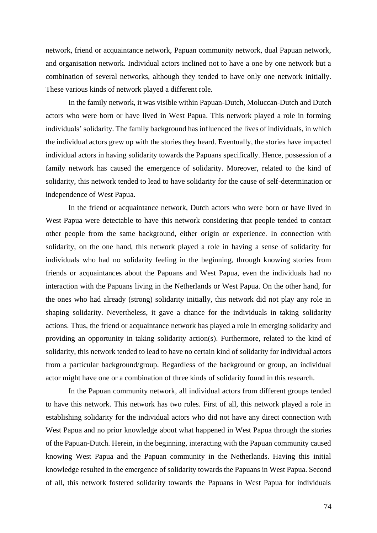network, friend or acquaintance network, Papuan community network, dual Papuan network, and organisation network. Individual actors inclined not to have a one by one network but a combination of several networks, although they tended to have only one network initially. These various kinds of network played a different role.

In the family network, it was visible within Papuan-Dutch, Moluccan-Dutch and Dutch actors who were born or have lived in West Papua. This network played a role in forming individuals' solidarity. The family background has influenced the lives of individuals, in which the individual actors grew up with the stories they heard. Eventually, the stories have impacted individual actors in having solidarity towards the Papuans specifically. Hence, possession of a family network has caused the emergence of solidarity. Moreover, related to the kind of solidarity, this network tended to lead to have solidarity for the cause of self-determination or independence of West Papua.

In the friend or acquaintance network, Dutch actors who were born or have lived in West Papua were detectable to have this network considering that people tended to contact other people from the same background, either origin or experience. In connection with solidarity, on the one hand, this network played a role in having a sense of solidarity for individuals who had no solidarity feeling in the beginning, through knowing stories from friends or acquaintances about the Papuans and West Papua, even the individuals had no interaction with the Papuans living in the Netherlands or West Papua. On the other hand, for the ones who had already (strong) solidarity initially, this network did not play any role in shaping solidarity. Nevertheless, it gave a chance for the individuals in taking solidarity actions. Thus, the friend or acquaintance network has played a role in emerging solidarity and providing an opportunity in taking solidarity action(s). Furthermore, related to the kind of solidarity, this network tended to lead to have no certain kind of solidarity for individual actors from a particular background/group. Regardless of the background or group, an individual actor might have one or a combination of three kinds of solidarity found in this research.

In the Papuan community network, all individual actors from different groups tended to have this network. This network has two roles. First of all, this network played a role in establishing solidarity for the individual actors who did not have any direct connection with West Papua and no prior knowledge about what happened in West Papua through the stories of the Papuan-Dutch. Herein, in the beginning, interacting with the Papuan community caused knowing West Papua and the Papuan community in the Netherlands. Having this initial knowledge resulted in the emergence of solidarity towards the Papuans in West Papua. Second of all, this network fostered solidarity towards the Papuans in West Papua for individuals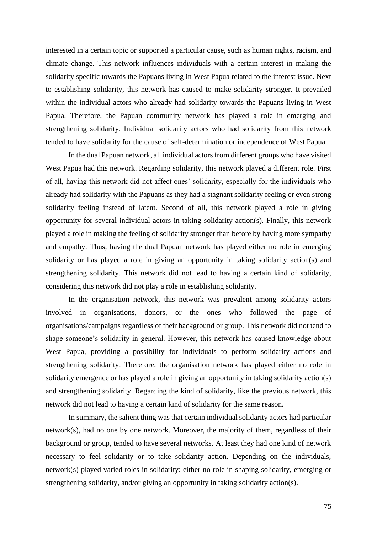interested in a certain topic or supported a particular cause, such as human rights, racism, and climate change. This network influences individuals with a certain interest in making the solidarity specific towards the Papuans living in West Papua related to the interest issue. Next to establishing solidarity, this network has caused to make solidarity stronger. It prevailed within the individual actors who already had solidarity towards the Papuans living in West Papua. Therefore, the Papuan community network has played a role in emerging and strengthening solidarity. Individual solidarity actors who had solidarity from this network tended to have solidarity for the cause of self-determination or independence of West Papua.

In the dual Papuan network, all individual actors from different groups who have visited West Papua had this network. Regarding solidarity, this network played a different role. First of all, having this network did not affect ones' solidarity, especially for the individuals who already had solidarity with the Papuans as they had a stagnant solidarity feeling or even strong solidarity feeling instead of latent. Second of all, this network played a role in giving opportunity for several individual actors in taking solidarity action(s). Finally, this network played a role in making the feeling of solidarity stronger than before by having more sympathy and empathy. Thus, having the dual Papuan network has played either no role in emerging solidarity or has played a role in giving an opportunity in taking solidarity action(s) and strengthening solidarity. This network did not lead to having a certain kind of solidarity, considering this network did not play a role in establishing solidarity.

In the organisation network, this network was prevalent among solidarity actors involved in organisations, donors, or the ones who followed the page of organisations/campaigns regardless of their background or group. This network did not tend to shape someone's solidarity in general. However, this network has caused knowledge about West Papua, providing a possibility for individuals to perform solidarity actions and strengthening solidarity. Therefore, the organisation network has played either no role in solidarity emergence or has played a role in giving an opportunity in taking solidarity action(s) and strengthening solidarity. Regarding the kind of solidarity, like the previous network, this network did not lead to having a certain kind of solidarity for the same reason.

In summary, the salient thing was that certain individual solidarity actors had particular network(s), had no one by one network. Moreover, the majority of them, regardless of their background or group, tended to have several networks. At least they had one kind of network necessary to feel solidarity or to take solidarity action. Depending on the individuals, network(s) played varied roles in solidarity: either no role in shaping solidarity, emerging or strengthening solidarity, and/or giving an opportunity in taking solidarity action(s).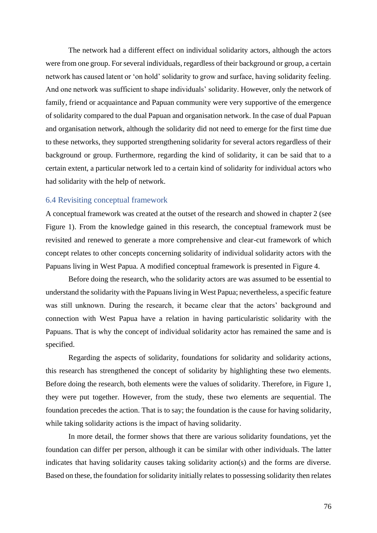The network had a different effect on individual solidarity actors, although the actors were from one group. For several individuals, regardless of their background or group, a certain network has caused latent or 'on hold' solidarity to grow and surface, having solidarity feeling. And one network was sufficient to shape individuals' solidarity. However, only the network of family, friend or acquaintance and Papuan community were very supportive of the emergence of solidarity compared to the dual Papuan and organisation network. In the case of dual Papuan and organisation network, although the solidarity did not need to emerge for the first time due to these networks, they supported strengthening solidarity for several actors regardless of their background or group. Furthermore, regarding the kind of solidarity, it can be said that to a certain extent, a particular network led to a certain kind of solidarity for individual actors who had solidarity with the help of network.

#### 6.4 Revisiting conceptual framework

A conceptual framework was created at the outset of the research and showed in chapter 2 (see Figure 1). From the knowledge gained in this research, the conceptual framework must be revisited and renewed to generate a more comprehensive and clear-cut framework of which concept relates to other concepts concerning solidarity of individual solidarity actors with the Papuans living in West Papua. A modified conceptual framework is presented in Figure 4.

Before doing the research, who the solidarity actors are was assumed to be essential to understand the solidarity with the Papuans living in West Papua; nevertheless, a specific feature was still unknown. During the research, it became clear that the actors' background and connection with West Papua have a relation in having particularistic solidarity with the Papuans. That is why the concept of individual solidarity actor has remained the same and is specified.

Regarding the aspects of solidarity, foundations for solidarity and solidarity actions, this research has strengthened the concept of solidarity by highlighting these two elements. Before doing the research, both elements were the values of solidarity. Therefore, in Figure 1, they were put together. However, from the study, these two elements are sequential. The foundation precedes the action. That is to say; the foundation is the cause for having solidarity, while taking solidarity actions is the impact of having solidarity.

In more detail, the former shows that there are various solidarity foundations, yet the foundation can differ per person, although it can be similar with other individuals. The latter indicates that having solidarity causes taking solidarity action(s) and the forms are diverse. Based on these, the foundation for solidarity initially relates to possessing solidarity then relates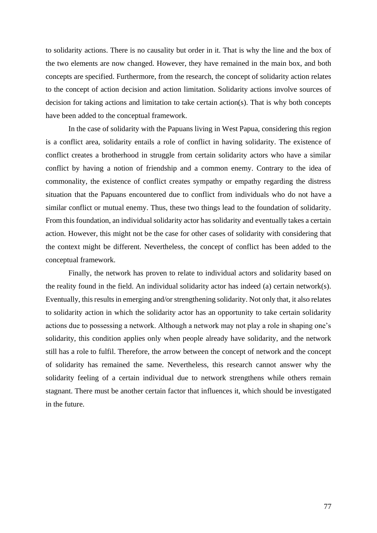to solidarity actions. There is no causality but order in it. That is why the line and the box of the two elements are now changed. However, they have remained in the main box, and both concepts are specified. Furthermore, from the research, the concept of solidarity action relates to the concept of action decision and action limitation. Solidarity actions involve sources of decision for taking actions and limitation to take certain action(s). That is why both concepts have been added to the conceptual framework.

In the case of solidarity with the Papuans living in West Papua, considering this region is a conflict area, solidarity entails a role of conflict in having solidarity. The existence of conflict creates a brotherhood in struggle from certain solidarity actors who have a similar conflict by having a notion of friendship and a common enemy. Contrary to the idea of commonality, the existence of conflict creates sympathy or empathy regarding the distress situation that the Papuans encountered due to conflict from individuals who do not have a similar conflict or mutual enemy. Thus, these two things lead to the foundation of solidarity. From this foundation, an individual solidarity actor has solidarity and eventually takes a certain action. However, this might not be the case for other cases of solidarity with considering that the context might be different. Nevertheless, the concept of conflict has been added to the conceptual framework.

Finally, the network has proven to relate to individual actors and solidarity based on the reality found in the field. An individual solidarity actor has indeed (a) certain network(s). Eventually, this results in emerging and/or strengthening solidarity. Not only that, it also relates to solidarity action in which the solidarity actor has an opportunity to take certain solidarity actions due to possessing a network. Although a network may not play a role in shaping one's solidarity, this condition applies only when people already have solidarity, and the network still has a role to fulfil. Therefore, the arrow between the concept of network and the concept of solidarity has remained the same. Nevertheless, this research cannot answer why the solidarity feeling of a certain individual due to network strengthens while others remain stagnant. There must be another certain factor that influences it, which should be investigated in the future.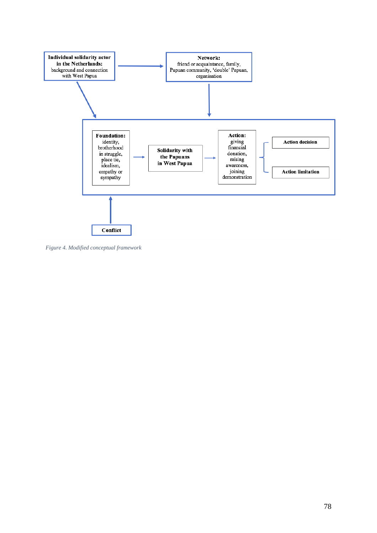

*Figure 4. Modified conceptual framework*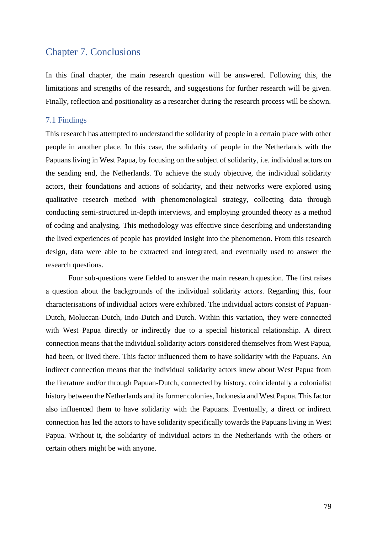# Chapter 7. Conclusions

In this final chapter, the main research question will be answered. Following this, the limitations and strengths of the research, and suggestions for further research will be given. Finally, reflection and positionality as a researcher during the research process will be shown.

#### 7.1 Findings

This research has attempted to understand the solidarity of people in a certain place with other people in another place. In this case, the solidarity of people in the Netherlands with the Papuans living in West Papua, by focusing on the subject of solidarity, i.e. individual actors on the sending end, the Netherlands. To achieve the study objective, the individual solidarity actors, their foundations and actions of solidarity, and their networks were explored using qualitative research method with phenomenological strategy, collecting data through conducting semi-structured in-depth interviews, and employing grounded theory as a method of coding and analysing. This methodology was effective since describing and understanding the lived experiences of people has provided insight into the phenomenon. From this research design, data were able to be extracted and integrated, and eventually used to answer the research questions.

Four sub-questions were fielded to answer the main research question. The first raises a question about the backgrounds of the individual solidarity actors. Regarding this, four characterisations of individual actors were exhibited. The individual actors consist of Papuan-Dutch, Moluccan-Dutch, Indo-Dutch and Dutch. Within this variation, they were connected with West Papua directly or indirectly due to a special historical relationship. A direct connection means that the individual solidarity actors considered themselves from West Papua, had been, or lived there. This factor influenced them to have solidarity with the Papuans. An indirect connection means that the individual solidarity actors knew about West Papua from the literature and/or through Papuan-Dutch, connected by history, coincidentally a colonialist history between the Netherlands and its former colonies, Indonesia and West Papua. This factor also influenced them to have solidarity with the Papuans. Eventually, a direct or indirect connection has led the actors to have solidarity specifically towards the Papuans living in West Papua. Without it, the solidarity of individual actors in the Netherlands with the others or certain others might be with anyone.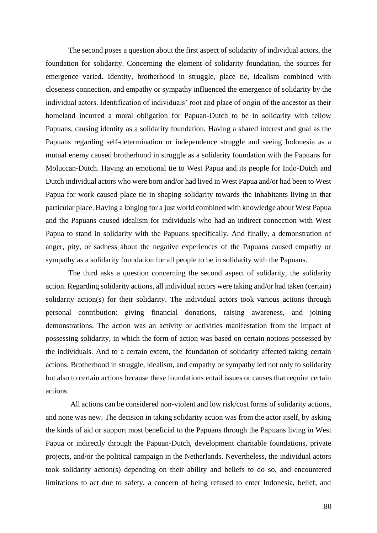The second poses a question about the first aspect of solidarity of individual actors, the foundation for solidarity. Concerning the element of solidarity foundation, the sources for emergence varied. Identity, brotherhood in struggle, place tie, idealism combined with closeness connection, and empathy or sympathy influenced the emergence of solidarity by the individual actors. Identification of individuals' root and place of origin of the ancestor as their homeland incurred a moral obligation for Papuan-Dutch to be in solidarity with fellow Papuans, causing identity as a solidarity foundation. Having a shared interest and goal as the Papuans regarding self-determination or independence struggle and seeing Indonesia as a mutual enemy caused brotherhood in struggle as a solidarity foundation with the Papuans for Moluccan-Dutch. Having an emotional tie to West Papua and its people for Indo-Dutch and Dutch individual actors who were born and/or had lived in West Papua and/or had been to West Papua for work caused place tie in shaping solidarity towards the inhabitants living in that particular place. Having a longing for a just world combined with knowledge about West Papua and the Papuans caused idealism for individuals who had an indirect connection with West Papua to stand in solidarity with the Papuans specifically. And finally, a demonstration of anger, pity, or sadness about the negative experiences of the Papuans caused empathy or sympathy as a solidarity foundation for all people to be in solidarity with the Papuans.

The third asks a question concerning the second aspect of solidarity, the solidarity action. Regarding solidarity actions, all individual actors were taking and/or had taken (certain) solidarity action(s) for their solidarity. The individual actors took various actions through personal contribution: giving financial donations, raising awareness, and joining demonstrations. The action was an activity or activities manifestation from the impact of possessing solidarity, in which the form of action was based on certain notions possessed by the individuals. And to a certain extent, the foundation of solidarity affected taking certain actions. Brotherhood in struggle, idealism, and empathy or sympathy led not only to solidarity but also to certain actions because these foundations entail issues or causes that require certain actions.

All actions can be considered non-violent and low risk/cost forms of solidarity actions, and none was new. The decision in taking solidarity action was from the actor itself, by asking the kinds of aid or support most beneficial to the Papuans through the Papuans living in West Papua or indirectly through the Papuan-Dutch, development charitable foundations, private projects, and/or the political campaign in the Netherlands. Nevertheless, the individual actors took solidarity action(s) depending on their ability and beliefs to do so, and encountered limitations to act due to safety, a concern of being refused to enter Indonesia, belief, and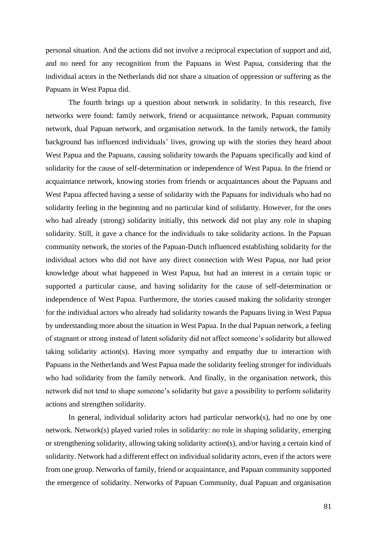personal situation. And the actions did not involve a reciprocal expectation of support and aid, and no need for any recognition from the Papuans in West Papua, considering that the individual actors in the Netherlands did not share a situation of oppression or suffering as the Papuans in West Papua did.

The fourth brings up a question about network in solidarity. In this research, five networks were found: family network, friend or acquaintance network, Papuan community network, dual Papuan network, and organisation network. In the family network, the family background has influenced individuals' lives, growing up with the stories they heard about West Papua and the Papuans, causing solidarity towards the Papuans specifically and kind of solidarity for the cause of self-determination or independence of West Papua. In the friend or acquaintance network, knowing stories from friends or acquaintances about the Papuans and West Papua affected having a sense of solidarity with the Papuans for individuals who had no solidarity feeling in the beginning and no particular kind of solidarity. However, for the ones who had already (strong) solidarity initially, this network did not play any role in shaping solidarity. Still, it gave a chance for the individuals to take solidarity actions. In the Papuan community network, the stories of the Papuan-Dutch influenced establishing solidarity for the individual actors who did not have any direct connection with West Papua, nor had prior knowledge about what happened in West Papua, but had an interest in a certain topic or supported a particular cause, and having solidarity for the cause of self-determination or independence of West Papua. Furthermore, the stories caused making the solidarity stronger for the individual actors who already had solidarity towards the Papuans living in West Papua by understanding more about the situation in West Papua. In the dual Papuan network, a feeling of stagnant or strong instead of latent solidarity did not affect someone's solidarity but allowed taking solidarity action(s). Having more sympathy and empathy due to interaction with Papuans in the Netherlands and West Papua made the solidarity feeling stronger for individuals who had solidarity from the family network. And finally, in the organisation network, this network did not tend to shape someone's solidarity but gave a possibility to perform solidarity actions and strengthen solidarity.

In general, individual solidarity actors had particular network(s), had no one by one network. Network(s) played varied roles in solidarity: no role in shaping solidarity, emerging or strengthening solidarity, allowing taking solidarity action(s), and/or having a certain kind of solidarity. Network had a different effect on individual solidarity actors, even if the actors were from one group. Networks of family, friend or acquaintance, and Papuan community supported the emergence of solidarity. Networks of Papuan Community, dual Papuan and organisation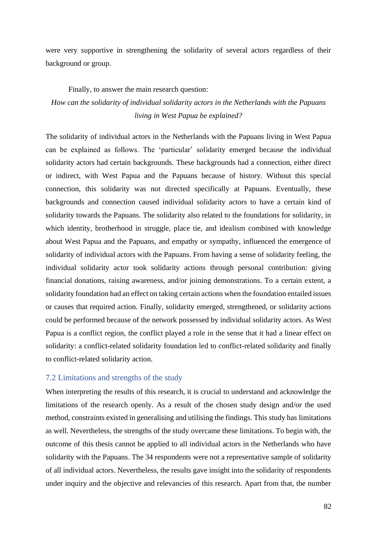were very supportive in strengthening the solidarity of several actors regardless of their background or group.

# Finally, to answer the main research question: *How can the solidarity of individual solidarity actors in the Netherlands with the Papuans living in West Papua be explained?*

The solidarity of individual actors in the Netherlands with the Papuans living in West Papua can be explained as follows. The 'particular' solidarity emerged because the individual solidarity actors had certain backgrounds. These backgrounds had a connection, either direct or indirect, with West Papua and the Papuans because of history. Without this special connection, this solidarity was not directed specifically at Papuans. Eventually, these backgrounds and connection caused individual solidarity actors to have a certain kind of solidarity towards the Papuans. The solidarity also related to the foundations for solidarity, in which identity, brotherhood in struggle, place tie, and idealism combined with knowledge about West Papua and the Papuans, and empathy or sympathy, influenced the emergence of solidarity of individual actors with the Papuans. From having a sense of solidarity feeling, the individual solidarity actor took solidarity actions through personal contribution: giving financial donations, raising awareness, and/or joining demonstrations. To a certain extent, a solidarity foundation had an effect on taking certain actions when the foundation entailed issues or causes that required action. Finally, solidarity emerged, strengthened, or solidarity actions could be performed because of the network possessed by individual solidarity actors. As West Papua is a conflict region, the conflict played a role in the sense that it had a linear effect on solidarity: a conflict-related solidarity foundation led to conflict-related solidarity and finally to conflict-related solidarity action.

#### 7.2 Limitations and strengths of the study

When interpreting the results of this research, it is crucial to understand and acknowledge the limitations of the research openly. As a result of the chosen study design and/or the used method, constraints existed in generalising and utilising the findings. This study has limitations as well. Nevertheless, the strengths of the study overcame these limitations. To begin with, the outcome of this thesis cannot be applied to all individual actors in the Netherlands who have solidarity with the Papuans. The 34 respondents were not a representative sample of solidarity of all individual actors. Nevertheless, the results gave insight into the solidarity of respondents under inquiry and the objective and relevancies of this research. Apart from that, the number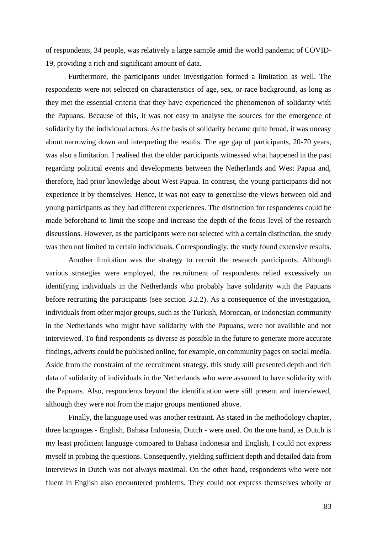of respondents, 34 people, was relatively a large sample amid the world pandemic of COVID-19, providing a rich and significant amount of data.

Furthermore, the participants under investigation formed a limitation as well. The respondents were not selected on characteristics of age, sex, or race background, as long as they met the essential criteria that they have experienced the phenomenon of solidarity with the Papuans. Because of this, it was not easy to analyse the sources for the emergence of solidarity by the individual actors. As the basis of solidarity became quite broad, it was uneasy about narrowing down and interpreting the results. The age gap of participants, 20-70 years, was also a limitation. I realised that the older participants witnessed what happened in the past regarding political events and developments between the Netherlands and West Papua and, therefore, had prior knowledge about West Papua. In contrast, the young participants did not experience it by themselves. Hence, it was not easy to generalise the views between old and young participants as they had different experiences. The distinction for respondents could be made beforehand to limit the scope and increase the depth of the focus level of the research discussions. However, as the participants were not selected with a certain distinction, the study was then not limited to certain individuals. Correspondingly, the study found extensive results.

Another limitation was the strategy to recruit the research participants. Although various strategies were employed, the recruitment of respondents relied excessively on identifying individuals in the Netherlands who probably have solidarity with the Papuans before recruiting the participants (see section 3.2.2). As a consequence of the investigation, individuals from other major groups, such as the Turkish, Moroccan, or Indonesian community in the Netherlands who might have solidarity with the Papuans, were not available and not interviewed. To find respondents as diverse as possible in the future to generate more accurate findings, adverts could be published online, for example, on community pages on social media. Aside from the constraint of the recruitment strategy, this study still presented depth and rich data of solidarity of individuals in the Netherlands who were assumed to have solidarity with the Papuans. Also, respondents beyond the identification were still present and interviewed, although they were not from the major groups mentioned above.

Finally, the language used was another restraint. As stated in the methodology chapter, three languages - English, Bahasa Indonesia, Dutch - were used. On the one hand, as Dutch is my least proficient language compared to Bahasa Indonesia and English, I could not express myself in probing the questions. Consequently, yielding sufficient depth and detailed data from interviews in Dutch was not always maximal. On the other hand, respondents who were not fluent in English also encountered problems. They could not express themselves wholly or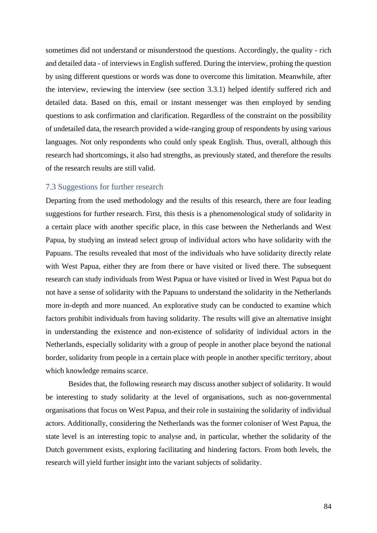sometimes did not understand or misunderstood the questions. Accordingly, the quality - rich and detailed data - of interviews in English suffered. During the interview, probing the question by using different questions or words was done to overcome this limitation. Meanwhile, after the interview, reviewing the interview (see section 3.3.1) helped identify suffered rich and detailed data. Based on this, email or instant messenger was then employed by sending questions to ask confirmation and clarification. Regardless of the constraint on the possibility of undetailed data, the research provided a wide-ranging group of respondents by using various languages. Not only respondents who could only speak English. Thus, overall, although this research had shortcomings, it also had strengths, as previously stated, and therefore the results of the research results are still valid.

#### 7.3 Suggestions for further research

Departing from the used methodology and the results of this research, there are four leading suggestions for further research. First, this thesis is a phenomenological study of solidarity in a certain place with another specific place, in this case between the Netherlands and West Papua, by studying an instead select group of individual actors who have solidarity with the Papuans. The results revealed that most of the individuals who have solidarity directly relate with West Papua, either they are from there or have visited or lived there. The subsequent research can study individuals from West Papua or have visited or lived in West Papua but do not have a sense of solidarity with the Papuans to understand the solidarity in the Netherlands more in-depth and more nuanced. An explorative study can be conducted to examine which factors prohibit individuals from having solidarity. The results will give an alternative insight in understanding the existence and non-existence of solidarity of individual actors in the Netherlands, especially solidarity with a group of people in another place beyond the national border, solidarity from people in a certain place with people in another specific territory, about which knowledge remains scarce.

Besides that, the following research may discuss another subject of solidarity. It would be interesting to study solidarity at the level of organisations, such as non-governmental organisations that focus on West Papua, and their role in sustaining the solidarity of individual actors. Additionally, considering the Netherlands was the former coloniser of West Papua, the state level is an interesting topic to analyse and, in particular, whether the solidarity of the Dutch government exists, exploring facilitating and hindering factors. From both levels, the research will yield further insight into the variant subjects of solidarity.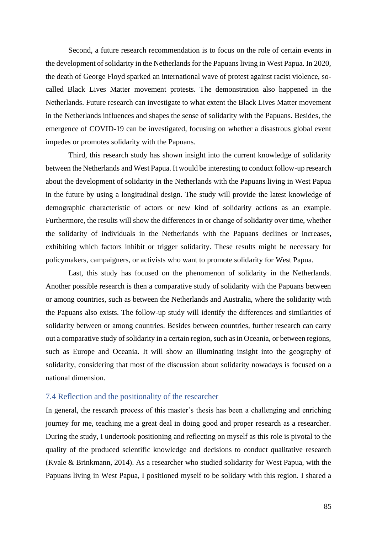Second, a future research recommendation is to focus on the role of certain events in the development of solidarity in the Netherlands for the Papuans living in West Papua. In 2020, the death of George Floyd sparked an international wave of protest against racist violence, socalled Black Lives Matter movement protests. The demonstration also happened in the Netherlands. Future research can investigate to what extent the Black Lives Matter movement in the Netherlands influences and shapes the sense of solidarity with the Papuans. Besides, the emergence of COVID-19 can be investigated, focusing on whether a disastrous global event impedes or promotes solidarity with the Papuans.

Third, this research study has shown insight into the current knowledge of solidarity between the Netherlands and West Papua. It would be interesting to conduct follow-up research about the development of solidarity in the Netherlands with the Papuans living in West Papua in the future by using a longitudinal design. The study will provide the latest knowledge of demographic characteristic of actors or new kind of solidarity actions as an example. Furthermore, the results will show the differences in or change of solidarity over time, whether the solidarity of individuals in the Netherlands with the Papuans declines or increases, exhibiting which factors inhibit or trigger solidarity. These results might be necessary for policymakers, campaigners, or activists who want to promote solidarity for West Papua.

Last, this study has focused on the phenomenon of solidarity in the Netherlands. Another possible research is then a comparative study of solidarity with the Papuans between or among countries, such as between the Netherlands and Australia, where the solidarity with the Papuans also exists. The follow-up study will identify the differences and similarities of solidarity between or among countries. Besides between countries, further research can carry out a comparative study of solidarity in a certain region, such as in Oceania, or between regions, such as Europe and Oceania. It will show an illuminating insight into the geography of solidarity, considering that most of the discussion about solidarity nowadays is focused on a national dimension.

#### 7.4 Reflection and the positionality of the researcher

In general, the research process of this master's thesis has been a challenging and enriching journey for me, teaching me a great deal in doing good and proper research as a researcher. During the study, I undertook positioning and reflecting on myself as this role is pivotal to the quality of the produced scientific knowledge and decisions to conduct qualitative research (Kvale & Brinkmann, 2014). As a researcher who studied solidarity for West Papua, with the Papuans living in West Papua, I positioned myself to be solidary with this region. I shared a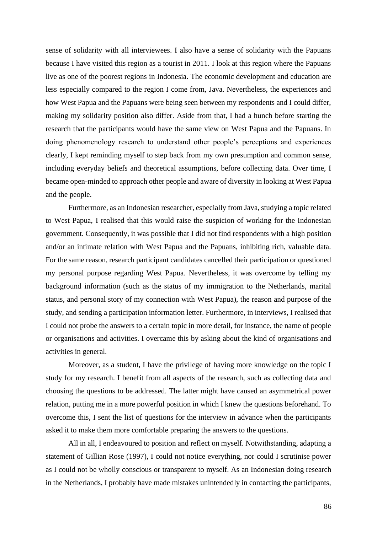sense of solidarity with all interviewees. I also have a sense of solidarity with the Papuans because I have visited this region as a tourist in 2011. I look at this region where the Papuans live as one of the poorest regions in Indonesia. The economic development and education are less especially compared to the region I come from, Java. Nevertheless, the experiences and how West Papua and the Papuans were being seen between my respondents and I could differ, making my solidarity position also differ. Aside from that, I had a hunch before starting the research that the participants would have the same view on West Papua and the Papuans. In doing phenomenology research to understand other people's perceptions and experiences clearly, I kept reminding myself to step back from my own presumption and common sense, including everyday beliefs and theoretical assumptions, before collecting data. Over time, I became open-minded to approach other people and aware of diversity in looking at West Papua and the people.

Furthermore, as an Indonesian researcher, especially from Java, studying a topic related to West Papua, I realised that this would raise the suspicion of working for the Indonesian government. Consequently, it was possible that I did not find respondents with a high position and/or an intimate relation with West Papua and the Papuans, inhibiting rich, valuable data. For the same reason, research participant candidates cancelled their participation or questioned my personal purpose regarding West Papua. Nevertheless, it was overcome by telling my background information (such as the status of my immigration to the Netherlands, marital status, and personal story of my connection with West Papua), the reason and purpose of the study, and sending a participation information letter. Furthermore, in interviews, I realised that I could not probe the answers to a certain topic in more detail, for instance, the name of people or organisations and activities. I overcame this by asking about the kind of organisations and activities in general.

Moreover, as a student, I have the privilege of having more knowledge on the topic I study for my research. I benefit from all aspects of the research, such as collecting data and choosing the questions to be addressed. The latter might have caused an asymmetrical power relation, putting me in a more powerful position in which I knew the questions beforehand. To overcome this, I sent the list of questions for the interview in advance when the participants asked it to make them more comfortable preparing the answers to the questions.

All in all, I endeavoured to position and reflect on myself. Notwithstanding, adapting a statement of Gillian Rose (1997), I could not notice everything, nor could I scrutinise power as I could not be wholly conscious or transparent to myself. As an Indonesian doing research in the Netherlands, I probably have made mistakes unintendedly in contacting the participants,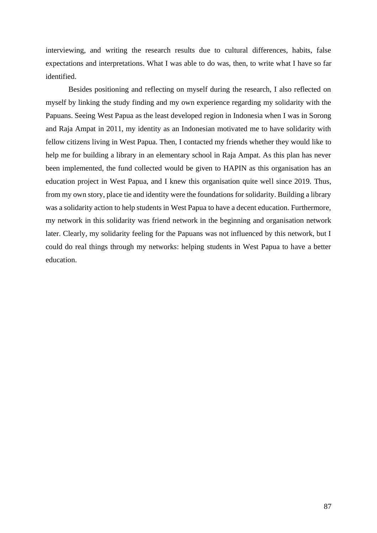interviewing, and writing the research results due to cultural differences, habits, false expectations and interpretations. What I was able to do was, then, to write what I have so far identified.

Besides positioning and reflecting on myself during the research, I also reflected on myself by linking the study finding and my own experience regarding my solidarity with the Papuans. Seeing West Papua as the least developed region in Indonesia when I was in Sorong and Raja Ampat in 2011, my identity as an Indonesian motivated me to have solidarity with fellow citizens living in West Papua. Then, I contacted my friends whether they would like to help me for building a library in an elementary school in Raja Ampat. As this plan has never been implemented, the fund collected would be given to HAPIN as this organisation has an education project in West Papua, and I knew this organisation quite well since 2019. Thus, from my own story, place tie and identity were the foundations for solidarity. Building a library was a solidarity action to help students in West Papua to have a decent education. Furthermore, my network in this solidarity was friend network in the beginning and organisation network later. Clearly, my solidarity feeling for the Papuans was not influenced by this network, but I could do real things through my networks: helping students in West Papua to have a better education.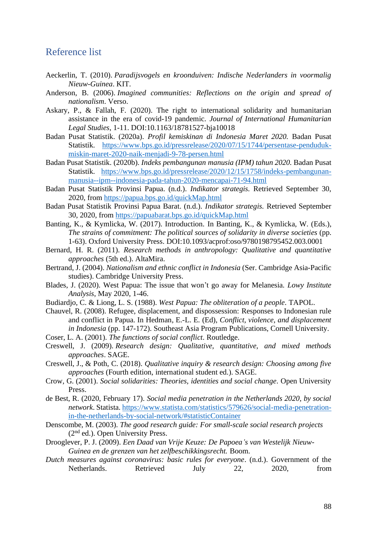# Reference list

- Aeckerlin, T. (2010). *Paradijsvogels en kroonduiven: Indische Nederlanders in voormalig Nieuw-Guinea*. KIT.
- Anderson, B. (2006). *Imagined communities: Reflections on the origin and spread of nationalism*. Verso.
- Askary, P., & Fallah, F. (2020). The right to international solidarity and humanitarian assistance in the era of covid-19 pandemic. *Journal of International Humanitarian Legal Studies*, 1-11. DOI:10.1163/18781527-bja10018
- Badan Pusat Statistik. (2020a). *Profil kemiskinan di Indonesia Maret 2020.* Badan Pusat Statistik. [https://www.bps.go.id/pressrelease/2020/07/15/1744/persentase-penduduk](https://www.bps.go.id/pressrelease/2020/07/15/1744/persentase-penduduk-miskin-maret-2020-naik-menjadi-9-78-persen.html)[miskin-maret-2020-naik-menjadi-9-78-persen.html](https://www.bps.go.id/pressrelease/2020/07/15/1744/persentase-penduduk-miskin-maret-2020-naik-menjadi-9-78-persen.html)
- Badan Pusat Statistik. (2020b). *Indeks pembangunan manusia (IPM) tahun 2020.* Badan Pusat Statistik. [https://www.bps.go.id/pressrelease/2020/12/15/1758/indeks-pembangunan](https://www.bps.go.id/pressrelease/2020/12/15/1758/indeks-pembangunan-manusia--ipm--indonesia-pada-tahun-2020-mencapai-71-94.html)[manusia--ipm--indonesia-pada-tahun-2020-mencapai-71-94.html](https://www.bps.go.id/pressrelease/2020/12/15/1758/indeks-pembangunan-manusia--ipm--indonesia-pada-tahun-2020-mencapai-71-94.html)
- Badan Pusat Statistik Provinsi Papua. (n.d.). *Indikator strategis.* Retrieved September 30, 2020, from<https://papua.bps.go.id/quickMap.html>
- Badan Pusat Statistik Provinsi Papua Barat. (n.d.). *Indikator strategis.* Retrieved September 30, 2020, from<https://papuabarat.bps.go.id/quickMap.html>
- Banting, K., & Kymlicka, W. (2017). Introduction. In Banting, K., & Kymlicka, W. (Eds.), *The strains of commitment: The political sources of solidarity in diverse societies* (pp. 1-63). Oxford University Press. DOI:10.1093/acprof:oso/9780198795452.003.0001
- Bernard, H. R. (2011). *Research methods in anthropology: Qualitative and quantitative approaches* (5th ed.). AltaMira.
- Bertrand, J. (2004). *Nationalism and ethnic conflict in Indonesia* (Ser. Cambridge Asia-Pacific studies). Cambridge University Press.
- Blades, J. (2020). West Papua: The issue that won't go away for Melanesia*. Lowy Institute Analysis*, May 2020, 1-46.
- Budiardjo, C. & Liong, L. S. (1988). *West Papua: The obliteration of a people*. TAPOL.
- Chauvel, R. (2008). Refugee, displacement, and dispossession: Responses to Indonesian rule and conflict in Papua. In Hedman, E.-L. E. (Ed), *Conflict, violence, and displacement in Indonesia* (pp. 147-172). Southeast Asia Program Publications, Cornell University.
- Coser, L. A. (2001). *The functions of social conflict*. Routledge.
- Creswell, J. (2009). *Research design: Qualitative, quantitative, and mixed methods approaches*. SAGE.
- Creswell, J., & Poth, C. (2018). *Qualitative inquiry & research design: Choosing among five approaches* (Fourth edition, international student ed.). SAGE.
- Crow, G. (2001). *Social solidarities: Theories, identities and social change*. Open University Press.
- de Best, R. (2020, February 17). *Social media penetration in the Netherlands 2020, by social network*. Statista. [https://www.statista.com/statistics/579626/social-media-penetration](https://www.statista.com/statistics/579626/social-media-penetration-in-the-netherlands-by-social-network/#statisticContainer)[in-the-netherlands-by-social-network/#statisticContainer](https://www.statista.com/statistics/579626/social-media-penetration-in-the-netherlands-by-social-network/#statisticContainer)
- Denscombe, M. (2003). *The good research guide: For small-scale social research projects*  (2nd ed.). Open University Press.
- Drooglever, P. J. (2009). *Een Daad van Vrije Keuze: De Papoea's van Westelijk Nieuw-Guinea en de grenzen van het zelfbeschikkingsrecht.* Boom.
- *Dutch measures against coronavirus: basic rules for everyone*. (n.d.). Government of the Netherlands. Retrieved July 22, 2020, from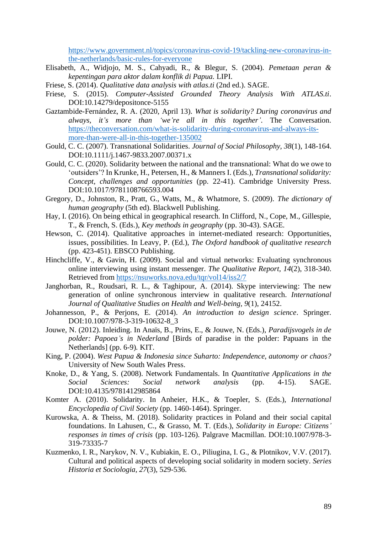[https://www.government.nl/topics/coronavirus-covid-19/tackling-new-coronavirus-in](https://www.government.nl/topics/coronavirus-covid-19/tackling-new-coronavirus-in-the-netherlands/basic-rules-for-everyone)[the-netherlands/basic-rules-for-everyone](https://www.government.nl/topics/coronavirus-covid-19/tackling-new-coronavirus-in-the-netherlands/basic-rules-for-everyone)

- Elisabeth, A., Widjojo, M. S., Cahyadi, R., & Blegur, S. (2004). *Pemetaan peran & kepentingan para aktor dalam konflik di Papua.* LIPI.
- Friese, S. (2014). *Qualitative data analysis with atlas.ti* (2nd ed.). SAGE.
- Friese, S. (2015). *Computer-Assisted Grounded Theory Analysis With ATLAS.ti*. DOI:10.14279/depositonce-5155
- Gaztambide-Fernández, R. A. (2020, April 13). *What is solidarity? During coronavirus and always, it's more than 'we're all in this together'*. The Conversation. [https://theconversation.com/what-is-solidarity-during-coronavirus-and-always-its](https://theconversation.com/what-is-solidarity-during-coronavirus-and-always-its-more-than-were-all-in-this-together-135002)[more-than-were-all-in-this-together-135002](https://theconversation.com/what-is-solidarity-during-coronavirus-and-always-its-more-than-were-all-in-this-together-135002)
- Gould, C. C. (2007). Transnational Solidarities. *Journal of Social Philosophy, 38*(1), 148-164. DOI:10.1111/j.1467-9833.2007.00371.x
- Gould, C. C. (2020). Solidarity between the national and the transnational: What do we owe to 'outsiders'? In Krunke, H., Petersen, H., & Manners I. (Eds.), *Transnational solidarity: Concept, challenges and opportunities* (pp. 22-41). Cambridge University Press. DOI:10.1017/9781108766593.004
- Gregory, D., Johnston, R., Pratt, G., Watts, M., & Whatmore, S. (2009). *The dictionary of human geography* (5th ed). Blackwell Publishing.
- Hay, I. (2016). On being ethical in geographical research. In Clifford, N., Cope, M., Gillespie, T., & French, S. (Eds.), *Key methods in geography* (pp. 30-43). SAGE.
- Hewson, C. (2014). Qualitative approaches in internet-mediated research: Opportunities, issues, possibilities. In Leavy, P. (Ed.), *The Oxford handbook of qualitative research* (pp. 423-451). EBSCO Publishing.
- Hinchcliffe, V., & Gavin, H. (2009). Social and virtual networks: Evaluating synchronous online interviewing using instant messenger. *The Qualitative Report, 14*(2), 318-340. Retrieved from<https://nsuworks.nova.edu/tqr/vol14/iss2/7>
- Janghorban, R., Roudsari, R. L., & Taghipour, A. (2014). Skype interviewing: The new generation of online synchronous interview in qualitative research. *International Journal of Qualitative Studies on Health and Well-being, 9*(1), 24152.
- Johannesson, P., & Perjons, E. (2014). *An introduction to design science*. Springer. DOI:10.1007/978-3-319-10632-8\_3
- Jouwe, N. (2012). Inleiding. In Anaïs, B., Prins, E., & Jouwe, N. (Eds.), *Paradijsvogels in de polder: Papoea's in Nederland* [Birds of paradise in the polder: Papuans in the Netherlands] (pp. 6-9)*.* KIT.
- King, P. (2004). *West Papua & Indonesia since Suharto: Independence, autonomy or chaos?* University of New South Wales Press.
- Knoke, D., & Yang, S. (2008). Network Fundamentals. In *Quantitative Applications in the Social Sciences: Social network analysis* (pp. 4-15). SAGE. DOI:10.4135/9781412985864
- Komter A. (2010). Solidarity. In Anheier, H.K., & Toepler, S. (Eds.), *International Encyclopedia of Civil Society* (pp. 1460-1464). Springer.
- Kurowska, A. & Theiss, M. (2018). Solidarity practices in Poland and their social capital foundations. In Lahusen, C., & Grasso, M. T. (Eds.), *Solidarity in Europe: Citizens' responses in times of crisis* (pp. 103-126). Palgrave Macmillan. DOI:10.1007/978-3- 319-73335-7
- Kuzmenko, I. R., Narykov, N. V., Kubiakin, E. O., Piliugina, I. G., & Plotnikov, V.V. (2017). Cultural and political aspects of developing social solidarity in modern society. *Series Historia et Sociologia, 27*(3), 529-536.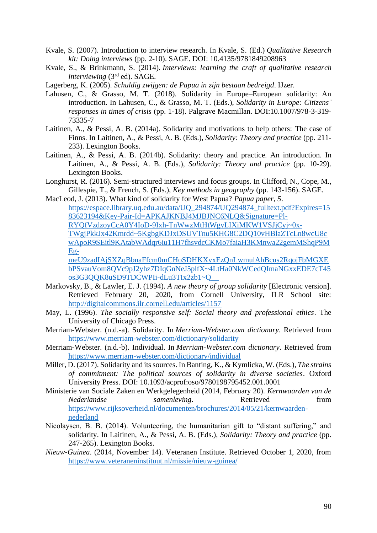- Kvale, S. (2007). Introduction to interview research. In Kvale, S. (Ed.) *Qualitative Research kit: Doing interviews* (pp. 2-10). SAGE. DOI: 10.4135/9781849208963
- Kvale, S., & Brinkmann, S. (2014). *Interviews: learning the craft of qualitative research interviewing* (3rd ed). SAGE.

Lagerberg, K. (2005). *Schuldig zwijgen: de Papua in zijn bestaan bedreigd*. IJzer.

- Lahusen, C., & Grasso, M. T. (2018). Solidarity in Europe–European solidarity: An introduction. In Lahusen, C., & Grasso, M. T. (Eds.), *Solidarity in Europe: Citizens' responses in times of crisis* (pp. 1-18). Palgrave Macmillan. DOI:10.1007/978-3-319- 73335-7
- Laitinen, A., & Pessi, A. B. (2014a). Solidarity and motivations to help others: The case of Finns. In Laitinen, A., & Pessi, A. B. (Eds.), *Solidarity: Theory and practice* (pp. 211- 233). Lexington Books.
- Laitinen, A., & Pessi, A. B. (2014b). Solidarity: theory and practice. An introduction. In Laitinen, A., & Pessi, A. B. (Eds.), *Solidarity: Theory and practice* (pp. 10-29). Lexington Books.
- Longhurst, R. (2016). Semi-structured interviews and focus groups. In Clifford, N., Cope, M., Gillespie, T., & French, S. (Eds.), *Key methods in geography* (pp. 143-156). SAGE.
- MacLeod, J. (2013). What kind of solidarity for West Papua? *Papua paper, 5*. [https://espace.library.uq.edu.au/data/UQ\\_294874/UQ294874\\_fulltext.pdf?Expires=15](https://espace.library.uq.edu.au/data/UQ_294874/UQ294874_fulltext.pdf?Expires=1583623194&Key-Pair-Id=APKAJKNBJ4MJBJNC6NLQ&Signature=Pl-RYQfVzdzoyCcA0Y4IoD-9Ixh-TnWwzMtHtWgvLIXiMKW1VSJjCyj~0x-TWgjPkkJx42Kmrdd~5KgbgKDJxDSUVTnu5KHG8C2DQ10vHBlaZTcLn8wcU8cwApoR9SEitl9KAtabWAdqr6iu11H7fhsvdcCKMo7faiaH3KMnwa22gemMShqP9MEg-meU9zadIAjSXZqBbnaFfcm0mCHoSDHKXvxEzQnLwmulAhBcus2RqojFbMGXEbPSvauVom8QVc9pJ2yhz7DIqGnNeJ5plfX~4LtHa0NkWCedQImaNGxxEDE7cT45os3G3QQK8uSD9TDCWPIi-dLu3TIx2zb1~Q__) [83623194&Key-Pair-Id=APKAJKNBJ4MJBJNC6NLQ&Signature=Pl-](https://espace.library.uq.edu.au/data/UQ_294874/UQ294874_fulltext.pdf?Expires=1583623194&Key-Pair-Id=APKAJKNBJ4MJBJNC6NLQ&Signature=Pl-RYQfVzdzoyCcA0Y4IoD-9Ixh-TnWwzMtHtWgvLIXiMKW1VSJjCyj~0x-TWgjPkkJx42Kmrdd~5KgbgKDJxDSUVTnu5KHG8C2DQ10vHBlaZTcLn8wcU8cwApoR9SEitl9KAtabWAdqr6iu11H7fhsvdcCKMo7faiaH3KMnwa22gemMShqP9MEg-meU9zadIAjSXZqBbnaFfcm0mCHoSDHKXvxEzQnLwmulAhBcus2RqojFbMGXEbPSvauVom8QVc9pJ2yhz7DIqGnNeJ5plfX~4LtHa0NkWCedQImaNGxxEDE7cT45os3G3QQK8uSD9TDCWPIi-dLu3TIx2zb1~Q__)[RYQfVzdzoyCcA0Y4IoD-9Ixh-TnWwzMtHtWgvLIXiMKW1VSJjCyj~0x-](https://espace.library.uq.edu.au/data/UQ_294874/UQ294874_fulltext.pdf?Expires=1583623194&Key-Pair-Id=APKAJKNBJ4MJBJNC6NLQ&Signature=Pl-RYQfVzdzoyCcA0Y4IoD-9Ixh-TnWwzMtHtWgvLIXiMKW1VSJjCyj~0x-TWgjPkkJx42Kmrdd~5KgbgKDJxDSUVTnu5KHG8C2DQ10vHBlaZTcLn8wcU8cwApoR9SEitl9KAtabWAdqr6iu11H7fhsvdcCKMo7faiaH3KMnwa22gemMShqP9MEg-meU9zadIAjSXZqBbnaFfcm0mCHoSDHKXvxEzQnLwmulAhBcus2RqojFbMGXEbPSvauVom8QVc9pJ2yhz7DIqGnNeJ5plfX~4LtHa0NkWCedQImaNGxxEDE7cT45os3G3QQK8uSD9TDCWPIi-dLu3TIx2zb1~Q__)[TWgjPkkJx42Kmrdd~5KgbgKDJxDSUVTnu5KHG8C2DQ10vHBlaZTcLn8wcU8c](https://espace.library.uq.edu.au/data/UQ_294874/UQ294874_fulltext.pdf?Expires=1583623194&Key-Pair-Id=APKAJKNBJ4MJBJNC6NLQ&Signature=Pl-RYQfVzdzoyCcA0Y4IoD-9Ixh-TnWwzMtHtWgvLIXiMKW1VSJjCyj~0x-TWgjPkkJx42Kmrdd~5KgbgKDJxDSUVTnu5KHG8C2DQ10vHBlaZTcLn8wcU8cwApoR9SEitl9KAtabWAdqr6iu11H7fhsvdcCKMo7faiaH3KMnwa22gemMShqP9MEg-meU9zadIAjSXZqBbnaFfcm0mCHoSDHKXvxEzQnLwmulAhBcus2RqojFbMGXEbPSvauVom8QVc9pJ2yhz7DIqGnNeJ5plfX~4LtHa0NkWCedQImaNGxxEDE7cT45os3G3QQK8uSD9TDCWPIi-dLu3TIx2zb1~Q__) [wApoR9SEitl9KAtabWAdqr6iu11H7fhsvdcCKMo7faiaH3KMnwa22gemMShqP9M](https://espace.library.uq.edu.au/data/UQ_294874/UQ294874_fulltext.pdf?Expires=1583623194&Key-Pair-Id=APKAJKNBJ4MJBJNC6NLQ&Signature=Pl-RYQfVzdzoyCcA0Y4IoD-9Ixh-TnWwzMtHtWgvLIXiMKW1VSJjCyj~0x-TWgjPkkJx42Kmrdd~5KgbgKDJxDSUVTnu5KHG8C2DQ10vHBlaZTcLn8wcU8cwApoR9SEitl9KAtabWAdqr6iu11H7fhsvdcCKMo7faiaH3KMnwa22gemMShqP9MEg-meU9zadIAjSXZqBbnaFfcm0mCHoSDHKXvxEzQnLwmulAhBcus2RqojFbMGXEbPSvauVom8QVc9pJ2yhz7DIqGnNeJ5plfX~4LtHa0NkWCedQImaNGxxEDE7cT45os3G3QQK8uSD9TDCWPIi-dLu3TIx2zb1~Q__) [Eg](https://espace.library.uq.edu.au/data/UQ_294874/UQ294874_fulltext.pdf?Expires=1583623194&Key-Pair-Id=APKAJKNBJ4MJBJNC6NLQ&Signature=Pl-RYQfVzdzoyCcA0Y4IoD-9Ixh-TnWwzMtHtWgvLIXiMKW1VSJjCyj~0x-TWgjPkkJx42Kmrdd~5KgbgKDJxDSUVTnu5KHG8C2DQ10vHBlaZTcLn8wcU8cwApoR9SEitl9KAtabWAdqr6iu11H7fhsvdcCKMo7faiaH3KMnwa22gemMShqP9MEg-meU9zadIAjSXZqBbnaFfcm0mCHoSDHKXvxEzQnLwmulAhBcus2RqojFbMGXEbPSvauVom8QVc9pJ2yhz7DIqGnNeJ5plfX~4LtHa0NkWCedQImaNGxxEDE7cT45os3G3QQK8uSD9TDCWPIi-dLu3TIx2zb1~Q__)[meU9zadIAjSXZqBbnaFfcm0mCHoSDHKXvxEzQnLwmulAhBcus2RqojFbMGXE](https://espace.library.uq.edu.au/data/UQ_294874/UQ294874_fulltext.pdf?Expires=1583623194&Key-Pair-Id=APKAJKNBJ4MJBJNC6NLQ&Signature=Pl-RYQfVzdzoyCcA0Y4IoD-9Ixh-TnWwzMtHtWgvLIXiMKW1VSJjCyj~0x-TWgjPkkJx42Kmrdd~5KgbgKDJxDSUVTnu5KHG8C2DQ10vHBlaZTcLn8wcU8cwApoR9SEitl9KAtabWAdqr6iu11H7fhsvdcCKMo7faiaH3KMnwa22gemMShqP9MEg-meU9zadIAjSXZqBbnaFfcm0mCHoSDHKXvxEzQnLwmulAhBcus2RqojFbMGXEbPSvauVom8QVc9pJ2yhz7DIqGnNeJ5plfX~4LtHa0NkWCedQImaNGxxEDE7cT45os3G3QQK8uSD9TDCWPIi-dLu3TIx2zb1~Q__) [bPSvauVom8QVc9pJ2yhz7DIqGnNeJ5plfX~4LtHa0NkWCedQImaNGxxEDE7cT45](https://espace.library.uq.edu.au/data/UQ_294874/UQ294874_fulltext.pdf?Expires=1583623194&Key-Pair-Id=APKAJKNBJ4MJBJNC6NLQ&Signature=Pl-RYQfVzdzoyCcA0Y4IoD-9Ixh-TnWwzMtHtWgvLIXiMKW1VSJjCyj~0x-TWgjPkkJx42Kmrdd~5KgbgKDJxDSUVTnu5KHG8C2DQ10vHBlaZTcLn8wcU8cwApoR9SEitl9KAtabWAdqr6iu11H7fhsvdcCKMo7faiaH3KMnwa22gemMShqP9MEg-meU9zadIAjSXZqBbnaFfcm0mCHoSDHKXvxEzQnLwmulAhBcus2RqojFbMGXEbPSvauVom8QVc9pJ2yhz7DIqGnNeJ5plfX~4LtHa0NkWCedQImaNGxxEDE7cT45os3G3QQK8uSD9TDCWPIi-dLu3TIx2zb1~Q__) [os3G3QQK8uSD9TDCWPIi-dLu3TIx2zb1~Q\\_\\_](https://espace.library.uq.edu.au/data/UQ_294874/UQ294874_fulltext.pdf?Expires=1583623194&Key-Pair-Id=APKAJKNBJ4MJBJNC6NLQ&Signature=Pl-RYQfVzdzoyCcA0Y4IoD-9Ixh-TnWwzMtHtWgvLIXiMKW1VSJjCyj~0x-TWgjPkkJx42Kmrdd~5KgbgKDJxDSUVTnu5KHG8C2DQ10vHBlaZTcLn8wcU8cwApoR9SEitl9KAtabWAdqr6iu11H7fhsvdcCKMo7faiaH3KMnwa22gemMShqP9MEg-meU9zadIAjSXZqBbnaFfcm0mCHoSDHKXvxEzQnLwmulAhBcus2RqojFbMGXEbPSvauVom8QVc9pJ2yhz7DIqGnNeJ5plfX~4LtHa0NkWCedQImaNGxxEDE7cT45os3G3QQK8uSD9TDCWPIi-dLu3TIx2zb1~Q__)
- Markovsky, B., & Lawler, E. J. (1994). *A new theory of group solidarity* [Electronic version]. Retrieved February 20, 2020, from Cornell University, ILR School site: <http://digitalcommons.ilr.cornell.edu/articles/1157>
- May, L. (1996). *The socially responsive self: Social theory and professional ethics*. The University of Chicago Press.
- Merriam-Webster. (n.d.-a). Solidarity. In *Merriam-Webster.com dictionary*. Retrieved from <https://www.merriam-webster.com/dictionary/solidarity>
- Merriam-Webster. (n.d.-b). Individual. In *Merriam-Webster.com dictionary*. Retrieved from <https://www.merriam-webster.com/dictionary/individual>
- Miller, D. (2017). Solidarity and its sources. In Banting, K., & Kymlicka, W. (Eds.), *The strains of commitment: The political sources of solidarity in diverse societies*. Oxford University Press. DOI: 10.1093/acprof:oso/9780198795452.001.0001
- Ministerie van Sociale Zaken en Werkgelegenheid (2014, February 20). *Kernwaarden van de Nederlandse samenleving* Retrieved from [https://www.rijksoverheid.nl/documenten/brochures/2014/05/21/kernwaarden](https://www.rijksoverheid.nl/documenten/brochures/2014/05/21/kernwaarden-nederland)[nederland](https://www.rijksoverheid.nl/documenten/brochures/2014/05/21/kernwaarden-nederland)
- Nicolaysen, B. B. (2014). Volunteering, the humanitarian gift to "distant suffering," and solidarity. In Laitinen, A., & Pessi, A. B. (Eds.), *Solidarity: Theory and practice* (pp. 247-265). Lexington Books.
- *Nieuw-Guinea*. (2014, November 14). Veteranen Institute. Retrieved October 1, 2020, from <https://www.veteraneninstituut.nl/missie/nieuw-guinea/>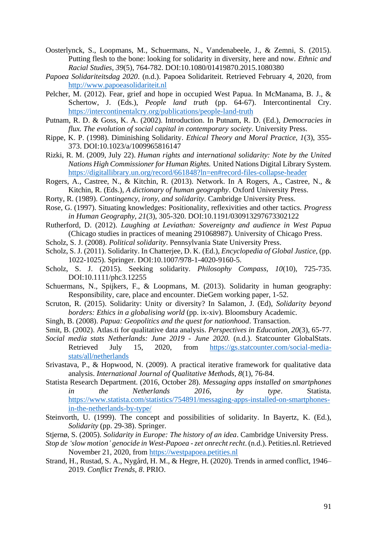- Oosterlynck, S., Loopmans, M., Schuermans, N., Vandenabeele, J., & Zemni, S. (2015). Putting flesh to the bone: looking for solidarity in diversity, here and now. *Ethnic and Racial Studies, 39*(5), 764-782. DOI:10.1080/01419870.2015.1080380
- *Papoea Solidariteitsdag 2020*. (n.d.). Papoea Solidariteit. Retrieved February 4, 2020, from [http://www.papoeasolidariteit.nl](http://www.papoeasolidariteit.nl/)
- Pelcher, M. (2012). Fear, grief and hope in occupied West Papua. In McManama, B. J., & Schertow, J. (Eds.), *People land truth* (pp. 64-67). Intercontinental Cry. <https://intercontinentalcry.org/publications/people-land-truth>
- Putnam, R. D. & Goss, K. A. (2002). Introduction. In Putnam, R. D. (Ed.), *Democracies in flux. The evolution of social capital in contemporary society*. University Press.
- Rippe, K. P. (1998). Diminishing Solidarity. *Ethical Theory and Moral Practice, 1*(3), 355- 373. DOI:10.1023/a/1009965816147
- Rizki, R. M. (2009, July 22). *Human rights and international solidarity: Note by the United Nations High Commissioner for Human Rights.* United Nations Digital Library System. <https://digitallibrary.un.org/record/661848?ln=en#record-files-collapse-header>
- Rogers, A., Castree, N., & Kitchin, R. (2013). Network. In A Rogers, A., Castree, N., & Kitchin, R. (Eds.), *A dictionary of human geography*. Oxford University Press.
- Rorty, R. (1989). *Contingency, irony, and solidarity*. Cambridge University Press.
- Rose, G. (1997). Situating knowledges: Positionality, reflexivities and other tactics. *Progress in Human Geography, 21*(3), 305-320. DOI:10.1191/030913297673302122
- Rutherford, D. (2012). *Laughing at Leviathan: Sovereignty and audience in West Papua*  (Chicago studies in practices of meaning 291068987). University of Chicago Press.
- Scholz, S. J. (2008). *Political solidarity*. Pennsylvania State University Press.
- Scholz, S. J. (2011). Solidarity. In Chatterjee, D. K. (Ed.), *Encyclopedia of Global Justice*, (pp. 1022-1025). Springer. DOI:10.1007/978-1-4020-9160-5.
- Scholz, S. J. (2015). Seeking solidarity. *Philosophy Compass, 10*(10), 725-735. DOI:10.1111/phc3.12255
- Schuermans, N., Spijkers, F., & Loopmans, M. (2013). Solidarity in human geography: Responsibility, care, place and encounter. DieGem working paper, 1-52.
- Scruton, R. (2015). Solidarity: Unity or diversity? In Salamon, J. (Ed), *Solidarity beyond borders: Ethics in a globalising world* (pp. ix-xiv). Bloomsbury Academic.
- Singh, B. (2008). *Papua: Geopolitics and the quest for nationhood*. Transaction.
- Smit, B. (2002). Atlas.ti for qualitative data analysis. *Perspectives in Education, 20*(3), 65-77.
- *Social media stats Netherlands: June 2019 - June 2020.* (n.d.). Statcounter GlobalStats. Retrieved July 15, 2020, from [https://gs.statcounter.com/social-media](https://gs.statcounter.com/social-media-stats/all/netherlands)[stats/all/netherlands](https://gs.statcounter.com/social-media-stats/all/netherlands)
- Srivastava, P., & Hopwood, N. (2009). A practical iterative framework for qualitative data analysis. *International Journal of Qualitative Methods, 8*(1), 76-84.
- Statista Research Department. (2016, October 28). *Messaging apps installed on smartphones in the Netherlands 2016, by type*. Statista. [https://www.statista.com/statistics/754891/messaging-apps-installed-on-smartphones](https://www.statista.com/statistics/754891/messaging-apps-installed-on-smartphones-in-the-netherlands-by-type/)[in-the-netherlands-by-type/](https://www.statista.com/statistics/754891/messaging-apps-installed-on-smartphones-in-the-netherlands-by-type/)
- Steinvorth, U. (1999). The concept and possibilities of solidarity. In Bayertz, K. (Ed.), *Solidarity* (pp. 29-38). Springer.
- Stjernø, S. (2005). *Solidarity in Europe: The history of an idea*. Cambridge University Press.
- *Stop de 'slow motion' genocide in West-Papoea -zet onrecht recht*. (n.d.). Petities.nl. Retrieved November 21, 2020, from [https://westpapoea.petities.nl](https://westpapoea.petities.nl/)
- Strand, H., Rustad, S. A., Nygård, H. M., & Hegre, H. (2020). Trends in armed conflict, 1946– 2019. *Conflict Trends, 8*. PRIO.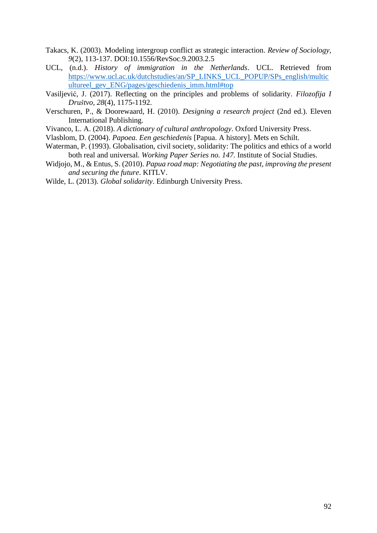- Takacs, K. (2003). Modeling intergroup conflict as strategic interaction. *Review of Sociology, 9*(2), 113-137. DOI:10.1556/RevSoc.9.2003.2.5
- UCL, (n.d.). *History of immigration in the Netherlands*. UCL. Retrieved from [https://www.ucl.ac.uk/dutchstudies/an/SP\\_LINKS\\_UCL\\_POPUP/SPs\\_english/multic](https://www.ucl.ac.uk/dutchstudies/an/SP_LINKS_UCL_POPUP/SPs_english/multicultureel_gev_ENG/pages/geschiedenis_imm.html#top) [ultureel\\_gev\\_ENG/pages/geschiedenis\\_imm.html#top](https://www.ucl.ac.uk/dutchstudies/an/SP_LINKS_UCL_POPUP/SPs_english/multicultureel_gev_ENG/pages/geschiedenis_imm.html#top)
- Vasiljević, J. (2017). Reflecting on the principles and problems of solidarity. *Filozofija I Društvo, 28*(4), 1175-1192.
- Verschuren, P., & Doorewaard, H. (2010). *Designing a research project* (2nd ed.). Eleven International Publishing.
- Vivanco, L. A. (2018). *A dictionary of cultural anthropology*. Oxford University Press.
- Vlasblom, D. (2004). *Papoea. Een geschiedenis* [Papua. A history]. Mets en Schilt.
- Waterman, P. (1993). Globalisation, civil society, solidarity: The politics and ethics of a world both real and universal. *Working Paper Series no. 147.* Institute of Social Studies.
- Widjojo, M., & Entus, S. (2010). *Papua road map: Negotiating the past, improving the present and securing the future*. KITLV.

Wilde, L. (2013). *Global solidarity*. Edinburgh University Press.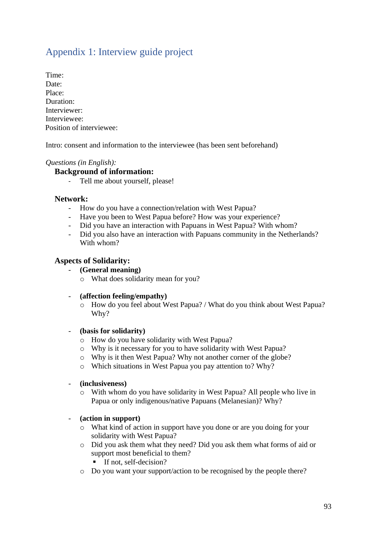# Appendix 1: Interview guide project

Time: Date<sup>.</sup> Place: Duration: Interviewer: Interviewee: Position of interviewee:

Intro: consent and information to the interviewee (has been sent beforehand)

# *Questions (in English):*

#### **Background of information:**

- Tell me about yourself, please!

#### **Network:**

- How do you have a connection/relation with West Papua?
- Have you been to West Papua before? How was your experience?
- Did you have an interaction with Papuans in West Papua? With whom?
- Did you also have an interaction with Papuans community in the Netherlands? With whom?

#### **Aspects of Solidarity:**

- **(General meaning)**
	- o What does solidarity mean for you?
- **(affection feeling/empathy)**
	- o How do you feel about West Papua? / What do you think about West Papua? Why?

#### - **(basis for solidarity)**

- o How do you have solidarity with West Papua?
- o Why is it necessary for you to have solidarity with West Papua?
- o Why is it then West Papua? Why not another corner of the globe?
- o Which situations in West Papua you pay attention to? Why?
- **(inclusiveness)**
	- o With whom do you have solidarity in West Papua? All people who live in Papua or only indigenous/native Papuans (Melanesian)? Why?

#### - **(action in support)**

- o What kind of action in support have you done or are you doing for your solidarity with West Papua?
- o Did you ask them what they need? Did you ask them what forms of aid or support most beneficial to them?
	- If not, self-decision?
- o Do you want your support/action to be recognised by the people there?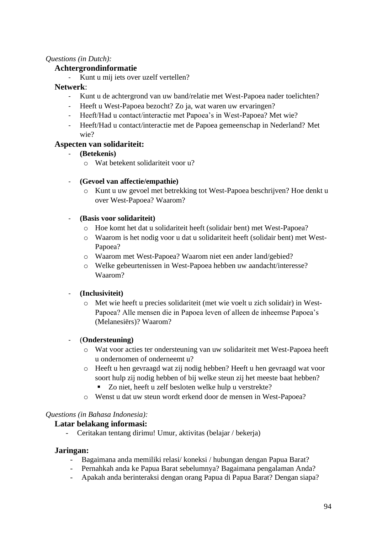# *Questions (in Dutch):*

# **Achtergrondinformatie**

Kunt u mij iets over uzelf vertellen?

#### **Netwerk**:

- Kunt u de achtergrond van uw band/relatie met West-Papoea nader toelichten?
- Heeft u West-Papoea bezocht? Zo ja, wat waren uw ervaringen?
- Heeft/Had u contact/interactie met Papoea's in West-Papoea? Met wie?
- Heeft/Had u contact/interactie met de Papoea gemeenschap in Nederland? Met wie?

#### **Aspecten van solidariteit:**

- **(Betekenis)**
	- o Wat betekent solidariteit voor u?

#### - **(Gevoel van affectie/empathie)**

o Kunt u uw gevoel met betrekking tot West-Papoea beschrijven? Hoe denkt u over West-Papoea? Waarom?

#### - **(Basis voor solidariteit)**

- o Hoe komt het dat u solidariteit heeft (solidair bent) met West-Papoea?
- o Waarom is het nodig voor u dat u solidariteit heeft (solidair bent) met West-Papoea?
- o Waarom met West-Papoea? Waarom niet een ander land/gebied?
- o Welke gebeurtenissen in West-Papoea hebben uw aandacht/interesse? Waarom?

# - **(Inclusiviteit)**

o Met wie heeft u precies solidariteit (met wie voelt u zich solidair) in West-Papoea? Alle mensen die in Papoea leven of alleen de inheemse Papoea's (Melanesiërs)? Waarom?

# - (**Ondersteuning)**

- o Wat voor acties ter ondersteuning van uw solidariteit met West-Papoea heeft u ondernomen of onderneemt u?
- o Heeft u hen gevraagd wat zij nodig hebben? Heeft u hen gevraagd wat voor soort hulp zij nodig hebben of bij welke steun zij het meeste baat hebben?
	- Zo niet, heeft u zelf besloten welke hulp u verstrekte?
- o Wenst u dat uw steun wordt erkend door de mensen in West-Papoea?

#### *Questions (in Bahasa Indonesia):*

# **Latar belakang informasi:**

- Ceritakan tentang dirimu! Umur, aktivitas (belajar / bekerja)

#### **Jaringan:**

- Bagaimana anda memiliki relasi/ koneksi / hubungan dengan Papua Barat?
- Pernahkah anda ke Papua Barat sebelumnya? Bagaimana pengalaman Anda?
- Apakah anda berinteraksi dengan orang Papua di Papua Barat? Dengan siapa?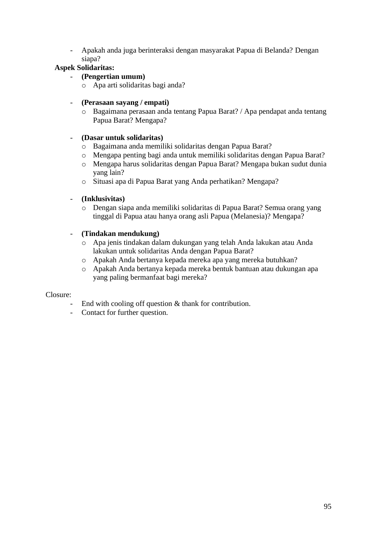- Apakah anda juga berinteraksi dengan masyarakat Papua di Belanda? Dengan siapa?

# **Aspek Solidaritas:**

- **(Pengertian umum)**
	- o Apa arti solidaritas bagi anda?
- **(Perasaan sayang / empati)**
	- o Bagaimana perasaan anda tentang Papua Barat? / Apa pendapat anda tentang Papua Barat? Mengapa?

# - **(Dasar untuk solidaritas)**

- o Bagaimana anda memiliki solidaritas dengan Papua Barat?
- o Mengapa penting bagi anda untuk memiliki solidaritas dengan Papua Barat?
- o Mengapa harus solidaritas dengan Papua Barat? Mengapa bukan sudut dunia yang lain?
- o Situasi apa di Papua Barat yang Anda perhatikan? Mengapa?

# - **(Inklusivitas)**

o Dengan siapa anda memiliki solidaritas di Papua Barat? Semua orang yang tinggal di Papua atau hanya orang asli Papua (Melanesia)? Mengapa?

#### - **(Tindakan mendukung)**

- o Apa jenis tindakan dalam dukungan yang telah Anda lakukan atau Anda lakukan untuk solidaritas Anda dengan Papua Barat?
- o Apakah Anda bertanya kepada mereka apa yang mereka butuhkan?
- o Apakah Anda bertanya kepada mereka bentuk bantuan atau dukungan apa yang paling bermanfaat bagi mereka?

#### Closure:

- End with cooling off question  $&$  thank for contribution.
- Contact for further question.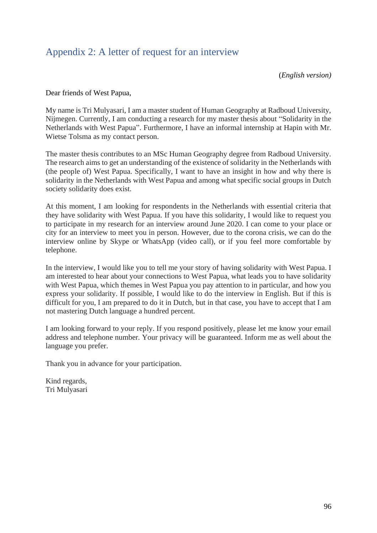# Appendix 2: A letter of request for an interview

(*English version)*

Dear friends of West Papua,

My name is Tri Mulyasari, I am a master student of Human Geography at Radboud University, Nijmegen. Currently, I am conducting a research for my master thesis about "Solidarity in the Netherlands with West Papua". Furthermore, I have an informal internship at Hapin with Mr. Wietse Tolsma as my contact person.

The master thesis contributes to an MSc Human Geography degree from Radboud University. The research aims to get an understanding of the existence of solidarity in the Netherlands with (the people of) West Papua. Specifically, I want to have an insight in how and why there is solidarity in the Netherlands with West Papua and among what specific social groups in Dutch society solidarity does exist.

At this moment, I am looking for respondents in the Netherlands with essential criteria that they have solidarity with West Papua. If you have this solidarity, I would like to request you to participate in my research for an interview around June 2020. I can come to your place or city for an interview to meet you in person. However, due to the corona crisis, we can do the interview online by Skype or WhatsApp (video call), or if you feel more comfortable by telephone.

In the interview, I would like you to tell me your story of having solidarity with West Papua. I am interested to hear about your connections to West Papua, what leads you to have solidarity with West Papua, which themes in West Papua you pay attention to in particular, and how you express your solidarity. If possible, I would like to do the interview in English. But if this is difficult for you, I am prepared to do it in Dutch, but in that case, you have to accept that I am not mastering Dutch language a hundred percent.

I am looking forward to your reply. If you respond positively, please let me know your email address and telephone number. Your privacy will be guaranteed. Inform me as well about the language you prefer.

Thank you in advance for your participation.

Kind regards, Tri Mulyasari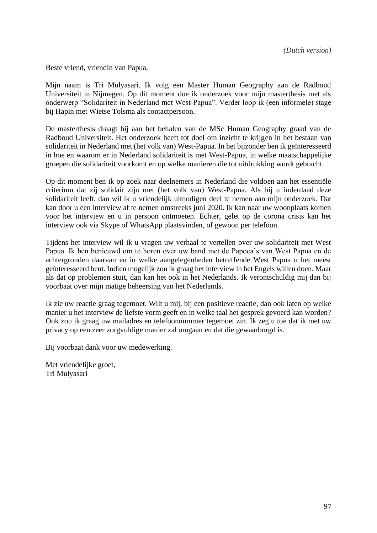Beste vriend, vriendin van Papua,

Mijn naam is Tri Mulyasari. Ik volg een Master Human Geography aan de Radboud Universiteit in Nijmegen. Op dit moment doe ik onderzoek voor mijn masterthesis met als onderwerp "Solidariteit in Nederland met West-Papua". Verder loop ik (een informele) stage bij Hapin met Wietse Tolsma als contactpersoon.

De masterthesis draagt bij aan het behalen van de MSc Human Geography graad van de Radboud Universiteit. Het onderzoek heeft tot doel om inzicht te krijgen in het bestaan van solidariteit in Nederland met (het volk van) West-Papua. In het bijzonder ben ik geïnteresseerd in hoe en waarom er in Nederland solidariteit is met West-Papua, in welke maatschappelijke groepen die solidariteit voorkomt en op welke manieren die tot uitdrukking wordt gebracht.

Op dit moment ben ik op zoek naar deelnemers in Nederland die voldoen aan het essentiële criterium dat zij solidair zijn met (het volk van) West-Papua. Als bij u inderdaad deze solidariteit leeft, dan wil ik u vriendelijk uitnodigen deel te nemen aan mijn onderzoek. Dat kan door u een interview af te nemen omstreeks juni 2020. Ik kan naar uw woonplaats komen voor het interview en u in persoon ontmoeten. Echter, gelet op de corona crisis kan het interview ook via Skype of WhatsApp plaatsvinden, of gewoon per telefoon.

Tijdens het interview wil ik u vragen uw verhaal te vertellen over uw solidariteit met West Papua. Ik ben benieuwd om te horen over uw band met de Papoea's van West Papua en de achtergronden daarvan en in welke aangelegenheden betreffende West Papua u het meest geïnteresseerd bent. Indien mogelijk zou ik graag het interview in het Engels willen doen. Maar als dat op problemen stuit, dan kan het ook in het Nederlands. Ik verontschuldig mij dan bij voorbaat over mijn matige beheersing van het Nederlands.

Ik zie uw reactie graag tegemoet. Wilt u mij, bij een positieve reactie, dan ook laten op welke manier u het interview de liefste vorm geeft en in welke taal het gesprek gevoerd kan worden? Ook zou ik graag uw mailadres en telefoonnummer tegemoet zin. Ik zeg u toe dat ik met uw privacy op een zeer zorgvuldige manier zal omgaan en dat die gewaarborgd is.

Bij voorbaat dank voor uw medewerking.

Met vriendelijke groet, Tri Mulyasari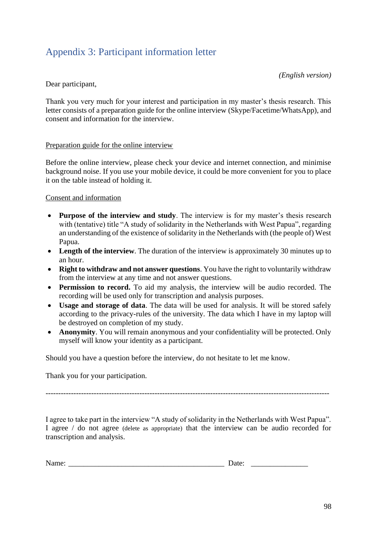# Appendix 3: Participant information letter

*(English version)*

# Dear participant,

Thank you very much for your interest and participation in my master's thesis research. This letter consists of a preparation guide for the online interview (Skype/Facetime/WhatsApp), and consent and information for the interview.

# Preparation guide for the online interview

Before the online interview, please check your device and internet connection, and minimise background noise. If you use your mobile device, it could be more convenient for you to place it on the table instead of holding it.

# Consent and information

- **Purpose of the interview and study**. The interview is for my master's thesis research with (tentative) title "A study of solidarity in the Netherlands with West Papua", regarding an understanding of the existence of solidarity in the Netherlands with (the people of) West Papua.
- Length of the interview. The duration of the interview is approximately 30 minutes up to an hour.
- **Right to withdraw and not answer questions**. You have the right to voluntarily withdraw from the interview at any time and not answer questions.
- **Permission to record.** To aid my analysis, the interview will be audio recorded. The recording will be used only for transcription and analysis purposes.
- **Usage and storage of data**. The data will be used for analysis. It will be stored safely according to the privacy-rules of the university. The data which I have in my laptop will be destroyed on completion of my study.
- **Anonymity**. You will remain anonymous and your confidentiality will be protected. Only myself will know your identity as a participant.

Should you have a question before the interview, do not hesitate to let me know.

Thank you for your participation.

----------------------------------------------------------------------------------------------------------------

I agree to take part in the interview "A study of solidarity in the Netherlands with West Papua". I agree / do not agree (delete as appropriate) that the interview can be audio recorded for transcription and analysis.

| ъ т<br>------ | $  -$<br>. |  |
|---------------|------------|--|
|---------------|------------|--|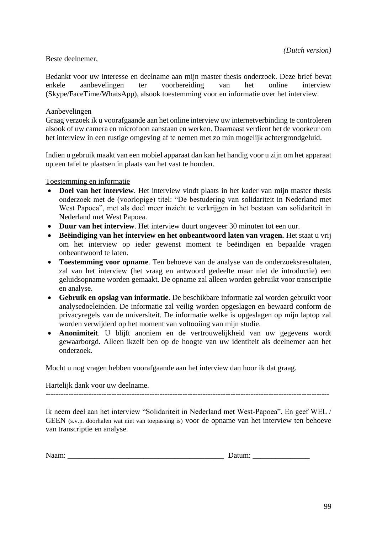#### Beste deelnemer,

Bedankt voor uw interesse en deelname aan mijn master thesis onderzoek. Deze brief bevat enkele aanbevelingen ter voorbereiding van het online interview (Skype/FaceTime/WhatsApp), alsook toestemming voor en informatie over het interview.

#### Aanbevelingen

Graag verzoek ik u voorafgaande aan het online interview uw internetverbinding te controleren alsook of uw camera en microfoon aanstaan en werken. Daarnaast verdient het de voorkeur om het interview in een rustige omgeving af te nemen met zo min mogelijk achtergrondgeluid.

Indien u gebruik maakt van een mobiel apparaat dan kan het handig voor u zijn om het apparaat op een tafel te plaatsen in plaats van het vast te houden.

Toestemming en informatie

- **Doel van het interview**. Het interview vindt plaats in het kader van mijn master thesis onderzoek met de (voorlopige) titel: "De bestudering van solidariteit in Nederland met West Papoea", met als doel meer inzicht te verkrijgen in het bestaan van solidariteit in Nederland met West Papoea.
- **Duur van het interview**. Het interview duurt ongeveer 30 minuten tot een uur.
- **Beëindiging van het interview en het onbeantwoord laten van vragen.** Het staat u vrij om het interview op ieder gewenst moment te beëindigen en bepaalde vragen onbeantwoord te laten.
- **Toestemming voor opname**. Ten behoeve van de analyse van de onderzoeksresultaten, zal van het interview (het vraag en antwoord gedeelte maar niet de introductie) een geluidsopname worden gemaakt. De opname zal alleen worden gebruikt voor transcriptie en analyse.
- **Gebruik en opslag van informatie**. De beschikbare informatie zal worden gebruikt voor analysedoeleinden. De informatie zal veilig worden opgeslagen en bewaard conform de privacyregels van de universiteit. De informatie welke is opgeslagen op mijn laptop zal worden verwijderd op het moment van voltooiing van mijn studie.
- **Anonimiteit**. U blijft anoniem en de vertrouwelijkheid van uw gegevens wordt gewaarborgd. Alleen ikzelf ben op de hoogte van uw identiteit als deelnemer aan het onderzoek.

Mocht u nog vragen hebben voorafgaande aan het interview dan hoor ik dat graag.

Hartelijk dank voor uw deelname.

----------------------------------------------------------------------------------------------------------------

Ik neem deel aan het interview "Solidariteit in Nederland met West-Papoea". En geef WEL / GEEN (s.v.p. doorhalen wat niet van toepassing is) voor de opname van het interview ten behoeve van transcriptie en analyse.

| ъT  | - |
|-----|---|
|     |   |
| $-$ |   |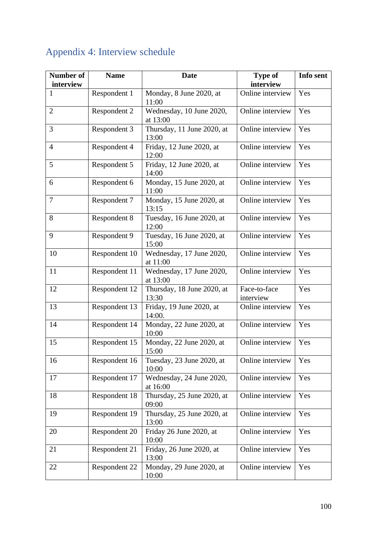#### **Number of interview Name Date Type of interview Info sent** 1 Respondent 1 | Monday, 8 June 2020, at 11:00 Online interview | Yes 2 Respondent 2 Wednesday, 10 June 2020, at 13:00 Online interview Yes 3 Respondent 3 Thursday, 11 June 2020, at 13:00 Online interview | Yes 4 Respondent 4 Friday, 12 June 2020, at 12:00 Online interview  $\vert$  Yes 5 Respondent 5 Friday, 12 June 2020, at 14:00 Online interview  $\vert$  Yes 6 Respondent 6 Monday, 15 June 2020, at 11:00 Online interview | Yes 7 Respondent 7 Monday, 15 June 2020, at 13:15 Online interview | Yes 8 Respondent 8 Tuesday, 16 June 2020, at 12:00 Online interview | Yes 9 Respondent 9 Tuesday, 16 June 2020, at 15:00 Online interview  $\vert$  Yes 10 Respondent 10 Wednesday, 17 June 2020, at 11:00 Online interview | Yes 11 Respondent 11 Wednesday, 17 June 2020, at 13:00 Online interview  $\vert$  Yes 12 Respondent 12 Thursday, 18 June 2020, at 13:30 Face-to-face interview Yes 13 Respondent 13 Friday, 19 June 2020, at 14:00. Online interview  $\vert$  Yes 14 Respondent 14 | Monday, 22 June 2020, at 10:00 Online interview | Yes 15 Respondent 15 | Monday, 22 June 2020, at 15:00 Online interview | Yes 16 Respondent 16 Tuesday, 23 June 2020, at 10:00 Online interview | Yes 17 Respondent 17 Wednesday, 24 June 2020, at 16:00 Online interview  $\vert$  Yes 18 Respondent 18 Thursday, 25 June 2020, at 09:00 Online interview  $\vert$  Yes 19 Respondent 19 Thursday, 25 June 2020, at 13:00 Online interview  $\vert$  Yes 20 Respondent 20 Friday 26 June 2020, at 10:00 Online interview  $\vert$  Yes 21 Respondent 21 Friday, 26 June 2020, at 13:00 Online interview  $\vert$  Yes 22 Respondent 22 | Monday, 29 June 2020, at 10:00 Online interview  $\vert$  Yes

# Appendix 4: Interview schedule